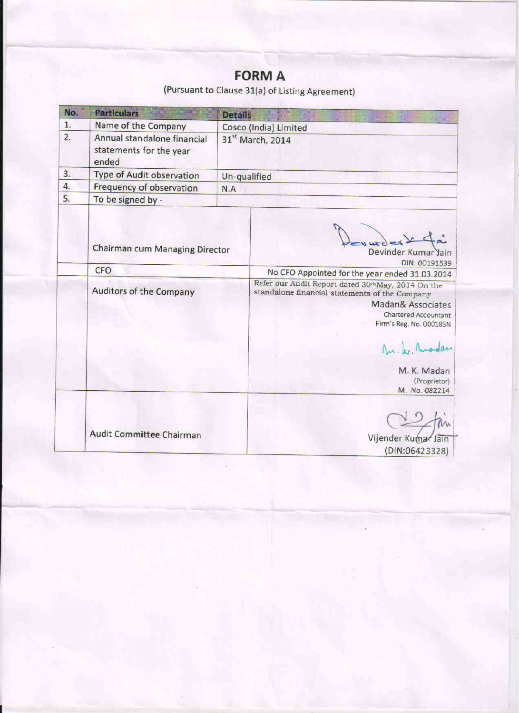# **FORM A**

(Pursuant to Clause 31(a) of Listing Agreement)

| No.                     | <b>Particulars</b>                                              | <b>Details</b>                                                                                                         |                                                                                                     |
|-------------------------|-----------------------------------------------------------------|------------------------------------------------------------------------------------------------------------------------|-----------------------------------------------------------------------------------------------------|
| 1.                      | Name of the Company                                             | Cosco (India) Limited                                                                                                  |                                                                                                     |
| 2.                      | Annual standalone financial<br>statements for the year<br>ended | 31st March, 2014                                                                                                       |                                                                                                     |
| 3.                      | Type of Audit observation                                       | Un-qualified                                                                                                           |                                                                                                     |
| 4.                      | Frequency of observation                                        | N.A                                                                                                                    |                                                                                                     |
| 5.                      | To be signed by -                                               |                                                                                                                        |                                                                                                     |
|                         | Chairman cum Managing Director<br>CFO                           |                                                                                                                        | L<br>Devinder Kumar Jain<br>DIN: 00191539                                                           |
| Auditors of the Company |                                                                 |                                                                                                                        | No CFO Appointed for the year ended 31.03.2014<br>Refer our Audit Report dated 30thMay, 2014 On the |
|                         |                                                                 | standalone financial statements of the Company<br>Madan& Associates<br>Chartered Accountant<br>Firm's Reg. No. 000185N |                                                                                                     |
|                         |                                                                 |                                                                                                                        | Mr. Le. Modan                                                                                       |
|                         |                                                                 |                                                                                                                        | M. K. Madan<br>(Proprietor)<br>M. No. 082214                                                        |
|                         | Audit Committee Chairman                                        |                                                                                                                        |                                                                                                     |
|                         |                                                                 |                                                                                                                        | Vijender Kumar Jain<br>(DIN:06423328)                                                               |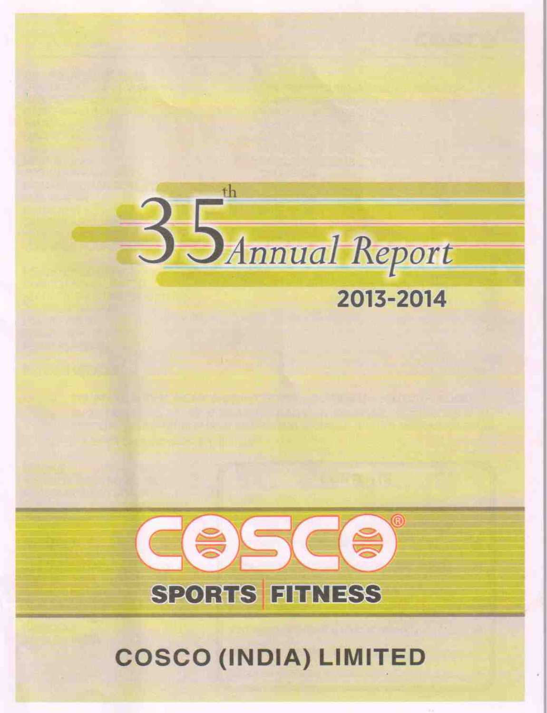

# 2013-2014



**COSCO (INDIA) LIMITED**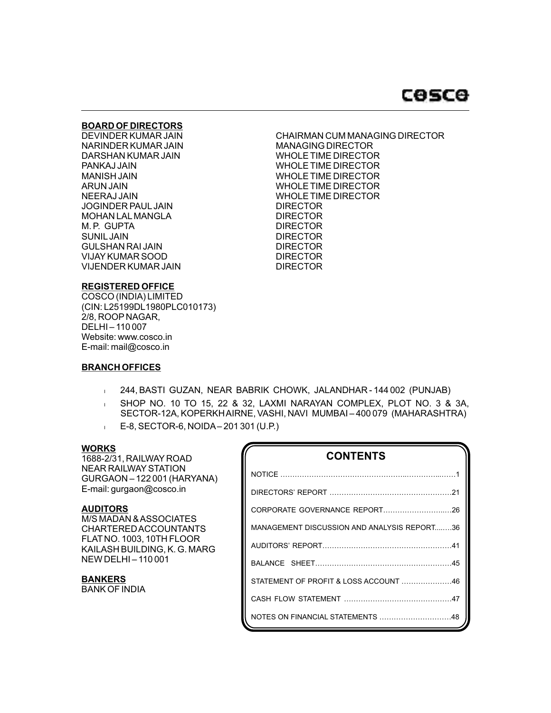# **COSCO**

# **BOARD OF DIRECTORS**

NARINDER KUMAR JAIN MANAGING DIRECTOR DARSHAN KUMAR JAIN WHOLE TIME DIRECTOR MANISH JAIN WHOLE TIME DIRECTOR JOGINDER PAUL JAIN DIRECTOR MOHAN LALMANGLA DIRECTOR M. P. GUPTA DIRECTOR SUNILJAIN DIRECTOR GULSHAN RAI JAIN DIRECTOR VIJAY KUMAR SOOD DIRECTOR VIJENDER KUMAR JAIN DIRECTOR

DEVINDER KUMAR JAIN CHAIRMAN CUM MANAGING DIRECTOR PANKAJ JAIN WHOLE TIME DIRECTOR ARUN JAIN WHOLE TIME DIRECTOR WHOLE TIME DIRECTOR

# **REGISTERED OFFICE**

COSCO (INDIA) LIMITED (CIN: L25199DL1980PLC010173) 2/8, ROOP NAGAR, DELHI – 110 007 Website: www.cosco.in E-mail: mail@cosco.in

# **BRANCH OFFICES**

- 1 244, BASTI GUZAN, NEAR BABRIK CHOWK, JALANDHAR 144 002 (PUNJAB)
- <sup>l</sup> SHOP NO. 10 TO 15, 22 & 32, LAXMI NARAYAN COMPLEX, PLOT NO. 3 & 3A, SECTOR-12A, KOPERKH AIRNE, VASHI, NAVI MUMBAI – 400 079 (MAHARASHTRA)
- <sup>l</sup> E-8, SECTOR-6, NOIDA– 201 301 (U.P.)

# **WORKS**

1688-2/31, RAILWAY ROAD NEAR RAILWAYSTATION GURGAON – 122 001 (HARYANA) E-mail: gurgaon@cosco.in

# **AUDITORS**

M/S MADAN & ASSOCIATES CHARTERED ACCOUNTANTS FLAT NO. 1003, 10TH FLOOR KAILASH BUILDING, K. G. MARG NEW DELHI – 110 001

**BANKERS** BANK OF INDIA

| <b>CONTENTS</b>                             |
|---------------------------------------------|
|                                             |
|                                             |
|                                             |
| MANAGEMENT DISCUSSION AND ANALYSIS REPORT36 |
|                                             |
|                                             |
| STATEMENT OF PROFIT & LOSS ACCOUNT 46       |
|                                             |
| NOTES ON FINANCIAL STATEMENTS 48            |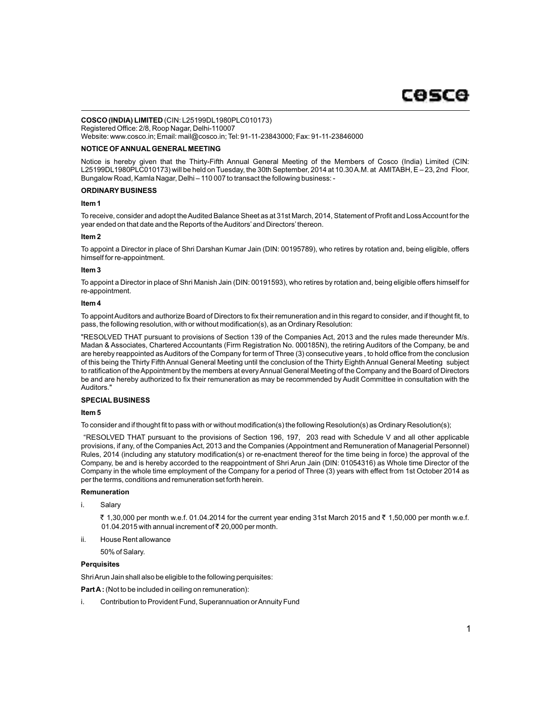#### **COSCO (INDIA) LIMITED** (CIN: L25199DL1980PLC010173) Registered Office: 2/8, Roop Nagar, Delhi-110007

Website: www.cosco.in; Email: mail@cosco.in; Tel: 91-11-23843000; Fax: 91-11-23846000

#### **NOTICE OF ANNUALGENERAL MEETING**

Notice is hereby given that the Thirty-Fifth Annual General Meeting of the Members of Cosco (India) Limited (CIN: L25199DL1980PLC010173) will be held on Tuesday, the 30th September, 2014 at 10.30 A.M. at AMITABH, E – 23, 2nd Floor, Bungalow Road, Kamla Nagar, Delhi – 110 007 to transact the following business: -

#### **ORDINARY BUSINESS**

#### **Item 1**

To receive, consider and adopt the Audited Balance Sheet as at 31st March, 2014, Statement of Profit and Loss Account for the year ended on that date and the Reports of the Auditors'and Directors'thereon.

#### **Item 2**

To appoint a Director in place of Shri Darshan Kumar Jain (DIN: 00195789), who retires by rotation and, being eligible, offers himself for re-appointment.

#### **Item 3**

To appoint a Director in place of Shri Manish Jain (DIN: 00191593), who retires by rotation and, being eligible offers himself for re-appointment.

#### **Item 4**

To appoint Auditors and authorize Board of Directors to fix their remuneration and in this regard to consider, and if thought fit, to pass, the following resolution, with or without modification(s), as an Ordinary Resolution:

"RESOLVED THAT pursuant to provisions of Section 139 of the Companies Act, 2013 and the rules made thereunder M/s. Madan & Associates, Chartered Accountants (Firm Registration No. 000185N), the retiring Auditors of the Company, be and are hereby reappointed as Auditors of the Company for term of Three (3) consecutive years , to hold office from the conclusion of this being the Thirty Fifth Annual General Meeting until the conclusion of the Thirty Eighth Annual General Meeting subject to ratification of the Appointment by the members at every Annual General Meeting of the Company and the Board of Directors be and are hereby authorized to fix their remuneration as may be recommended by Audit Committee in consultation with the Auditors."

### **SPECIAL BUSINESS**

#### **Item 5**

To consider and if thought fit to pass with or without modification(s) the following Resolution(s) as Ordinary Resolution(s);

"RESOLVED THAT pursuant to the provisions of Section 196, 197, 203 read with Schedule V and all other applicable provisions, if any, of the Companies Act, 2013 and the Companies (Appointment and Remuneration of Managerial Personnel) Rules, 2014 (including any statutory modification(s) or re-enactment thereof for the time being in force) the approval of the Company, be and is hereby accorded to the reappointment of Shri Arun Jain (DIN: 01054316) as Whole time Director of the Company in the whole time employment of the Company for a period of Three (3) years with effect from 1st October 2014 as per the terms, conditions and remuneration set forth herein.

#### **Remuneration**

i. Salary

₹ 1,30,000 per month w.e.f. 01.04.2014 for the current year ending 31st March 2015 and ₹ 1,50,000 per month w.e.f. 01.04.2015 with annual increment of  $\bar{\tau}$  20,000 per month.

ii. House Rent allowance

50% of Salary.

#### **Perquisites**

Shri Arun Jain shall also be eligible to the following perquisites:

**Part A:** (Not to be included in ceiling on remuneration):

i. Contribution to Provident Fund, Superannuation or Annuity Fund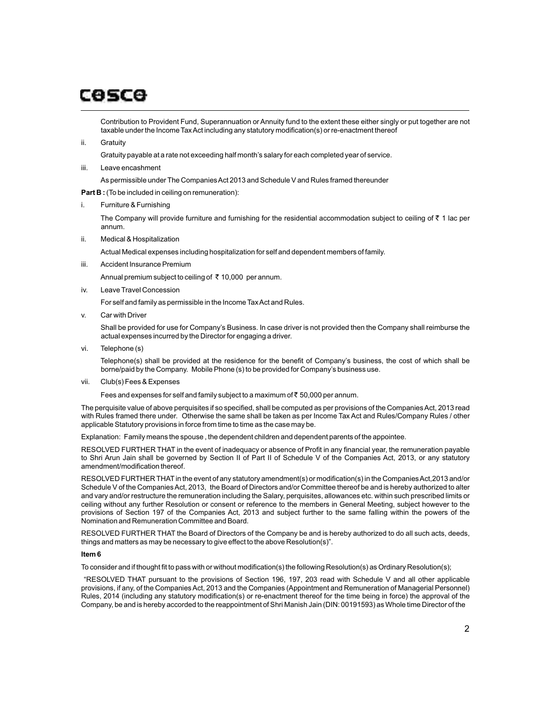Contribution to Provident Fund, Superannuation or Annuity fund to the extent these either singly or put together are not taxable under the Income Tax Act including any statutory modification(s) or re-enactment thereof

ii. Gratuity

Gratuity payable at a rate not exceeding half month's salary for each completed year of service.

iii. Leave encashment

As permissible under The Companies Act 2013 and Schedule V and Rules framed thereunder

**Part B :** (To be included in ceiling on remuneration):

i. Furniture & Furnishing

The Company will provide furniture and furnishing for the residential accommodation subject to ceiling of  $\bar{\tau}$  1 lac per annum.

ii. Medical & Hospitalization

Actual Medical expenses including hospitalization for self and dependent members of family.

iii. Accident Insurance Premium

Annual premium subject to ceiling of  $\bar{\tau}$  10,000 per annum.

iv. Leave Travel Concession

For self and family as permissible in the Income Tax Act and Rules.

v. Car with Driver

Shall be provided for use for Company's Business. In case driver is not provided then the Company shall reimburse the actual expenses incurred by the Director for engaging a driver.

vi. Telephone (s)

Telephone(s) shall be provided at the residence for the benefit of Company's business, the cost of which shall be borne/paid by the Company. Mobile Phone (s) to be provided for Company's business use.

vii. Club(s) Fees & Expenses

Fees and expenses for self and family subject to a maximum of  $\bar{\tau}$  50,000 per annum.

The perquisite value of above perquisites if so specified, shall be computed as per provisions of the Companies Act, 2013 read with Rules framed there under. Otherwise the same shall be taken as per Income Tax Act and Rules/Company Rules / other applicable Statutory provisions in force from time to time as the case may be.

Explanation: Family means the spouse , the dependent children and dependent parents of the appointee.

RESOLVED FURTHER THAT in the event of inadequacy or absence of Profit in any financial year, the remuneration payable to Shri Arun Jain shall be governed by Section II of Part II of Schedule V of the Companies Act, 2013, or any statutory amendment/modification thereof.

RESOLVED FURTHER THATin the event of any statutory amendment(s) or modification(s) in the Companies Act,2013 and/or Schedule V of the Companies Act, 2013, the Board of Directors and/or Committee thereof be and is hereby authorized to alter and vary and/or restructure the remuneration including the Salary, perquisites, allowances etc. within such prescribed limits or ceiling without any further Resolution or consent or reference to the members in General Meeting, subject however to the provisions of Section 197 of the Companies Act, 2013 and subject further to the same falling within the powers of the Nomination and Remuneration Committee and Board.

RESOLVED FURTHER THAT the Board of Directors of the Company be and is hereby authorized to do all such acts, deeds, things and matters as may be necessary to give effect to the above Resolution(s)".

### **Item 6**

To consider and if thought fit to pass with or without modification(s) the following Resolution(s) as Ordinary Resolution(s);

"RESOLVED THAT pursuant to the provisions of Section 196, 197, 203 read with Schedule V and all other applicable provisions, if any, of the Companies Act, 2013 and the Companies (Appointment and Remuneration of Managerial Personnel) Rules, 2014 (including any statutory modification(s) or re-enactment thereof for the time being in force) the approval of the Company, be and is hereby accorded to the reappointment of Shri Manish Jain (DIN: 00191593) as Whole time Director of the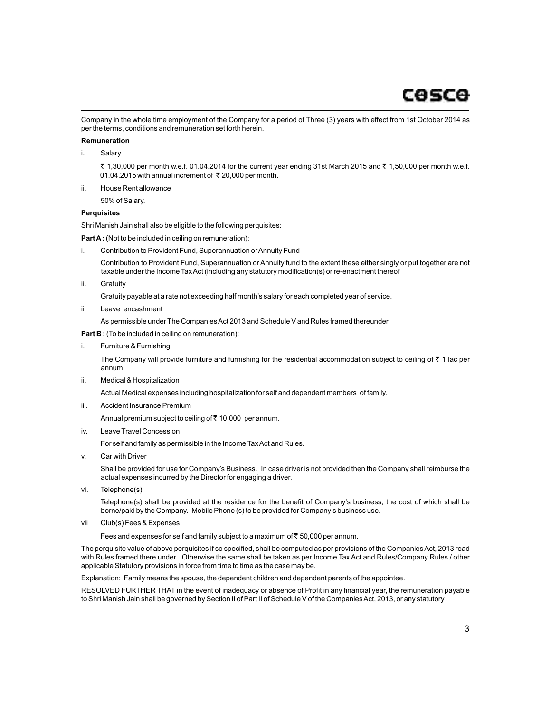Company in the whole time employment of the Company for a period of Three (3) years with effect from 1st October 2014 as per the terms, conditions and remuneration set forth herein.

#### **Remuneration**

i. Salary

₹ 1,30,000 per month w.e.f. 01.04.2014 for the current year ending 31st March 2015 and ₹ 1,50,000 per month w.e.f. 01.04.2015 with annual increment of ₹ 20,000 per month.

ii. House Rent allowance

50% of Salary.

### **Perquisites**

Shri Manish Jain shall also be eligible to the following perquisites:

**Part A:** (Not to be included in ceiling on remuneration):

- i. Contribution to Provident Fund, Superannuation or Annuity Fund Contribution to Provident Fund, Superannuation or Annuity fund to the extent these either singly or put together are not taxable under the Income Tax Act (including any statutory modification(s) or re-enactment thereof
- ii. Gratuity

Gratuity payable at a rate not exceeding half month's salary for each completed year of service.

iii Leave encashment

As permissible under The Companies Act 2013 and Schedule V and Rules framed thereunder

**Part B :** (To be included in ceiling on remuneration):

i. Furniture & Furnishing

The Company will provide furniture and furnishing for the residential accommodation subject to ceiling of  $\bar{\tau}$  1 lac per annum.

ii. Medical & Hospitalization

Actual Medical expenses including hospitalization for self and dependent members of family.

iii. Accident Insurance Premium

Annual premium subject to ceiling of  $\bar{\tau}$  10,000 per annum.

iv. Leave Travel Concession

For self and family as permissible in the Income Tax Act and Rules.

v. Car with Driver

Shall be provided for use for Company's Business. In case driver is not provided then the Company shall reimburse the actual expenses incurred by the Director for engaging a driver.

vi. Telephone(s)

Telephone(s) shall be provided at the residence for the benefit of Company's business, the cost of which shall be borne/paid by the Company. Mobile Phone (s) to be provided for Company's business use.

vii Club(s) Fees & Expenses

Fees and expenses for self and family subject to a maximum of  $\bar{\tau}$  50,000 per annum.

The perquisite value of above perquisites if so specified, shall be computed as per provisions of the Companies Act, 2013 read with Rules framed there under. Otherwise the same shall be taken as per Income Tax Act and Rules/Company Rules / other applicable Statutory provisions in force from time to time as the case may be.

Explanation: Family means the spouse, the dependent children and dependent parents of the appointee.

RESOLVED FURTHER THAT in the event of inadequacy or absence of Profit in any financial year, the remuneration payable to Shri Manish Jain shall be governed by Section II of Part II of Schedule V of the Companies Act, 2013, or any statutory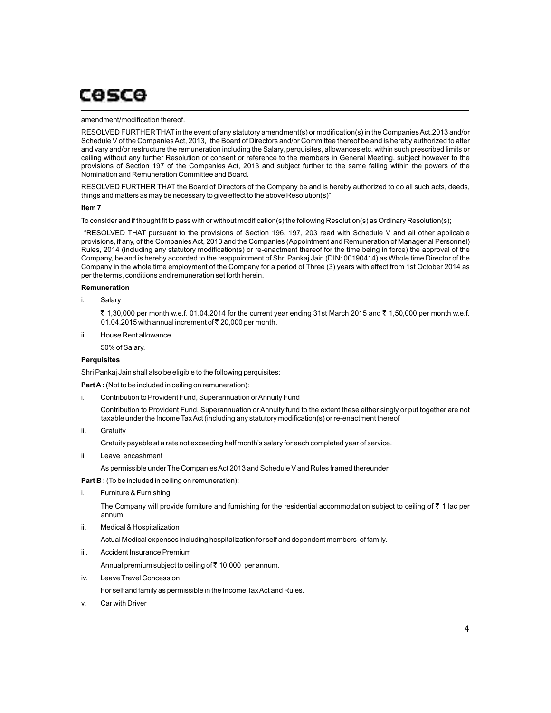#### amendment/modification thereof.

RESOLVED FURTHER THATin the event of any statutory amendment(s) or modification(s) in the Companies Act,2013 and/or Schedule V of the Companies Act, 2013, the Board of Directors and/or Committee thereof be and is hereby authorized to alter and vary and/or restructure the remuneration including the Salary, perquisites, allowances etc. within such prescribed limits or ceiling without any further Resolution or consent or reference to the members in General Meeting, subject however to the provisions of Section 197 of the Companies Act, 2013 and subject further to the same falling within the powers of the Nomination and Remuneration Committee and Board.

RESOLVED FURTHER THAT the Board of Directors of the Company be and is hereby authorized to do all such acts, deeds, things and matters as may be necessary to give effect to the above Resolution(s)".

#### **Item 7**

To consider and if thought fit to pass with or without modification(s) the following Resolution(s) as Ordinary Resolution(s);

"RESOLVED THAT pursuant to the provisions of Section 196, 197, 203 read with Schedule V and all other applicable provisions, if any, of the Companies Act, 2013 and the Companies (Appointment and Remuneration of Managerial Personnel) Rules, 2014 (including any statutory modification(s) or re-enactment thereof for the time being in force) the approval of the Company, be and is hereby accorded to the reappointment of Shri Pankaj Jain (DIN: 00190414) as Whole time Director of the Company in the whole time employment of the Company for a period of Three (3) years with effect from 1st October 2014 as per the terms, conditions and remuneration set forth herein.

#### **Remuneration**

i. Salary

₹ 1,30,000 per month w.e.f. 01.04.2014 for the current year ending 31st March 2015 and ₹ 1,50,000 per month w.e.f. 01.04.2015 with annual increment of  $\bar{\tau}$  20,000 per month.

ii. House Rent allowance

50% of Salary.

#### **Perquisites**

Shri Pankaj Jain shall also be eligible to the following perquisites:

**Part A:** (Not to be included in ceiling on remuneration):

i. Contribution to Provident Fund, Superannuation or Annuity Fund

Contribution to Provident Fund, Superannuation or Annuity fund to the extent these either singly or put together are not taxable under the Income Tax Act (including any statutory modification(s) or re-enactment thereof

ii. Gratuity

Gratuity payable at a rate not exceeding half month's salary for each completed year of service.

iii Leave encashment

As permissible under The Companies Act 2013 and Schedule V and Rules framed thereunder

**Part B :** (To be included in ceiling on remuneration):

i. Furniture & Furnishing

The Company will provide furniture and furnishing for the residential accommodation subject to ceiling of  $\bar{\tau}$  1 lac per annum.

ii. Medical & Hospitalization

Actual Medical expenses including hospitalization for self and dependent members of family.

iii. Accident Insurance Premium

Annual premium subject to ceiling of  $\bar{c}$  10,000 per annum.

iv. Leave Travel Concession

For self and family as permissible in the Income Tax Act and Rules.

v. Car with Driver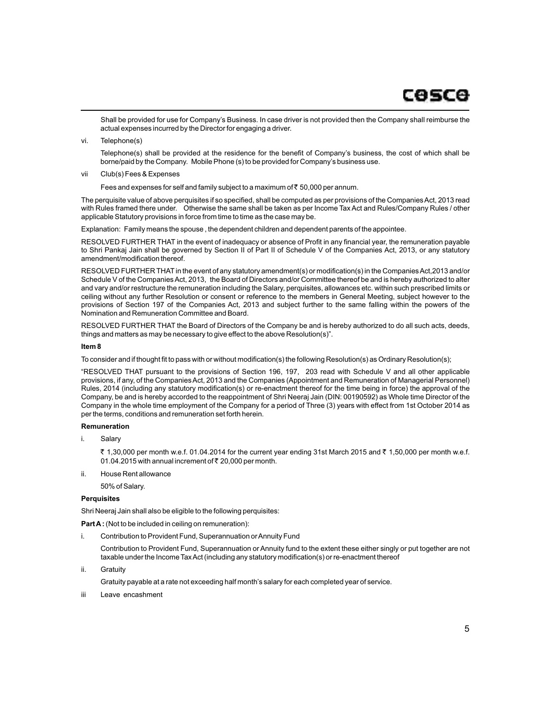Shall be provided for use for Company's Business. In case driver is not provided then the Company shall reimburse the actual expenses incurred by the Director for engaging a driver.

vi. Telephone(s)

Telephone(s) shall be provided at the residence for the benefit of Company's business, the cost of which shall be borne/paid by the Company. Mobile Phone (s) to be provided for Company's business use.

vii Club(s) Fees & Expenses

Fees and expenses for self and family subject to a maximum of  $\bar{\tau}$  50,000 per annum.

The perquisite value of above perquisites if so specified, shall be computed as per provisions of the Companies Act, 2013 read with Rules framed there under. Otherwise the same shall be taken as per Income Tax Act and Rules/Company Rules / other applicable Statutory provisions in force from time to time as the case may be.

Explanation: Family means the spouse , the dependent children and dependent parents of the appointee.

RESOLVED FURTHER THAT in the event of inadequacy or absence of Profit in any financial year, the remuneration payable to Shri Pankaj Jain shall be governed by Section II of Part II of Schedule V of the Companies Act, 2013, or any statutory amendment/modification thereof.

RESOLVED FURTHER THATin the event of any statutory amendment(s) or modification(s) in the Companies Act,2013 and/or Schedule V of the Companies Act, 2013, the Board of Directors and/or Committee thereof be and is hereby authorized to alter and vary and/or restructure the remuneration including the Salary, perquisites, allowances etc. within such prescribed limits or ceiling without any further Resolution or consent or reference to the members in General Meeting, subject however to the provisions of Section 197 of the Companies Act, 2013 and subject further to the same falling within the powers of the Nomination and Remuneration Committee and Board.

RESOLVED FURTHER THAT the Board of Directors of the Company be and is hereby authorized to do all such acts, deeds, things and matters as may be necessary to give effect to the above Resolution(s)".

#### **Item 8**

To consider and if thought fit to pass with or without modification(s) the following Resolution(s) as Ordinary Resolution(s);

"RESOLVED THAT pursuant to the provisions of Section 196, 197, 203 read with Schedule V and all other applicable provisions, if any, of the Companies Act, 2013 and the Companies (Appointment and Remuneration of Managerial Personnel) Rules, 2014 (including any statutory modification(s) or re-enactment thereof for the time being in force) the approval of the Company, be and is hereby accorded to the reappointment of Shri Neeraj Jain (DIN: 00190592) as Whole time Director of the Company in the whole time employment of the Company for a period of Three (3) years with effect from 1st October 2014 as per the terms, conditions and remuneration set forth herein.

### **Remuneration**

i. Salary

₹ 1,30,000 per month w.e.f. 01.04.2014 for the current year ending 31st March 2015 and ₹ 1,50,000 per month w.e.f. 01.04.2015 with annual increment of  $\bar{\tau}$  20,000 per month.

ii. House Rent allowance

50% of Salary.

#### **Perquisites**

Shri Neeraj Jain shall also be eligible to the following perquisites:

**Part A:** (Not to be included in ceiling on remuneration):

i. Contribution to Provident Fund, Superannuation or Annuity Fund

Contribution to Provident Fund, Superannuation or Annuity fund to the extent these either singly or put together are not taxable under the Income Tax Act (including any statutory modification(s) or re-enactment thereof

ii. Gratuity

Gratuity payable at a rate not exceeding half month's salary for each completed year of service.

iii Leave encashment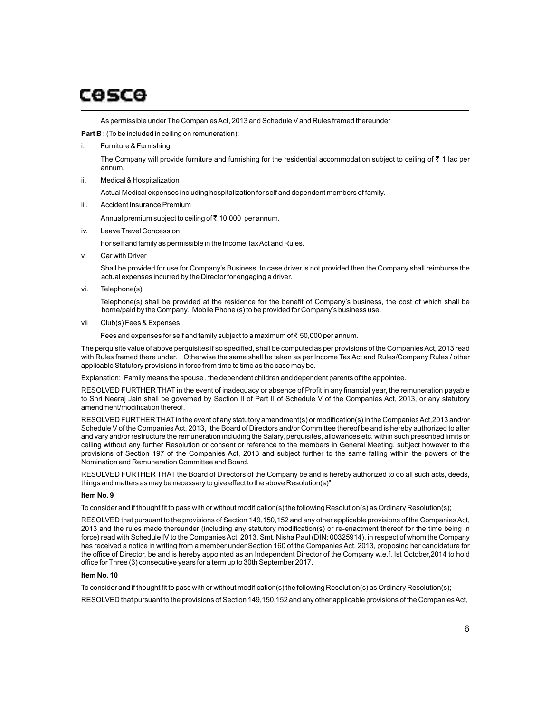As permissible under The Companies Act, 2013 and Schedule V and Rules framed thereunder

**Part B :** (To be included in ceiling on remuneration):

i. Furniture & Furnishing

The Company will provide furniture and furnishing for the residential accommodation subject to ceiling of  $\bar{z}$  1 lac per annum.

ii. Medical & Hospitalization

Actual Medical expenses including hospitalization for self and dependent members of family.

iii. Accident Insurance Premium

Annual premium subject to ceiling of  $\bar{\tau}$  10,000 per annum.

iv. Leave Travel Concession

For self and family as permissible in the Income Tax Act and Rules.

v. Car with Driver

Shall be provided for use for Company's Business. In case driver is not provided then the Company shall reimburse the actual expenses incurred by the Director for engaging a driver.

vi. Telephone(s)

Telephone(s) shall be provided at the residence for the benefit of Company's business, the cost of which shall be borne/paid by the Company. Mobile Phone (s) to be provided for Company's business use.

vii Club(s) Fees & Expenses

Fees and expenses for self and family subject to a maximum of  $\bar{\tau}$  50,000 per annum.

The perquisite value of above perquisites if so specified, shall be computed as per provisions of the Companies Act, 2013 read with Rules framed there under. Otherwise the same shall be taken as per Income Tax Act and Rules/Company Rules / other applicable Statutory provisions in force from time to time as the case may be.

Explanation: Family means the spouse , the dependent children and dependent parents of the appointee.

RESOLVED FURTHER THAT in the event of inadequacy or absence of Profit in any financial year, the remuneration payable to Shri Neeraj Jain shall be governed by Section II of Part II of Schedule V of the Companies Act, 2013, or any statutory amendment/modification thereof.

RESOLVED FURTHER THATin the event of any statutory amendment(s) or modification(s) in the Companies Act,2013 and/or Schedule V of the Companies Act, 2013, the Board of Directors and/or Committee thereof be and is hereby authorized to alter and vary and/or restructure the remuneration including the Salary, perquisites, allowances etc. within such prescribed limits or ceiling without any further Resolution or consent or reference to the members in General Meeting, subject however to the provisions of Section 197 of the Companies Act, 2013 and subject further to the same falling within the powers of the Nomination and Remuneration Committee and Board.

RESOLVED FURTHER THAT the Board of Directors of the Company be and is hereby authorized to do all such acts, deeds, things and matters as may be necessary to give effect to the above Resolution(s)".

### **Item No. 9**

To consider and if thought fit to pass with or without modification(s) the following Resolution(s) as Ordinary Resolution(s);

RESOLVED that pursuant to the provisions of Section 149,150,152 and any other applicable provisions of the Companies Act, 2013 and the rules made thereunder (including any statutory modification(s) or re-enactment thereof for the time being in force) read with Schedule IV to the Companies Act, 2013, Smt. Nisha Paul (DIN: 00325914), in respect of whom the Company has received a notice in writing from a member under Section 160 of the Companies Act, 2013, proposing her candidature for the office of Director, be and is hereby appointed as an Independent Director of the Company w.e.f. Ist October,2014 to hold office for Three (3) consecutive years for a term up to 30th September 2017.

#### **Item No. 10**

To consider and if thought fit to pass with or without modification(s) the following Resolution(s) as Ordinary Resolution(s);

RESOLVED that pursuant to the provisions of Section 149,150,152 and any other applicable provisions of the Companies Act,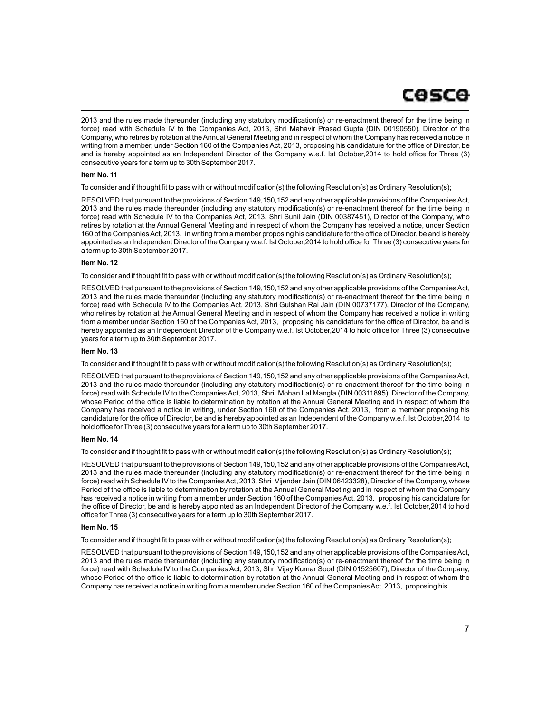2013 and the rules made thereunder (including any statutory modification(s) or re-enactment thereof for the time being in force) read with Schedule IV to the Companies Act, 2013, Shri Mahavir Prasad Gupta (DIN 00190550), Director of the Company, who retires by rotation at the Annual General Meeting and in respect of whom the Company has received a notice in writing from a member, under Section 160 of the Companies Act, 2013, proposing his candidature for the office of Director, be and is hereby appointed as an Independent Director of the Company w.e.f. Ist October,2014 to hold office for Three (3) consecutive years for a term up to 30th September 2017.

#### **Item No. 11**

To consider and if thought fit to pass with or without modification(s) the following Resolution(s) as Ordinary Resolution(s);

RESOLVED that pursuant to the provisions of Section 149,150,152 and any other applicable provisions of the Companies Act, 2013 and the rules made thereunder (including any statutory modification(s) or re-enactment thereof for the time being in force) read with Schedule IV to the Companies Act, 2013, Shri Sunil Jain (DIN 00387451), Director of the Company, who retires by rotation at the Annual General Meeting and in respect of whom the Company has received a notice, under Section 160 of the Companies Act, 2013, in writing from a member proposing his candidature for the office of Director, be and is hereby appointed as an Independent Director of the Company w.e.f. Ist October,2014 to hold office for Three (3) consecutive years for a term up to 30th September 2017.

#### **Item No. 12**

To consider and if thought fit to pass with or without modification(s) the following Resolution(s) as Ordinary Resolution(s);

RESOLVED that pursuant to the provisions of Section 149,150,152 and any other applicable provisions of the Companies Act, 2013 and the rules made thereunder (including any statutory modification(s) or re-enactment thereof for the time being in force) read with Schedule IV to the Companies Act, 2013, Shri Gulshan Rai Jain (DIN 00737177), Director of the Company, who retires by rotation at the Annual General Meeting and in respect of whom the Company has received a notice in writing from a member under Section 160 of the Companies Act, 2013, proposing his candidature for the office of Director, be and is hereby appointed as an Independent Director of the Company w.e.f. Ist October,2014 to hold office for Three (3) consecutive years for a term up to 30th September 2017.

#### **Item No. 13**

To consider and if thought fit to pass with or without modification(s) the following Resolution(s) as Ordinary Resolution(s);

RESOLVED that pursuant to the provisions of Section 149,150,152 and any other applicable provisions of the Companies Act, 2013 and the rules made thereunder (including any statutory modification(s) or re-enactment thereof for the time being in force) read with Schedule IV to the Companies Act, 2013, Shri Mohan Lal Mangla (DIN 00311895), Director of the Company, whose Period of the office is liable to determination by rotation at the Annual General Meeting and in respect of whom the Company has received a notice in writing, under Section 160 of the Companies Act, 2013, from a member proposing his candidature for the office of Director, be and is hereby appointed as an Independent of the Company w.e.f. Ist October,2014 to hold office for Three (3) consecutive years for a term up to 30th September 2017.

#### **Item No. 14**

To consider and if thought fit to pass with or without modification(s) the following Resolution(s) as Ordinary Resolution(s);

RESOLVED that pursuant to the provisions of Section 149,150,152 and any other applicable provisions of the Companies Act, 2013 and the rules made thereunder (including any statutory modification(s) or re-enactment thereof for the time being in force) read with Schedule IV to the Companies Act, 2013, Shri Vijender Jain (DIN 06423328), Director of the Company, whose Period of the office is liable to determination by rotation at the Annual General Meeting and in respect of whom the Company has received a notice in writing from a member under Section 160 of the Companies Act, 2013, proposing his candidature for the office of Director, be and is hereby appointed as an Independent Director of the Company w.e.f. Ist October,2014 to hold office for Three (3) consecutive years for a term up to 30th September 2017.

#### **Item No. 15**

To consider and if thought fit to pass with or without modification(s) the following Resolution(s) as Ordinary Resolution(s);

RESOLVED that pursuant to the provisions of Section 149,150,152 and any other applicable provisions of the Companies Act, 2013 and the rules made thereunder (including any statutory modification(s) or re-enactment thereof for the time being in force) read with Schedule IV to the Companies Act, 2013, Shri Vijay Kumar Sood (DIN 01525607), Director of the Company, whose Period of the office is liable to determination by rotation at the Annual General Meeting and in respect of whom the Company has received a notice in writing from a member under Section 160 of the Companies Act, 2013, proposing his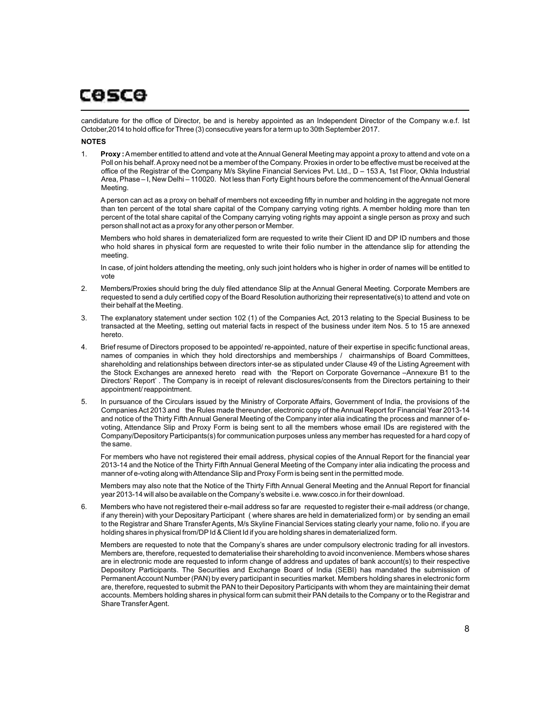candidature for the office of Director, be and is hereby appointed as an Independent Director of the Company w.e.f. Ist October,2014 to hold office for Three (3) consecutive years for a term up to 30th September 2017.

#### **NOTES**

1. **Proxy :**Amember entitled to attend and vote at the Annual General Meeting may appoint a proxy to attend and vote on a Poll on his behalf. Aproxy need not be a member of the Company. Proxies in order to be effective must be received at the office of the Registrar of the Company M/s Skyline Financial Services Pvt. Ltd., D - 153 A, 1st Floor, Okhla Industrial Area, Phase – I, New Delhi – 110020. Not less than Forty Eight hours before the commencement of the Annual General Meeting.

Aperson can act as a proxy on behalf of members not exceeding fifty in number and holding in the aggregate not more than ten percent of the total share capital of the Company carrying voting rights. A member holding more than ten percent of the total share capital of the Company carrying voting rights may appoint a single person as proxy and such person shall not act as a proxy for any other person or Member.

Members who hold shares in dematerialized form are requested to write their Client ID and DP ID numbers and those who hold shares in physical form are requested to write their folio number in the attendance slip for attending the meeting.

In case, of joint holders attending the meeting, only such joint holders who is higher in order of names will be entitled to vote

- 2. Members/Proxies should bring the duly filed attendance Slip at the Annual General Meeting. Corporate Members are requested to send a duly certified copy of the Board Resolution authorizing their representative(s) to attend and vote on their behalf at the Meeting.
- 3. The explanatory statement under section 102 (1) of the Companies Act, 2013 relating to the Special Business to be transacted at the Meeting, setting out material facts in respect of the business under item Nos. 5 to 15 are annexed hereto.
- 4. Brief resume of Directors proposed to be appointed/ re-appointed, nature of their expertise in specific functional areas, names of companies in which they hold directorships and memberships / chairmanships of Board Committees, shareholding and relationships between directors inter-se as stipulated under Clause 49 of the Listing Agreement with the Stock Exchanges are annexed hereto read with the 'Report on Corporate Governance –Annexure B1 to the Directors' Report' . The Company is in receipt of relevant disclosures/consents from the Directors pertaining to their appointment/ reappointment.
- 5. In pursuance of the Circulars issued by the Ministry of Corporate Affairs, Government of India, the provisions of the Companies Act 2013 and the Rules made thereunder, electronic copy of the Annual Report for Financial Year 2013-14 and notice of the Thirty Fifth Annual General Meeting of the Company inter alia indicating the process and manner of evoting, Attendance Slip and Proxy Form is being sent to all the members whose email IDs are registered with the Company/Depository Participants(s) for communication purposes unless any member has requested for a hard copy of the same.

For members who have not registered their email address, physical copies of the Annual Report for the financial year 2013-14 and the Notice of the Thirty Fifth Annual General Meeting of the Company inter alia indicating the process and manner of e-voting along with Attendance Slip and Proxy Form is being sent in the permitted mode.

Members may also note that the Notice of the Thirty Fifth Annual General Meeting and the Annual Report for financial year 2013-14 will also be available on the Company's website i.e. www.cosco.in for their download.

6. Members who have not registered their e-mail address so far are requested to register their e-mail address (or change, if any therein) with your Depositary Participant ( where shares are held in dematerialized form) or by sending an email to the Registrar and Share Transfer Agents, M/s Skyline Financial Services stating clearly your name, folio no. if you are holding shares in physical from/DP Id & Client Id if you are holding shares in dematerialized form.

Members are requested to note that the Company's shares are under compulsory electronic trading for all investors. Members are, therefore, requested to dematerialise their shareholding to avoid inconvenience. Members whose shares are in electronic mode are requested to inform change of address and updates of bank account(s) to their respective Depository Participants. The Securities and Exchange Board of India (SEBI) has mandated the submission of Permanent Account Number (PAN) by every participant in securities market. Members holding shares in electronic form are, therefore, requested to submit the PAN to their Depository Participants with whom they are maintaining their demat accounts. Members holding shares in physical form can submit their PAN details to the Company or to the Registrar and Share Transfer Agent.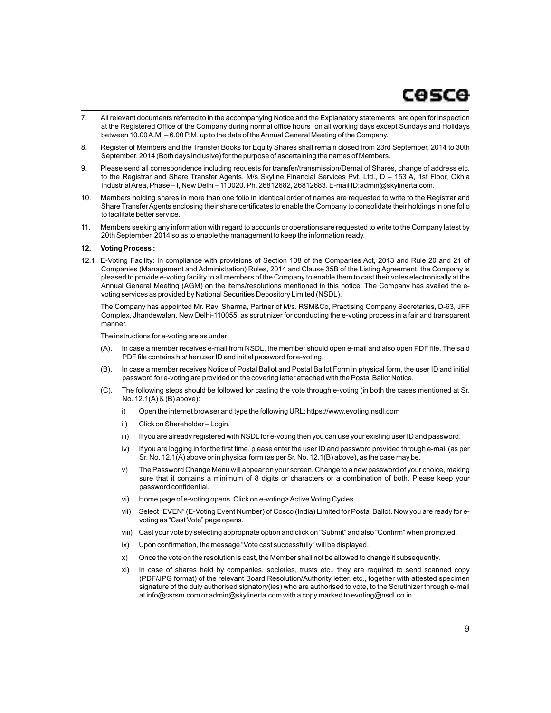# cosce

- 7. All relevant documents referred to in the accompanying Notice and the Explanatory statements are open for inspection at the Registered Office of the Company during normal office hours on all working days except Sundays and Holidays between 10.00 A.M. – 6.00 P.M. up to the date of the Annual General Meeting of the Company.
- 8. Register of Members and the Transfer Books for Equity Shares shall remain closed from 23rd September, 2014 to 30th September, 2014 (Both days inclusive) for the purpose of ascertaining the names of Members.
- 9. Please send all correspondence including requests for transfer/transmission/Demat of Shares, change of address etc. to the Registrar and Share Transfer Agents, M/s Skyline Financial Services Pvt. Ltd., D - 153 A, 1st Floor, Okhla Industrial Area, Phase – I, New Delhi – 110020. Ph. 26812682, 26812683. E-mail ID:admin@skylinerta.com.
- 10. Members holding shares in more than one folio in identical order of names are requested to write to the Registrar and Share Transfer Agents enclosing their share certificates to enable the Company to consolidate their holdings in one folio to facilitate better service.
- 11. Members seeking any information with regard to accounts or operations are requested to write to the Company latest by 20th September, 2014 so as to enable the management to keep the information ready.

#### **12. Voting Process :**

12.1 E-Voting Facility: In compliance with provisions of Section 108 of the Companies Act, 2013 and Rule 20 and 21 of Companies (Management and Administration) Rules, 2014 and Clause 35B of the Listing Agreement, the Company is pleased to provide e-voting facility to all members of the Company to enable them to cast their votes electronically at the Annual General Meeting (AGM) on the items/resolutions mentioned in this notice. The Company has availed the evoting services as provided by National Securities Depository Limited (NSDL).

The Company has appointed Mr. Ravi Sharma, Partner of M/s. RSM&Co, Practising Company Secretaries, D-63, JFF Complex, Jhandewalan, New Delhi-110055; as scrutinizer for conducting the e-voting process in a fair and transparent manner.

The instructions for e-voting are as under:

- (A). In case a member receives e-mail from NSDL, the member should open e-mail and also open PDF file. The said PDF file contains his/ her user ID and initial password for e-voting.
- (B). In case a member receives Notice of Postal Ballot and Postal Ballot Form in physical form, the user ID and initial password for e-voting are provided on the covering letter attached with the Postal Ballot Notice.
- (C). The following steps should be followed for casting the vote through e-voting (in both the cases mentioned at Sr. No. 12.1(A) & (B) above):
	- i) Open the internet browser and type the following URL: https://www.evoting.nsdl.com
	- ii) Click on Shareholder Login.
	- iii) If you are already registered with NSDL for e-voting then you can use your existing user ID and password.
	- iv) If you are logging in for the first time, please enter the user ID and password provided through e-mail (as per Sr. No. 12.1(A) above or in physical form (as per Sr. No. 12.1(B) above), as the case may be.
	- v) The Password Change Menu will appear on your screen. Change to a new password of your choice, making sure that it contains a minimum of 8 digits or characters or a combination of both. Please keep your password confidential.
	- vi) Home page of e-voting opens. Click on e-voting> Active Voting Cycles.
	- vii) Select "EVEN" (E-Voting Event Number) of Cosco (India) Limited for Postal Ballot. Now you are ready for evoting as "Cast Vote" page opens.
	- viii) Cast your vote by selecting appropriate option and click on "Submit" and also "Confirm" when prompted.
	- ix) Upon confirmation, the message "Vote cast successfully" will be displayed.
	- x) Once the vote on the resolution is cast, the Member shall not be allowed to change it subsequently.
	- xi) In case of shares held by companies, societies, trusts etc., they are required to send scanned copy (PDF/JPG format) of the relevant Board Resolution/Authority letter, etc., together with attested specimen signature of the duly authorised signatory(ies) who are authorised to vote, to the Scrutinizer through e-mail at info@csrsm.com or admin@skylinerta.com with a copy marked to evoting@nsdl.co.in.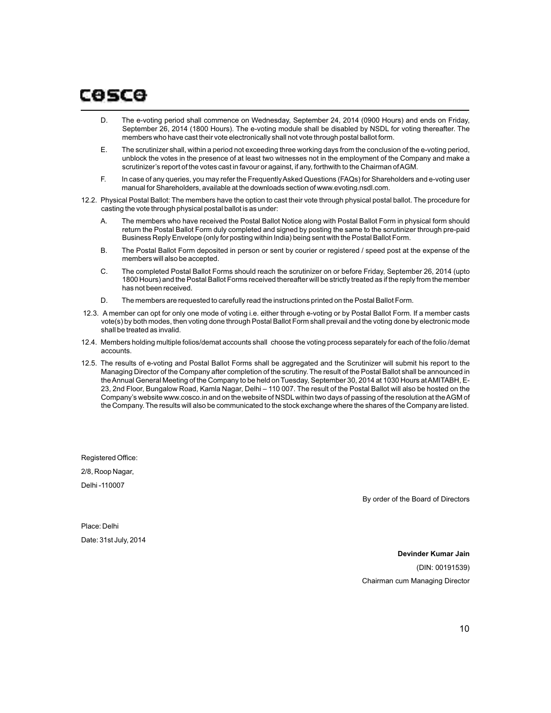# COSCO

- D. The e-voting period shall commence on Wednesday, September 24, 2014 (0900 Hours) and ends on Friday, September 26, 2014 (1800 Hours). The e-voting module shall be disabled by NSDL for voting thereafter. The members who have cast their vote electronically shall not vote through postal ballot form.
- E. The scrutinizer shall, within a period not exceeding three working days from the conclusion of the e-voting period, unblock the votes in the presence of at least two witnesses not in the employment of the Company and make a scrutinizer's report of the votes cast in favour or against, if any, forthwith to the Chairman of AGM.
- F. In case of any queries, you may refer the Frequently Asked Questions (FAQs) for Shareholders and e-voting user manual for Shareholders, available at the downloads section of www.evoting.nsdl.com.
- 12.2. Physical Postal Ballot: The members have the option to cast their vote through physical postal ballot. The procedure for casting the vote through physical postal ballot is as under:
	- A. The members who have received the Postal Ballot Notice along with Postal Ballot Form in physical form should return the Postal Ballot Form duly completed and signed by posting the same to the scrutinizer through pre-paid Business Reply Envelope (only for posting within India) being sent with the Postal Ballot Form.
	- B. The Postal Ballot Form deposited in person or sent by courier or registered / speed post at the expense of the members will also be accepted.
	- C. The completed Postal Ballot Forms should reach the scrutinizer on or before Friday, September 26, 2014 (upto 1800 Hours) and the Postal Ballot Forms received thereafter will be strictly treated as if the reply from the member has not been received.
	- D. The members are requested to carefully read the instructions printed on the Postal Ballot Form.
- 12.3. A member can opt for only one mode of voting i.e. either through e-voting or by Postal Ballot Form. If a member casts vote(s) by both modes, then voting done through Postal Ballot Form shall prevail and the voting done by electronic mode shall be treated as invalid.
- 12.4. Members holding multiple folios/demat accounts shall choose the voting process separately for each of the folio /demat accounts.
- 12.5. The results of e-voting and Postal Ballot Forms shall be aggregated and the Scrutinizer will submit his report to the Managing Director of the Company after completion of the scrutiny. The result of the Postal Ballot shall be announced in the Annual General Meeting of the Company to be held on Tuesday, September 30, 2014 at 1030 Hours at AMITABH, E-23, 2nd Floor, Bungalow Road, Kamla Nagar, Delhi – 110 007. The result of the Postal Ballot will also be hosted on the Company's website www.cosco.in and on the website of NSDLwithin two days of passing of the resolution at the AGM of the Company. The results will also be communicated to the stock exchange where the shares of the Company are listed.

Registered Office: 2/8, Roop Nagar, Delhi -110007

By order of the Board of Directors

Place: Delhi Date: 31st July, 2014

> **Devinder Kumar Jain** (DIN: 00191539) Chairman cum Managing Director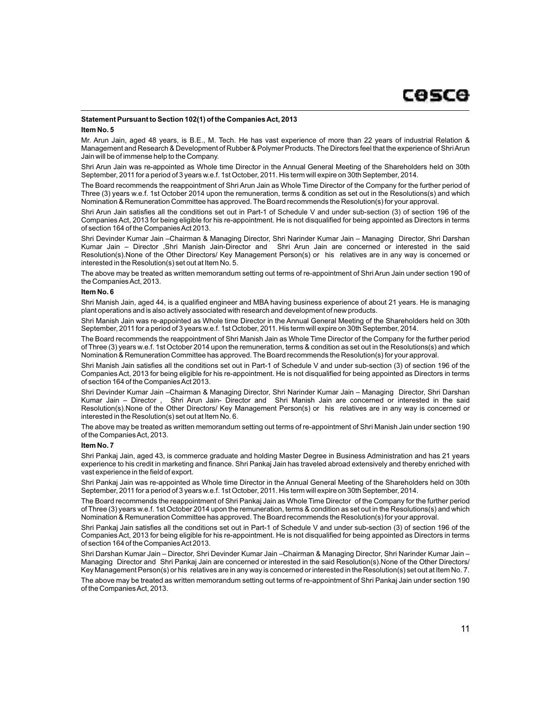# **Statement Pursuant to Section 102(1) of the Companies Act, 2013**

#### **Item No. 5**

Mr. Arun Jain, aged 48 years, is B.E., M. Tech. He has vast experience of more than 22 years of industrial Relation & Management and Research & Development of Rubber & Polymer Products. The Directors feel that the experience of Shri Arun Jain will be of immense help to the Company.

Shri Arun Jain was re-appointed as Whole time Director in the Annual General Meeting of the Shareholders held on 30th September, 2011 for a period of 3 years w.e.f. 1st October, 2011. His term will expire on 30th September, 2014.

The Board recommends the reappointment of Shri Arun Jain as Whole Time Director of the Company for the further period of Three (3) years w.e.f. 1st October 2014 upon the remuneration, terms & condition as set out in the Resolutions(s) and which Nomination & Remuneration Committee has approved. The Board recommends the Resolution(s) for your approval.

Shri Arun Jain satisfies all the conditions set out in Part-1 of Schedule V and under sub-section (3) of section 196 of the Companies Act, 2013 for being eligible for his re-appointment. He is not disqualified for being appointed as Directors in terms of section 164 of the Companies Act 2013.

Shri Devinder Kumar Jain –Chairman & Managing Director, Shri Narinder Kumar Jain – Managing Director, Shri Darshan Kumar Jain – Director ,Shri Manish Jain-Director and Shri Arun Jain are concerned or interested in the said Resolution(s).None of the Other Directors/ Key Management Person(s) or his relatives are in any way is concerned or interested in the Resolution(s) set out at Item No. 5.

The above may be treated as written memorandum setting out terms of re-appointment of Shri Arun Jain under section 190 of the Companies Act, 2013.

#### **Item No. 6**

Shri Manish Jain, aged 44, is a qualified engineer and MBA having business experience of about 21 years. He is managing plant operations and is also actively associated with research and development of new products.

Shri Manish Jain was re-appointed as Whole time Director in the Annual General Meeting of the Shareholders held on 30th September, 2011 for a period of 3 years w.e.f. 1st October, 2011. His term will expire on 30th September, 2014.

The Board recommends the reappointment of Shri Manish Jain as Whole Time Director of the Company for the further period of Three (3) years w.e.f. 1st October 2014 upon the remuneration, terms & condition as set out in the Resolutions(s) and which Nomination & Remuneration Committee has approved. The Board recommends the Resolution(s) for your approval.

Shri Manish Jain satisfies all the conditions set out in Part-1 of Schedule V and under sub-section (3) of section 196 of the Companies Act, 2013 for being eligible for his re-appointment. He is not disqualified for being appointed as Directors in terms of section 164 of the Companies Act 2013.

Shri Devinder Kumar Jain –Chairman & Managing Director, Shri Narinder Kumar Jain – Managing Director, Shri Darshan Kumar Jain – Director , Shri Arun Jain- Director and Shri Manish Jain are concerned or interested in the said Resolution(s).None of the Other Directors/ Key Management Person(s) or his relatives are in any way is concerned or interested in the Resolution(s) set out at Item No. 6.

The above may be treated as written memorandum setting out terms of re-appointment of Shri Manish Jain under section 190 of the Companies Act, 2013.

# **Item No. 7**

Shri Pankaj Jain, aged 43, is commerce graduate and holding Master Degree in Business Administration and has 21 years experience to his credit in marketing and finance. Shri Pankaj Jain has traveled abroad extensively and thereby enriched with vast experience in the field of export.

Shri Pankaj Jain was re-appointed as Whole time Director in the Annual General Meeting of the Shareholders held on 30th September, 2011 for a period of 3 years w.e.f. 1st October, 2011. His term will expire on 30th September, 2014.

The Board recommends the reappointment of Shri Pankaj Jain as Whole Time Director of the Company for the further period of Three (3) years w.e.f. 1st October 2014 upon the remuneration, terms & condition as set out in the Resolutions(s) and which Nomination & Remuneration Committee has approved. The Board recommends the Resolution(s) for your approval.

Shri Pankaj Jain satisfies all the conditions set out in Part-1 of Schedule V and under sub-section (3) of section 196 of the Companies Act, 2013 for being eligible for his re-appointment. He is not disqualified for being appointed as Directors in terms of section 164 of the Companies Act 2013.

Shri Darshan Kumar Jain – Director, Shri Devinder Kumar Jain –Chairman & Managing Director, Shri Narinder Kumar Jain – Managing Director and Shri Pankaj Jain are concerned or interested in the said Resolution(s).None of the Other Directors/ Key Management Person(s) or his relatives are in any way is concerned or interested in the Resolution(s) set out at Item No. 7.

The above may be treated as written memorandum setting out terms of re-appointment of Shri Pankaj Jain under section 190 of the Companies Act, 2013.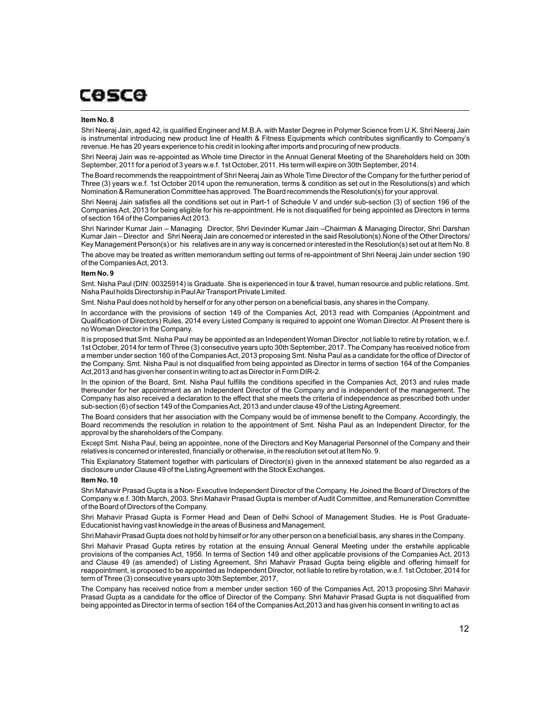#### **Item No. 8**

Shri Neeraj Jain, aged 42, is qualified Engineer and M.B.A. with Master Degree in Polymer Science from U.K. Shri Neeraj Jain is instrumental introducing new product line of Health & Fitness Equipments which contributes significantly to Company's revenue. He has 20 years experience to his credit in looking after imports and procuring of new products.

Shri Neeraj Jain was re-appointed as Whole time Director in the Annual General Meeting of the Shareholders held on 30th September, 2011 for a period of 3 years w.e.f. 1st October, 2011. His term will expire on 30th September, 2014.

The Board recommends the reappointment of Shri Neeraj Jain as Whole Time Director of the Company for the further period of Three (3) years w.e.f. 1st October 2014 upon the remuneration, terms & condition as set out in the Resolutions(s) and which Nomination & Remuneration Committee has approved. The Board recommends the Resolution(s) for your approval.

Shri Neeraj Jain satisfies all the conditions set out in Part-1 of Schedule V and under sub-section (3) of section 196 of the Companies Act, 2013 for being eligible for his re-appointment. He is not disqualified for being appointed as Directors in terms of section 164 of the Companies Act 2013.

Shri Narinder Kumar Jain – Managing Director, Shri Devinder Kumar Jain –Chairman & Managing Director, Shri Darshan Kumar Jain – Director and Shri Neeraj Jain are concerned or interested in the said Resolution(s).None of the Other Directors/ Key Management Person(s) or his relatives are in any way is concerned or interested in the Resolution(s) set out at Item No. 8 The above may be treated as written memorandum setting out terms of re-appointment of Shri Neeraj Jain under section 190 of the Companies Act, 2013.

#### **Item No. 9**

Smt. Nisha Paul (DIN: 00325914) is Graduate. She is experienced in tour & travel, human resource and public relations. Smt. Nisha Paul holds Directorship in Paul Air Transport Private Limited.

Smt. Nisha Paul does not hold by herself or for any other person on a beneficial basis, any shares in the Company.

In accordance with the provisions of section 149 of the Companies Act, 2013 read with Companies (Appointment and Qualification of Directors) Rules, 2014 every Listed Company is required to appoint one Woman Director. At Present there is no Woman Director in the Company.

It is proposed that Smt. Nisha Paul may be appointed as an Independent Woman Director ,not liable to retire by rotation, w.e.f. 1st October, 2014 for term of Three (3) consecutive years upto 30th September, 2017. The Company has received notice from a member under section 160 of the Companies Act, 2013 proposing Smt. Nisha Paul as a candidate for the office of Director of the Company. Smt. Nisha Paul is not disqualified from being appointed as Director in terms of section 164 of the Companies Act,2013 and has given her consent in writing to act as Director in Form DIR-2.

In the opinion of the Board, Smt. Nisha Paul fulfills the conditions specified in the Companies Act, 2013 and rules made thereunder for her appointment as an Independent Director of the Company and is independent of the management. The Company has also received a declaration to the effect that she meets the criteria of independence as prescribed both under sub-section (6) of section 149 of the Companies Act, 2013 and under clause 49 of the Listing Agreement.

The Board considers that her association with the Company would be of immense benefit to the Company. Accordingly, the Board recommends the resolution in relation to the appointment of Smt. Nisha Paul as an Independent Director, for the approval by the shareholders of the Company.

Except Smt. Nisha Paul, being an appointee, none of the Directors and Key Managerial Personnel of the Company and their relatives is concerned or interested, financially or otherwise, in the resolution set out at Item No. 9.

This Explanatory Statement together with particulars of Director(s) given in the annexed statement be also regarded as a disclosure under Clause 49 of the Listing Agreement with the Stock Exchanges.

#### **Item No. 10**

Shri Mahavir Prasad Gupta is a Non- Executive Independent Director of the Company. He Joined the Board of Directors of the Company w.e.f. 30th March, 2003. Shri Mahavir Prasad Gupta is member of Audit Committee, and Remuneration Committee of the Board of Directors of the Company.

Shri Mahavir Prasad Gupta is Former Head and Dean of Delhi School of Management Studies. He is Post Graduate-Educationist having vast knowledge in the areas of Business and Management.

Shri Mahavir Prasad Gupta does not hold by himself or for any other person on a beneficial basis, any shares in the Company.

Shri Mahavir Prasad Gupta retires by rotation at the ensuing Annual General Meeting under the erstwhile applicable provisions of the companies Act, 1956. In terms of Section 149 and other applicable provisions of the Companies Act, 2013 and Clause 49 (as amended) of Listing Agreement, Shri Mahavir Prasad Gupta being eligible and offering himself for reappointment, is proposed to be appointed as Independent Director, not liable to retire by rotation, w.e.f. 1st October, 2014 for term of Three (3) consecutive years upto 30th September, 2017,

The Company has received notice from a member under section 160 of the Companies Act, 2013 proposing Shri Mahavir Prasad Gupta as a candidate for the office of Director of the Company. Shri Mahavir Prasad Gupta is not disqualified from being appointed as Director in terms of section 164 of the Companies Act,2013 and has given his consent in writing to act as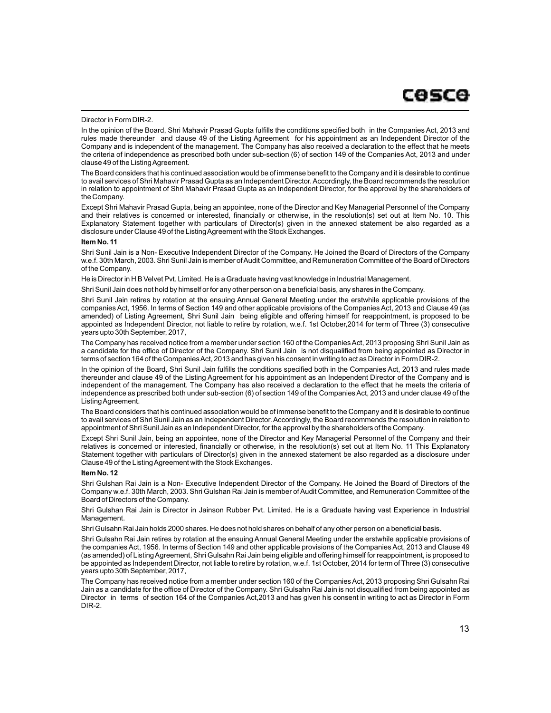#### Director in Form DIR-2.

In the opinion of the Board, Shri Mahavir Prasad Gupta fulfills the conditions specified both in the Companies Act, 2013 and rules made thereunder and clause 49 of the Listing Agreement for his appointment as an Independent Director of the Company and is independent of the management. The Company has also received a declaration to the effect that he meets the criteria of independence as prescribed both under sub-section (6) of section 149 of the Companies Act, 2013 and under clause 49 of the Listing Agreement.

The Board considers that his continued association would be of immense benefit to the Company and it is desirable to continue to avail services of Shri Mahavir Prasad Gupta as an Independent Director. Accordingly, the Board recommends the resolution in relation to appointment of Shri Mahavir Prasad Gupta as an Independent Director, for the approval by the shareholders of the Company.

Except Shri Mahavir Prasad Gupta, being an appointee, none of the Director and Key Managerial Personnel of the Company and their relatives is concerned or interested, financially or otherwise, in the resolution(s) set out at Item No. 10. This Explanatory Statement together with particulars of Director(s) given in the annexed statement be also regarded as a disclosure under Clause 49 of the Listing Agreement with the Stock Exchanges.

#### **Item No. 11**

Shri Sunil Jain is a Non- Executive Independent Director of the Company. He Joined the Board of Directors of the Company w.e.f. 30th March, 2003. Shri Sunil Jain is member of Audit Committee, and Remuneration Committee of the Board of Directors of the Company.

He is Director in H B Velvet Pvt. Limited. He is a Graduate having vast knowledge in Industrial Management.

Shri Sunil Jain does not hold by himself or for any other person on a beneficial basis, any shares in the Company.

Shri Sunil Jain retires by rotation at the ensuing Annual General Meeting under the erstwhile applicable provisions of the companies Act, 1956. In terms of Section 149 and other applicable provisions of the Companies Act, 2013 and Clause 49 (as amended) of Listing Agreement, Shri Sunil Jain being eligible and offering himself for reappointment, is proposed to be appointed as Independent Director, not liable to retire by rotation, w.e.f. 1st October,2014 for term of Three (3) consecutive years upto 30th September, 2017,

The Company has received notice from a member under section 160 of the Companies Act, 2013 proposing Shri Sunil Jain as a candidate for the office of Director of the Company. Shri Sunil Jain is not disqualified from being appointed as Director in terms of section 164 of the Companies Act, 2013 and has given his consent in writing to act as Director in Form DIR-2.

In the opinion of the Board, Shri Sunil Jain fulfills the conditions specified both in the Companies Act, 2013 and rules made thereunder and clause 49 of the Listing Agreement for his appointment as an Independent Director of the Company and is independent of the management. The Company has also received a declaration to the effect that he meets the criteria of independence as prescribed both under sub-section (6) of section 149 of the Companies Act, 2013 and under clause 49 of the Listing Agreement.

The Board considers that his continued association would be of immense benefit to the Company and it is desirable to continue to avail services of Shri Sunil Jain as an Independent Director. Accordingly, the Board recommends the resolution in relation to appointment of Shri Sunil Jain as an Independent Director, for the approval by the shareholders of the Company.

Except Shri Sunil Jain, being an appointee, none of the Director and Key Managerial Personnel of the Company and their relatives is concerned or interested, financially or otherwise, in the resolution(s) set out at Item No. 11 This Explanatory Statement together with particulars of Director(s) given in the annexed statement be also regarded as a disclosure under Clause 49 of the Listing Agreement with the Stock Exchanges.

#### **Item No. 12**

Shri Gulshan Rai Jain is a Non- Executive Independent Director of the Company. He Joined the Board of Directors of the Company w.e.f. 30th March, 2003. Shri Gulshan Rai Jain is member of Audit Committee, and Remuneration Committee of the Board of Directors of the Company.

Shri Gulshan Rai Jain is Director in Jainson Rubber Pvt. Limited. He is a Graduate having vast Experience in Industrial Management.

Shri Gulsahn Rai Jain holds 2000 shares. He does not hold shares on behalf of any other person on a beneficial basis.

Shri Gulsahn Rai Jain retires by rotation at the ensuing Annual General Meeting under the erstwhile applicable provisions of the companies Act, 1956. In terms of Section 149 and other applicable provisions of the Companies Act, 2013 and Clause 49 (as amended) of Listing Agreement, Shri Gulsahn Rai Jain being eligible and offering himself for reappointment, is proposed to be appointed as Independent Director, not liable to retire by rotation, w.e.f. 1st October, 2014 for term of Three (3) consecutive years upto 30th September, 2017,

The Company has received notice from a member under section 160 of the Companies Act, 2013 proposing Shri Gulsahn Rai Jain as a candidate for the office of Director of the Company. Shri Gulsahn Rai Jain is not disqualified from being appointed as Director in terms of section 164 of the Companies Act,2013 and has given his consent in writing to act as Director in Form DIR-2.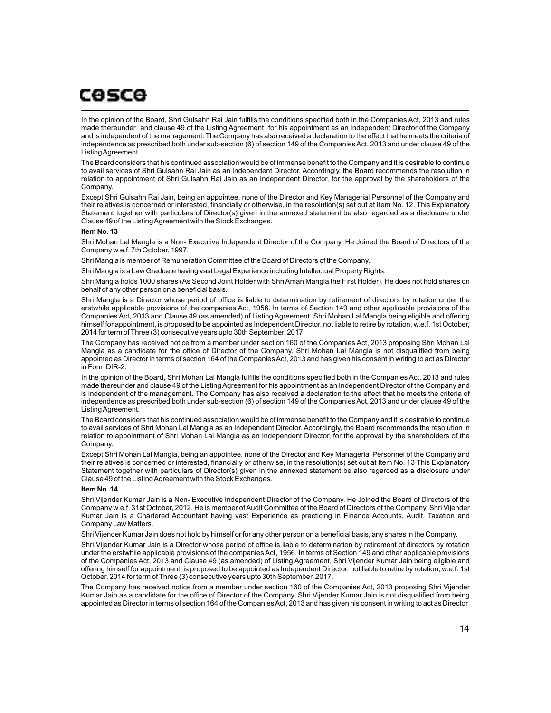In the opinion of the Board, Shri Gulsahn Rai Jain fulfills the conditions specified both in the Companies Act, 2013 and rules made thereunder and clause 49 of the Listing Agreement for his appointment as an Independent Director of the Company and is independent of the management. The Company has also received a declaration to the effect that he meets the criteria of independence as prescribed both under sub-section (6) of section 149 of the Companies Act, 2013 and under clause 49 of the Listing Agreement.

The Board considers that his continued association would be of immense benefit to the Company and it is desirable to continue to avail services of Shri Gulsahn Rai Jain as an Independent Director. Accordingly, the Board recommends the resolution in relation to appointment of Shri Gulsahn Rai Jain as an Independent Director, for the approval by the shareholders of the Company.

Except Shri Gulsahn Rai Jain, being an appointee, none of the Director and Key Managerial Personnel of the Company and their relatives is concerned or interested, financially or otherwise, in the resolution(s) set out at Item No. 12. This Explanatory Statement together with particulars of Director(s) given in the annexed statement be also regarded as a disclosure under Clause 49 of the Listing Agreement with the Stock Exchanges.

#### **Item No. 13**

Shri Mohan Lal Mangla is a Non- Executive Independent Director of the Company. He Joined the Board of Directors of the Company w.e.f. 7th October, 1997.

Shri Mangla is member of Remuneration Committee of the Board of Directors of the Company.

Shri Mangla is a Law Graduate having vast Legal Experience including Intellectual Property Rights.

Shri Mangla holds 1000 shares (As Second Joint Holder with Shri Aman Mangla the First Holder). He does not hold shares on behalf of any other person on a beneficial basis.

Shri Mangla is a Director whose period of office is liable to determination by retirement of directors by rotation under the erstwhile applicable provisions of the companies Act, 1956. In terms of Section 149 and other applicable provisions of the Companies Act, 2013 and Clause 49 (as amended) of Listing Agreement, Shri Mohan Lal Mangla being eligible and offering himself for appointment, is proposed to be appointed as Independent Director, not liable to retire by rotation, w.e.f. 1st October, 2014 for term of Three (3) consecutive years upto 30th September, 2017.

The Company has received notice from a member under section 160 of the Companies Act, 2013 proposing Shri Mohan Lal Mangla as a candidate for the office of Director of the Company. Shri Mohan Lal Mangla is not disqualified from being appointed as Director in terms of section 164 of the Companies Act, 2013 and has given his consent in writing to act as Director in Form DIR-2.

In the opinion of the Board, Shri Mohan Lal Mangla fulfills the conditions specified both in the Companies Act, 2013 and rules made thereunder and clause 49 of the Listing Agreement for his appointment as an Independent Director of the Company and is independent of the management. The Company has also received a declaration to the effect that he meets the criteria of independence as prescribed both under sub-section (6) of section 149 of the Companies Act, 2013 and under clause 49 of the Listing Agreement.

The Board considers that his continued association would be of immense benefit to the Company and it is desirable to continue to avail services of Shri Mohan Lal Mangla as an Independent Director. Accordingly, the Board recommends the resolution in relation to appointment of Shri Mohan Lal Mangla as an Independent Director, for the approval by the shareholders of the Company.

Except Shri Mohan Lal Mangla, being an appointee, none of the Director and Key Managerial Personnel of the Company and their relatives is concerned or interested, financially or otherwise, in the resolution(s) set out at Item No. 13 This Explanatory Statement together with particulars of Director(s) given in the annexed statement be also regarded as a disclosure under Clause 49 of the Listing Agreement with the Stock Exchanges.

#### **Item No. 14**

Shri Vijender Kumar Jain is a Non- Executive Independent Director of the Company. He Joined the Board of Directors of the Company w.e.f. 31st October, 2012. He is member of Audit Committee of the Board of Directors of the Company. Shri Vijender Kumar Jain is a Chartered Accountant having vast Experience as practicing in Finance Accounts, Audit, Taxation and Company Law Matters.

Shri Vijender Kumar Jain does not hold by himself or for any other person on a beneficial basis, any shares in the Company.

Shri Vijender Kumar Jain is a Director whose period of office is liable to determination by retirement of directors by rotation under the erstwhile applicable provisions of the companies Act, 1956. In terms of Section 149 and other applicable provisions of the Companies Act, 2013 and Clause 49 (as amended) of Listing Agreement, Shri Vijender Kumar Jain being eligible and offering himself for appointment, is proposed to be appointed as Independent Director, not liable to retire by rotation, w.e.f. 1st October, 2014 for term of Three (3) consecutive years upto 30th September, 2017.

The Company has received notice from a member under section 160 of the Companies Act, 2013 proposing Shri Vijender Kumar Jain as a candidate for the office of Director of the Company. Shri Vijender Kumar Jain is not disqualified from being appointed as Director in terms of section 164 of the Companies Act, 2013 and has given his consent in writing to act as Director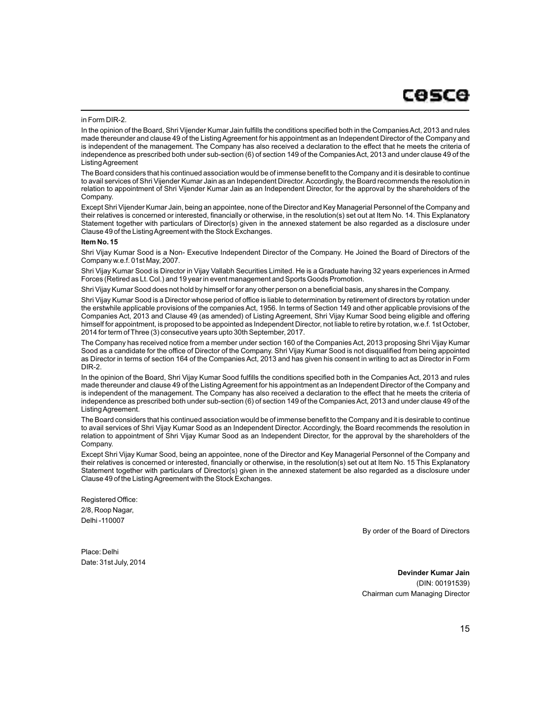#### in Form DIR-2.

In the opinion of the Board, Shri Vijender Kumar Jain fulfills the conditions specified both in the Companies Act, 2013 and rules made thereunder and clause 49 of the Listing Agreement for his appointment as an Independent Director of the Company and is independent of the management. The Company has also received a declaration to the effect that he meets the criteria of independence as prescribed both under sub-section (6) of section 149 of the Companies Act, 2013 and under clause 49 of the Listing Agreement

The Board considers that his continued association would be of immense benefit to the Company and it is desirable to continue to avail services of Shri Vijender Kumar Jain as an Independent Director. Accordingly, the Board recommends the resolution in relation to appointment of Shri Vijender Kumar Jain as an Independent Director, for the approval by the shareholders of the Company.

Except Shri Vijender Kumar Jain, being an appointee, none of the Director and Key Managerial Personnel of the Company and their relatives is concerned or interested, financially or otherwise, in the resolution(s) set out at Item No. 14. This Explanatory Statement together with particulars of Director(s) given in the annexed statement be also regarded as a disclosure under Clause 49 of the Listing Agreement with the Stock Exchanges.

#### **Item No. 15**

Shri Vijay Kumar Sood is a Non- Executive Independent Director of the Company. He Joined the Board of Directors of the Company w.e.f. 01st May, 2007.

Shri Vijay Kumar Sood is Director in Vijay Vallabh Securities Limited. He is a Graduate having 32 years experiences in Armed Forces (Retired as Lt. Col.) and 19 year in event management and Sports Goods Promotion.

Shri Vijay Kumar Sood does not hold by himself or for any other person on a beneficial basis, any shares in the Company.

Shri Vijay Kumar Sood is a Director whose period of office is liable to determination by retirement of directors by rotation under the erstwhile applicable provisions of the companies Act, 1956. In terms of Section 149 and other applicable provisions of the Companies Act, 2013 and Clause 49 (as amended) of Listing Agreement, Shri Vijay Kumar Sood being eligible and offering himself for appointment, is proposed to be appointed as Independent Director, not liable to retire by rotation, w.e.f. 1st October, 2014 for term of Three (3) consecutive years upto 30th September, 2017.

The Company has received notice from a member under section 160 of the Companies Act, 2013 proposing Shri Vijay Kumar Sood as a candidate for the office of Director of the Company. Shri Vijay Kumar Sood is not disqualified from being appointed as Director in terms of section 164 of the Companies Act, 2013 and has given his consent in writing to act as Director in Form DIR-2.

In the opinion of the Board, Shri Vijay Kumar Sood fulfills the conditions specified both in the Companies Act, 2013 and rules made thereunder and clause 49 of the Listing Agreement for his appointment as an Independent Director of the Company and is independent of the management. The Company has also received a declaration to the effect that he meets the criteria of independence as prescribed both under sub-section (6) of section 149 of the Companies Act, 2013 and under clause 49 of the Listing Agreement.

The Board considers that his continued association would be of immense benefit to the Company and it is desirable to continue to avail services of Shri Vijay Kumar Sood as an Independent Director. Accordingly, the Board recommends the resolution in relation to appointment of Shri Vijay Kumar Sood as an Independent Director, for the approval by the shareholders of the Company.

Except Shri Vijay Kumar Sood, being an appointee, none of the Director and Key Managerial Personnel of the Company and their relatives is concerned or interested, financially or otherwise, in the resolution(s) set out at Item No. 15 This Explanatory Statement together with particulars of Director(s) given in the annexed statement be also regarded as a disclosure under Clause 49 of the Listing Agreement with the Stock Exchanges.

Registered Office: 2/8, Roop Nagar, Delhi -110007

By order of the Board of Directors

Place: Delhi Date: 31st July, 2014

> **Devinder Kumar Jain** (DIN: 00191539) Chairman cum Managing Director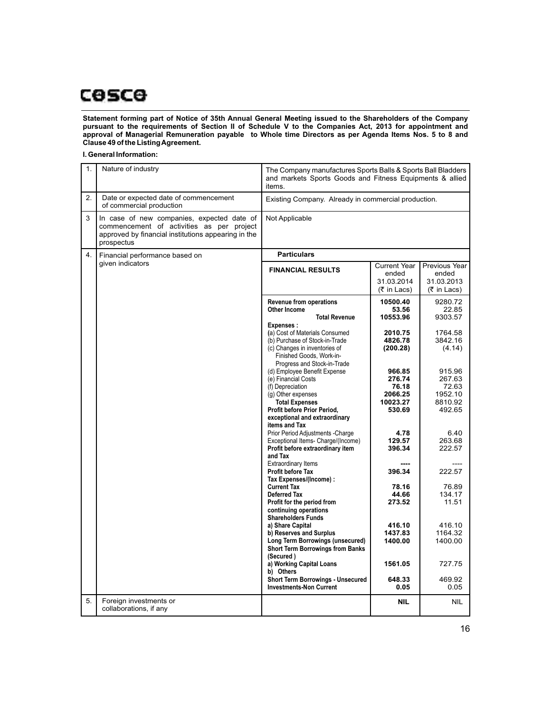**Statement forming part of Notice of 35th Annual General Meeting issued to the Shareholders of the Company pursuant to the requirements of Section II of Schedule V to the Companies Act, 2013 for appointment and approval of Managerial Remuneration payable to Whole time Directors as per Agenda Items Nos. 5 to 8 and Clause 49 of the Listing Agreement.**

### **I. General Information:**

| 1. | Nature of industry                                                                                                                                           | The Company manufactures Sports Balls & Sports Ball Bladders<br>and markets Sports Goods and Fitness Equipments & allied<br>items.                           |                                                                        |                                                                  |
|----|--------------------------------------------------------------------------------------------------------------------------------------------------------------|--------------------------------------------------------------------------------------------------------------------------------------------------------------|------------------------------------------------------------------------|------------------------------------------------------------------|
| 2. | Date or expected date of commencement<br>of commercial production                                                                                            | Existing Company. Already in commercial production.                                                                                                          |                                                                        |                                                                  |
| 3  | In case of new companies, expected date of<br>commencement of activities as per project<br>approved by financial institutions appearing in the<br>prospectus | Not Applicable                                                                                                                                               |                                                                        |                                                                  |
| 4. | Financial performance based on                                                                                                                               | <b>Particulars</b>                                                                                                                                           |                                                                        |                                                                  |
|    | given indicators                                                                                                                                             | <b>FINANCIAL RESULTS</b>                                                                                                                                     | <b>Current Year</b><br>ended<br>31.03.2014<br>$(5 \in \text{Ln}$ Lacs) | Previous Year<br>ended<br>31.03.2013<br>$(5 \in \text{In}$ Lacs) |
|    |                                                                                                                                                              | <b>Revenue from operations</b><br>Other Income<br><b>Total Revenue</b><br>Expenses:                                                                          | 10500.40<br>53.56<br>10553.96                                          | 9280.72<br>22.85<br>9303.57                                      |
|    |                                                                                                                                                              | (a) Cost of Materials Consumed<br>(b) Purchase of Stock-in-Trade<br>(c) Changes in inventories of<br>Finished Goods, Work-in-<br>Progress and Stock-in-Trade | 2010.75<br>4826.78<br>(200.28)                                         | 1764.58<br>3842.16<br>(4.14)                                     |
|    |                                                                                                                                                              | (d) Employee Benefit Expense<br>(e) Financial Costs<br>(f) Depreciation<br>(g) Other expenses                                                                | 966.85<br>276.74<br>76.18<br>2066.25                                   | 915.96<br>267.63<br>72.63<br>1952.10                             |
|    |                                                                                                                                                              | <b>Total Expenses</b><br>Profit before Prior Period,<br>exceptional and extraordinary<br>items and Tax                                                       | 10023.27<br>530.69                                                     | 8810.92<br>492.65                                                |
|    |                                                                                                                                                              | Prior Period Adjustments - Charge<br>Exceptional Items- Charge/(Income)<br>Profit before extraordinary item<br>and Tax                                       | 4.78<br>129.57<br>396.34                                               | 6.40<br>263.68<br>222.57                                         |
|    |                                                                                                                                                              | Extraordinary Items<br><b>Profit before Tax</b><br>Tax Expenses/(Income) :                                                                                   | 396.34                                                                 | 222.57                                                           |
|    |                                                                                                                                                              | <b>Current Tax</b><br><b>Deferred Tax</b><br>Profit for the period from<br>continuing operations<br><b>Shareholders Funds</b>                                | 78.16<br>44.66<br>273.52                                               | 76.89<br>134.17<br>11.51                                         |
|    |                                                                                                                                                              | a) Share Capital<br>b) Reserves and Surplus<br>Long Term Borrowings (unsecured)<br><b>Short Term Borrowings from Banks</b><br>(Secured)                      | 416.10<br>1437.83<br>1400.00                                           | 416.10<br>1164.32<br>1400.00                                     |
|    |                                                                                                                                                              | a) Working Capital Loans<br>b) Others<br><b>Short Term Borrowings - Unsecured</b><br><b>Investments-Non Current</b>                                          | 1561.05<br>648.33<br>0.05                                              | 727.75<br>469.92<br>0.05                                         |
| 5. | Foreign investments or<br>collaborations, if any                                                                                                             |                                                                                                                                                              | <b>NIL</b>                                                             | NIL.                                                             |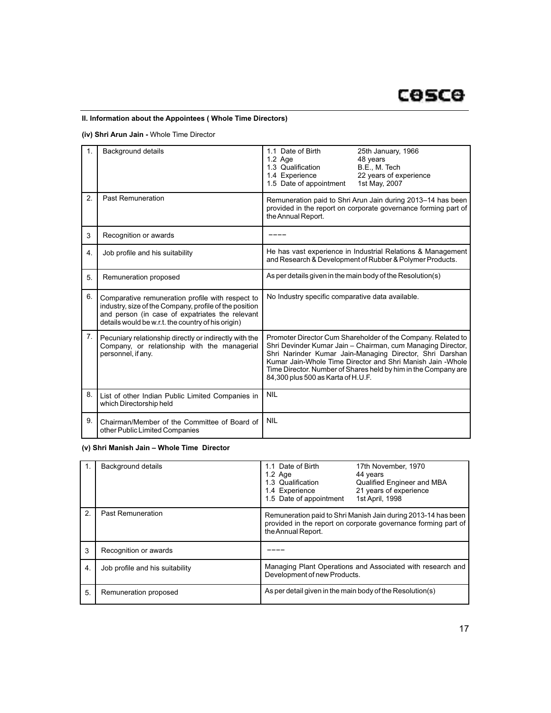# **II. Information about the Appointees ( Whole Time Directors)**

**(iv) Shri Arun Jain -** Whole Time Director

| 1. | <b>Background details</b>                                                                                                                                                                                           | 1.1 Date of Birth<br>25th January, 1966<br>48 years<br>$1.2$ Age<br>1.3 Qualification<br>B.E., M. Tech<br>1.4 Experience<br>22 years of experience<br>1.5 Date of appointment<br>1st May, 2007                                                                                                                                                                 |  |
|----|---------------------------------------------------------------------------------------------------------------------------------------------------------------------------------------------------------------------|----------------------------------------------------------------------------------------------------------------------------------------------------------------------------------------------------------------------------------------------------------------------------------------------------------------------------------------------------------------|--|
| 2. | <b>Past Remuneration</b>                                                                                                                                                                                            | Remuneration paid to Shri Arun Jain during 2013-14 has been<br>provided in the report on corporate governance forming part of<br>the Annual Report.                                                                                                                                                                                                            |  |
| 3  | Recognition or awards                                                                                                                                                                                               |                                                                                                                                                                                                                                                                                                                                                                |  |
| 4. | Job profile and his suitability                                                                                                                                                                                     | He has vast experience in Industrial Relations & Management<br>and Research & Development of Rubber & Polymer Products.                                                                                                                                                                                                                                        |  |
| 5. | Remuneration proposed                                                                                                                                                                                               | As per details given in the main body of the Resolution(s)                                                                                                                                                                                                                                                                                                     |  |
| 6. | Comparative remuneration profile with respect to<br>industry, size of the Company, profile of the position<br>and person (in case of expatriates the relevant<br>details would be w.r.t. the country of his origin) | No Industry specific comparative data available.                                                                                                                                                                                                                                                                                                               |  |
| 7. | Pecuniary relationship directly or indirectly with the<br>Company, or relationship with the managerial<br>personnel, if any.                                                                                        | Promoter Director Cum Shareholder of the Company. Related to<br>Shri Devinder Kumar Jain - Chairman, cum Managing Director,<br>Shri Narinder Kumar Jain-Managing Director, Shri Darshan<br>Kumar Jain-Whole Time Director and Shri Manish Jain - Whole<br>Time Director. Number of Shares held by him in the Company are<br>84,300 plus 500 as Karta of H.U.F. |  |
| 8. | List of other Indian Public Limited Companies in<br>which Directorship held                                                                                                                                         | <b>NIL</b>                                                                                                                                                                                                                                                                                                                                                     |  |
| 9. | Chairman/Member of the Committee of Board of<br>other Public Limited Companies                                                                                                                                      | <b>NIL</b>                                                                                                                                                                                                                                                                                                                                                     |  |

# **(v) Shri Manish Jain – Whole Time Director**

|                       | Background details              | 1.1 Date of Birth<br>17th November, 1970<br>$1.2$ Age<br>44 years<br>1.3 Qualification<br>Qualified Engineer and MBA<br>21 years of experience<br>1.4 Experience<br>1.5 Date of appointment<br>1st April, 1998 |  |
|-----------------------|---------------------------------|----------------------------------------------------------------------------------------------------------------------------------------------------------------------------------------------------------------|--|
| $\mathcal{P}_{\cdot}$ | Past Remuneration               | Remuneration paid to Shri Manish Jain during 2013-14 has been<br>provided in the report on corporate governance forming part of<br>the Annual Report.                                                          |  |
| 3                     | Recognition or awards           |                                                                                                                                                                                                                |  |
| 4.                    | Job profile and his suitability | Managing Plant Operations and Associated with research and<br>Development of new Products.                                                                                                                     |  |
| 5.                    | Remuneration proposed           | As per detail given in the main body of the Resolution(s)                                                                                                                                                      |  |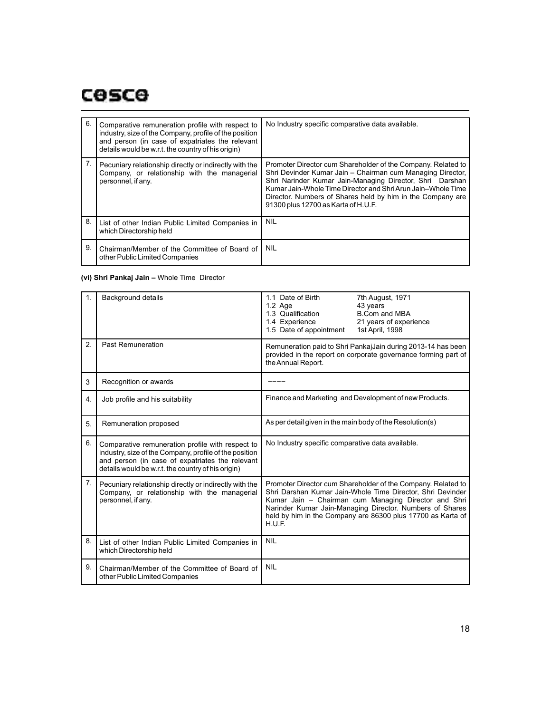| 6. | Comparative remuneration profile with respect to<br>industry, size of the Company, profile of the position<br>and person (in case of expatriates the relevant<br>details would be w.r.t. the country of his origin) | No Industry specific comparative data available.                                                                                                                                                                                                                                                                                                            |
|----|---------------------------------------------------------------------------------------------------------------------------------------------------------------------------------------------------------------------|-------------------------------------------------------------------------------------------------------------------------------------------------------------------------------------------------------------------------------------------------------------------------------------------------------------------------------------------------------------|
|    | Pecuniary relationship directly or indirectly with the<br>Company, or relationship with the managerial<br>personnel, if any.                                                                                        | Promoter Director cum Shareholder of the Company. Related to<br>Shri Devinder Kumar Jain - Chairman cum Managing Director,<br>Shri Narinder Kumar Jain-Managing Director, Shri Darshan<br>Kumar Jain-Whole Time Director and Shri Arun Jain-Whole Time<br>Director. Numbers of Shares held by him in the Company are<br>91300 plus 12700 as Karta of H.U.F. |
| 8. | List of other Indian Public Limited Companies in<br>which Directorship held                                                                                                                                         | <b>NIL</b>                                                                                                                                                                                                                                                                                                                                                  |
| 9. | Chairman/Member of the Committee of Board of<br>other Public Limited Companies                                                                                                                                      | <b>NIL</b>                                                                                                                                                                                                                                                                                                                                                  |

# **(vi) Shri Pankaj Jain –** Whole Time Director

| $\mathbf{1}$ . | <b>Background details</b>                                                                                                                                                                                           | 1.1 Date of Birth<br>7th August, 1971<br>43 years<br>1.2 Age<br>1.3 Qualification<br><b>B.Com and MBA</b><br>1.4 Experience<br>21 years of experience<br>1.5 Date of appointment<br>1st April, 1998                                                                                                                     |  |
|----------------|---------------------------------------------------------------------------------------------------------------------------------------------------------------------------------------------------------------------|-------------------------------------------------------------------------------------------------------------------------------------------------------------------------------------------------------------------------------------------------------------------------------------------------------------------------|--|
| 2.             | <b>Past Remuneration</b>                                                                                                                                                                                            | Remuneration paid to Shri PankajJain during 2013-14 has been<br>provided in the report on corporate governance forming part of<br>the Annual Report.                                                                                                                                                                    |  |
| 3              | Recognition or awards                                                                                                                                                                                               |                                                                                                                                                                                                                                                                                                                         |  |
| 4.             | Job profile and his suitability                                                                                                                                                                                     | Finance and Marketing and Development of new Products.                                                                                                                                                                                                                                                                  |  |
| 5.             | Remuneration proposed                                                                                                                                                                                               | As per detail given in the main body of the Resolution(s)                                                                                                                                                                                                                                                               |  |
| 6.             | Comparative remuneration profile with respect to<br>industry, size of the Company, profile of the position<br>and person (in case of expatriates the relevant<br>details would be w.r.t. the country of his origin) | No Industry specific comparative data available.                                                                                                                                                                                                                                                                        |  |
| 7.             | Pecuniary relationship directly or indirectly with the<br>Company, or relationship with the managerial<br>personnel, if any.                                                                                        | Promoter Director cum Shareholder of the Company. Related to<br>Shri Darshan Kumar Jain-Whole Time Director, Shri Devinder<br>Kumar Jain - Chairman cum Managing Director and Shri<br>Narinder Kumar Jain-Managing Director. Numbers of Shares<br>held by him in the Company are 86300 plus 17700 as Karta of<br>H.U.F. |  |
| 8.             | List of other Indian Public Limited Companies in<br>which Directorship held                                                                                                                                         | <b>NIL</b>                                                                                                                                                                                                                                                                                                              |  |
| 9.             | Chairman/Member of the Committee of Board of<br>other Public Limited Companies                                                                                                                                      | <b>NIL</b>                                                                                                                                                                                                                                                                                                              |  |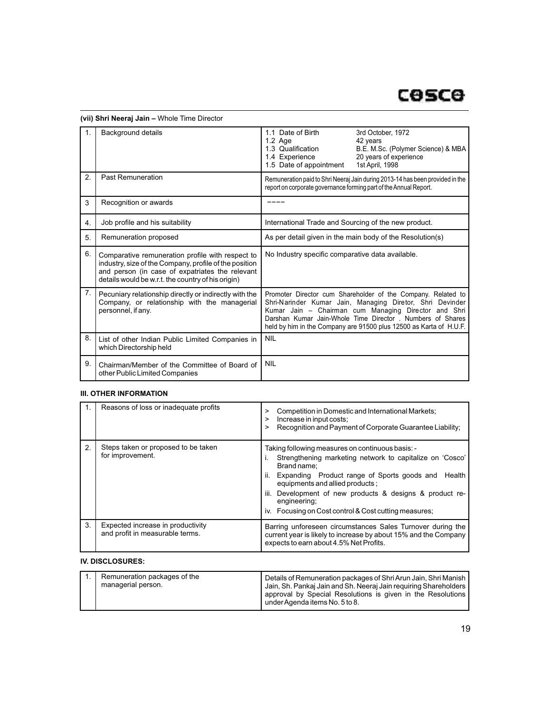|    | Background details                                                                                                                                                                                                  | 1.1 Date of Birth<br>3rd October, 1972<br>1.2 Age<br>42 years<br>1.3 Qualification<br>B.E. M.Sc. (Polymer Science) & MBA<br>20 years of experience<br>1.4 Experience<br>1.5 Date of appointment<br>1st April, 1998                                                                                                   |  |
|----|---------------------------------------------------------------------------------------------------------------------------------------------------------------------------------------------------------------------|----------------------------------------------------------------------------------------------------------------------------------------------------------------------------------------------------------------------------------------------------------------------------------------------------------------------|--|
| 2. | <b>Past Remuneration</b>                                                                                                                                                                                            | Remuneration paid to Shri Neeraj Jain during 2013-14 has been provided in the<br>report on corporate governance forming part of the Annual Report.                                                                                                                                                                   |  |
| 3  | Recognition or awards                                                                                                                                                                                               |                                                                                                                                                                                                                                                                                                                      |  |
| 4. | Job profile and his suitability                                                                                                                                                                                     | International Trade and Sourcing of the new product.                                                                                                                                                                                                                                                                 |  |
| 5. | Remuneration proposed                                                                                                                                                                                               | As per detail given in the main body of the Resolution(s)                                                                                                                                                                                                                                                            |  |
| 6. | Comparative remuneration profile with respect to<br>industry, size of the Company, profile of the position<br>and person (in case of expatriates the relevant<br>details would be w.r.t. the country of his origin) | No Industry specific comparative data available.                                                                                                                                                                                                                                                                     |  |
| 7. | Pecuniary relationship directly or indirectly with the<br>Company, or relationship with the managerial<br>personnel, if any.                                                                                        | Promoter Director cum Shareholder of the Company. Related to<br>Shri-Narinder Kumar Jain, Managing Diretor, Shri Devinder<br>Kumar Jain - Chairman cum Managing Director and Shri<br>Darshan Kumar Jain-Whole Time Director, Numbers of Shares<br>held by him in the Company are 91500 plus 12500 as Karta of H.U.F. |  |
| 8. | List of other Indian Public Limited Companies in<br>which Directorship held                                                                                                                                         | <b>NIL</b>                                                                                                                                                                                                                                                                                                           |  |
| 9. | Chairman/Member of the Committee of Board of<br>other Public Limited Companies                                                                                                                                      | <b>NIL</b>                                                                                                                                                                                                                                                                                                           |  |

# **(vii) Shri Neeraj Jain –** Whole Time Director

# **III. OTHER INFORMATION**

|    | Reasons of loss or inadequate profits                                | Competition in Domestic and International Markets;<br>><br>Increase in input costs;<br>><br>Recognition and Payment of Corporate Guarantee Liability;<br>>                                                                                                                                                                                                             |  |
|----|----------------------------------------------------------------------|------------------------------------------------------------------------------------------------------------------------------------------------------------------------------------------------------------------------------------------------------------------------------------------------------------------------------------------------------------------------|--|
| 2. | Steps taken or proposed to be taken<br>for improvement.              | Taking following measures on continuous basis: -<br>Strengthening marketing network to capitalize on 'Cosco'<br>Brand name:<br>ii.<br>Expanding Product range of Sports goods and<br>Health<br>equipments and allied products;<br>iii.<br>Development of new products & designs & product re-<br>engineering;<br>iv. Focusing on Cost control & Cost cutting measures; |  |
| 3. | Expected increase in productivity<br>and profit in measurable terms. | Barring unforeseen circumstances Sales Turnover during the<br>current year is likely to increase by about 15% and the Company<br>expects to earn about 4.5% Net Profits.                                                                                                                                                                                               |  |

# **IV. DISCLOSURES:**

| Details of Remuneration packages of Shri Arun Jain, Shri Manish<br>managerial person.<br>Jain, Sh. Pankaj Jain and Sh. Neeraj Jain requiring Shareholders  <br>approval by Special Resolutions is given in the Resolutions<br>under Agenda items No. 5 to 8. |
|--------------------------------------------------------------------------------------------------------------------------------------------------------------------------------------------------------------------------------------------------------------|
|--------------------------------------------------------------------------------------------------------------------------------------------------------------------------------------------------------------------------------------------------------------|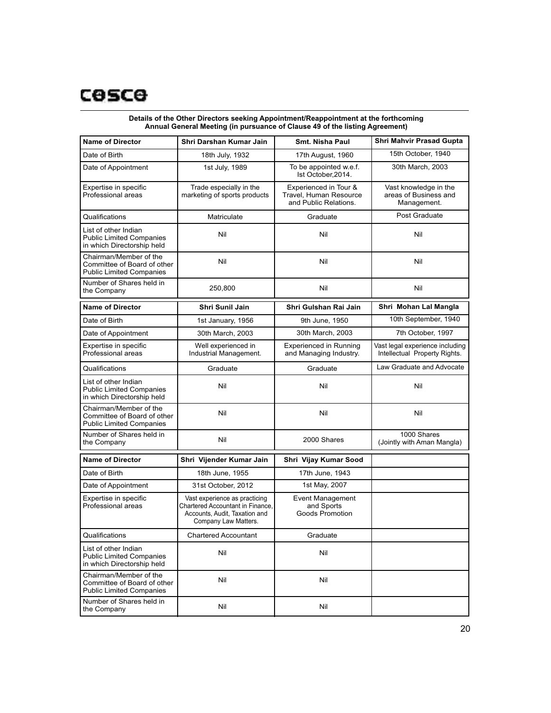| <b>Name of Director</b>                                                                  | Shri Darshan Kumar Jain                                                                                                    | Smt. Nisha Paul                                                          | <b>Shri Mahvir Prasad Gupta</b>                                  |
|------------------------------------------------------------------------------------------|----------------------------------------------------------------------------------------------------------------------------|--------------------------------------------------------------------------|------------------------------------------------------------------|
| Date of Birth                                                                            | 18th July, 1932                                                                                                            | 17th August, 1960                                                        | 15th October, 1940                                               |
| Date of Appointment                                                                      | 1st July, 1989                                                                                                             | To be appointed w.e.f.<br>Ist October, 2014.                             | 30th March, 2003                                                 |
| Expertise in specific<br>Professional areas                                              | Trade especially in the<br>marketing of sports products                                                                    | Experienced in Tour &<br>Travel. Human Resource<br>and Public Relations. | Vast knowledge in the<br>areas of Business and<br>Management.    |
| Qualifications                                                                           | Matriculate                                                                                                                | Graduate                                                                 | Post Graduate                                                    |
| List of other Indian<br><b>Public Limited Companies</b><br>in which Directorship held    | Nil                                                                                                                        | Nil                                                                      | Nil                                                              |
| Chairman/Member of the<br>Committee of Board of other<br><b>Public Limited Companies</b> | Nil                                                                                                                        | Nil                                                                      | Nil                                                              |
| Number of Shares held in<br>the Company                                                  | 250,800                                                                                                                    | Nil                                                                      | Nil                                                              |
| <b>Name of Director</b>                                                                  | Shri Sunil Jain                                                                                                            | Shri Gulshan Rai Jain                                                    | Shri Mohan Lal Mangla                                            |
| Date of Birth                                                                            | 1st January, 1956                                                                                                          | 9th June, 1950                                                           | 10th September, 1940                                             |
| Date of Appointment                                                                      | 30th March, 2003                                                                                                           | 30th March, 2003                                                         | 7th October, 1997                                                |
| Expertise in specific<br>Professional areas                                              | Well experienced in<br>Industrial Management.                                                                              | <b>Experienced in Running</b><br>and Managing Industry.                  | Vast legal experience including<br>Intellectual Property Rights. |
| Qualifications                                                                           | Graduate                                                                                                                   | Graduate                                                                 | Law Graduate and Advocate                                        |
| List of other Indian<br><b>Public Limited Companies</b><br>in which Directorship held    | Nil                                                                                                                        | Nil                                                                      | Nil                                                              |
| Chairman/Member of the<br>Committee of Board of other<br><b>Public Limited Companies</b> | Nil                                                                                                                        | Nil                                                                      | Nil                                                              |
| Number of Shares held in<br>the Company                                                  | Nil                                                                                                                        | 2000 Shares                                                              | 1000 Shares<br>(Jointly with Aman Mangla)                        |
| <b>Name of Director</b>                                                                  | Shri Vijender Kumar Jain                                                                                                   | Shri Vijay Kumar Sood                                                    |                                                                  |
| Date of Birth                                                                            | 18th June, 1955                                                                                                            | 17th June, 1943                                                          |                                                                  |
| Date of Appointment                                                                      | 31st October, 2012                                                                                                         | 1st May, 2007                                                            |                                                                  |
| Expertise in specific<br>Professional areas                                              | Vast experience as practicing<br>Chartered Accountant in Finance.<br>Accounts, Audit, Taxation and<br>Company Law Matters. | <b>Event Management</b><br>and Sports<br>Goods Promotion                 |                                                                  |
| Qualifications                                                                           | Chartered Accountant                                                                                                       | Graduate                                                                 |                                                                  |
| List of other Indian<br><b>Public Limited Companies</b><br>in which Directorship held    | Nil                                                                                                                        | Nil                                                                      |                                                                  |
| Chairman/Member of the<br>Committee of Board of other<br><b>Public Limited Companies</b> | Nil                                                                                                                        | Nil                                                                      |                                                                  |
| Number of Shares held in<br>the Company                                                  | Nil                                                                                                                        | Nil                                                                      |                                                                  |

### **Details of the Other Directors seeking Appointment/Reappointment at the forthcoming Annual General Meeting (in pursuance of Clause 49 of the listing Agreement)**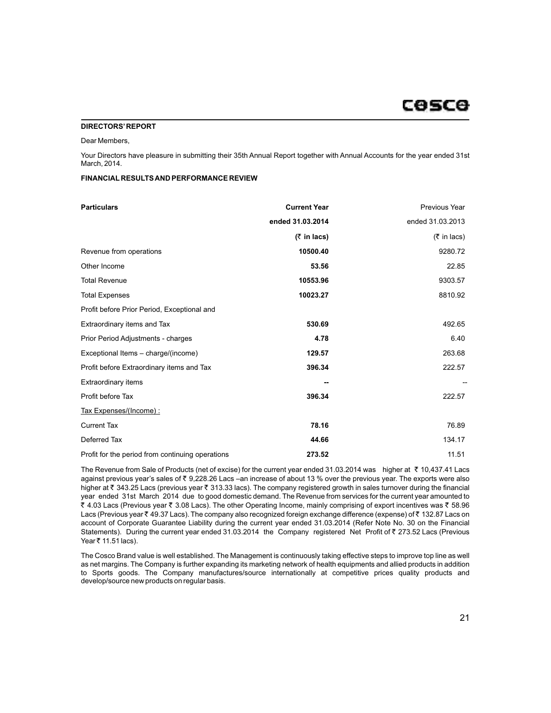# cosce

#### **DIRECTORS'REPORT**

#### Dear Members,

Your Directors have pleasure in submitting their 35th Annual Report together with Annual Accounts for the year ended 31st March, 2014.

### **FINANCIAL RESULTS AND PERFORMANCE REVIEW**

| <b>Particulars</b>                               | <b>Current Year</b>                 | Previous Year                       |
|--------------------------------------------------|-------------------------------------|-------------------------------------|
|                                                  | ended 31.03.2014                    | ended 31.03.2013                    |
|                                                  | $(5 \in \mathsf{In} \mathsf{lacs})$ | $(5 \in \mathsf{In} \mathsf{lacs})$ |
| Revenue from operations                          | 10500.40                            | 9280.72                             |
| Other Income                                     | 53.56                               | 22.85                               |
| <b>Total Revenue</b>                             | 10553.96                            | 9303.57                             |
| <b>Total Expenses</b>                            | 10023.27                            | 8810.92                             |
| Profit before Prior Period, Exceptional and      |                                     |                                     |
| Extraordinary items and Tax                      | 530.69                              | 492.65                              |
| Prior Period Adjustments - charges               | 4.78                                | 6.40                                |
| Exceptional Items - charge/(income)              | 129.57                              | 263.68                              |
| Profit before Extraordinary items and Tax        | 396.34                              | 222.57                              |
| <b>Extraordinary items</b>                       |                                     |                                     |
| Profit before Tax                                | 396.34                              | 222.57                              |
| Tax Expenses/(Income):                           |                                     |                                     |
| <b>Current Tax</b>                               | 78.16                               | 76.89                               |
| Deferred Tax                                     | 44.66                               | 134.17                              |
| Profit for the period from continuing operations | 273.52                              | 11.51                               |

The Revenue from Sale of Products (net of excise) for the current year ended 31.03.2014 was higher at  $\bar{\tau}$  10,437.41 Lacs against previous year's sales of ₹ 9,228.26 Lacs –an increase of about 13 % over the previous year. The exports were also higher at ₹ 343.25 Lacs (previous year ₹ 313.33 lacs). The company registered growth in sales turnover during the financial year ended 31st March 2014 due to good domestic demand. The Revenue from services for the current year amounted to  $\bar{\zeta}$  4.03 Lacs (Previous year  $\bar{\zeta}$  3.08 Lacs). The other Operating Income, mainly comprising of export incentives was  $\bar{\zeta}$  58.96 Lacs (Previous year ₹ 49.37 Lacs). The company also recognized foreign exchange difference (expense) of ₹ 132.87 Lacs on account of Corporate Guarantee Liability during the current year ended 31.03.2014 (Refer Note No. 30 on the Financial Statements). During the current year ended 31.03.2014 the Company registered Net Profit of  $\bar{\tau}$  273.52 Lacs (Previous Year ₹ 11.51 lacs).

The Cosco Brand value is well established. The Management is continuously taking effective steps to improve top line as well as net margins. The Company is further expanding its marketing network of health equipments and allied products in addition to Sports goods. The Company manufactures/source internationally at competitive prices quality products and develop/source new products on regular basis.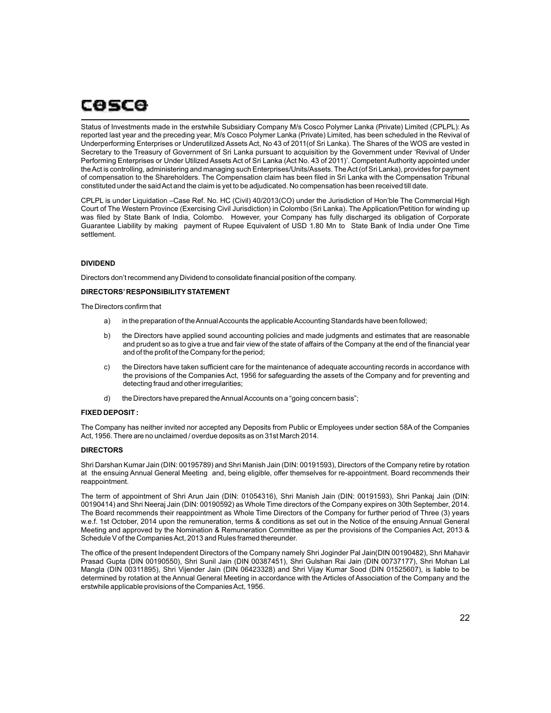# cosce

Status of Investments made in the erstwhile Subsidiary Company M/s Cosco Polymer Lanka (Private) Limited (CPLPL): As reported last year and the preceding year, M/s Cosco Polymer Lanka (Private) Limited, has been scheduled in the Revival of Underperforming Enterprises or Underutilized Assets Act, No 43 of 2011(of Sri Lanka). The Shares of the WOS are vested in Secretary to the Treasury of Government of Sri Lanka pursuant to acquisition by the Government under 'Revival of Under Performing Enterprises or Under Utilized Assets Act of Sri Lanka (Act No. 43 of 2011)'. Competent Authority appointed under the Act is controlling, administering and managing such Enterprises/Units/Assets. The Act (of Sri Lanka), provides for payment of compensation to the Shareholders. The Compensation claim has been filed in Sri Lanka with the Compensation Tribunal constituted under the said Act and the claim is yet to be adjudicated. No compensation has been received till date.

CPLPL is under Liquidation –Case Ref. No. HC (Civil) 40/2013(CO) under the Jurisdiction of Hon'ble The Commercial High Court of The Western Province (Exercising Civil Jurisdiction) in Colombo (Sri Lanka). The Application/Petition for winding up was filed by State Bank of India, Colombo. However, your Company has fully discharged its obligation of Corporate Guarantee Liability by making payment of Rupee Equivalent of USD 1.80 Mn to State Bank of India under One Time settlement.

# **DIVIDEND**

Directors don't recommend any Dividend to consolidate financial position of the company.

### **DIRECTORS'RESPONSIBILITYSTATEMENT**

The Directors confirm that

- a) in the preparation of the Annual Accounts the applicable Accounting Standards have been followed;
- b) the Directors have applied sound accounting policies and made judgments and estimates that are reasonable and prudent so as to give a true and fair view of the state of affairs of the Company at the end of the financial year and of the profit of the Company for the period;
- c) the Directors have taken sufficient care for the maintenance of adequate accounting records in accordance with the provisions of the Companies Act, 1956 for safeguarding the assets of the Company and for preventing and detecting fraud and other irregularities;
- d) the Directors have prepared the Annual Accounts on a "going concern basis";

### **FIXED DEPOSIT :**

The Company has neither invited nor accepted any Deposits from Public or Employees under section 58A of the Companies Act, 1956. There are no unclaimed / overdue deposits as on 31st March 2014.

### **DIRECTORS**

Shri Darshan Kumar Jain (DIN: 00195789) and Shri Manish Jain (DIN: 00191593), Directors of the Company retire by rotation at the ensuing Annual General Meeting and, being eligible, offer themselves for re-appointment. Board recommends their reappointment.

The term of appointment of Shri Arun Jain (DIN: 01054316), Shri Manish Jain (DIN: 00191593), Shri Pankaj Jain (DIN: 00190414) and Shri Neeraj Jain (DIN: 00190592) as Whole Time directors of the Company expires on 30th September, 2014. The Board recommends their reappointment as Whole Time Directors of the Company for further period of Three (3) years w.e.f. 1st October, 2014 upon the remuneration, terms & conditions as set out in the Notice of the ensuing Annual General Meeting and approved by the Nomination & Remuneration Committee as per the provisions of the Companies Act, 2013 & Schedule V of the Companies Act, 2013 and Rules framed thereunder.

The office of the present Independent Directors of the Company namely Shri Joginder Pal Jain(DIN 00190482), Shri Mahavir Prasad Gupta (DIN 00190550), Shri Sunil Jain (DIN 00387451), Shri Gulshan Rai Jain (DIN 00737177), Shri Mohan Lal Mangla (DIN 00311895), Shri Vijender Jain (DIN 06423328) and Shri Vijay Kumar Sood (DIN 01525607), is liable to be determined by rotation at the Annual General Meeting in accordance with the Articles of Association of the Company and the erstwhile applicable provisions of the Companies Act, 1956.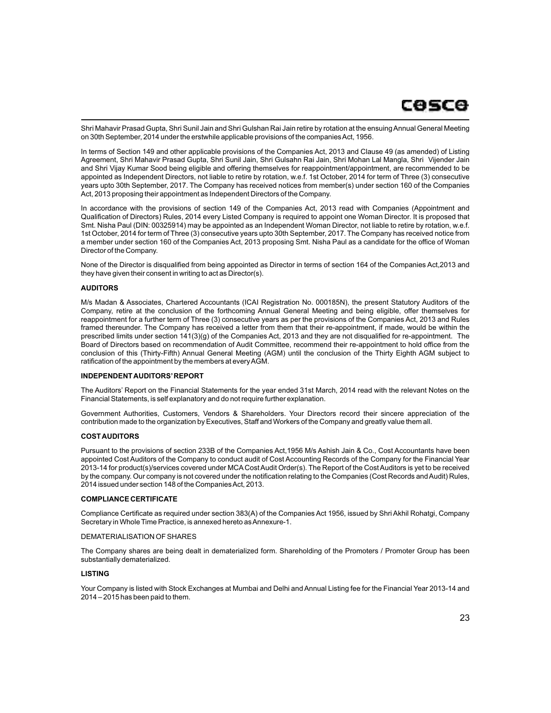

Shri Mahavir Prasad Gupta, Shri Sunil Jain and Shri Gulshan Rai Jain retire by rotation at the ensuing Annual General Meeting on 30th September, 2014 under the erstwhile applicable provisions of the companies Act, 1956.

In terms of Section 149 and other applicable provisions of the Companies Act, 2013 and Clause 49 (as amended) of Listing Agreement, Shri Mahavir Prasad Gupta, Shri Sunil Jain, Shri Gulsahn Rai Jain, Shri Mohan Lal Mangla, Shri Vijender Jain and Shri Vijay Kumar Sood being eligible and offering themselves for reappointment/appointment, are recommended to be appointed as Independent Directors, not liable to retire by rotation, w.e.f. 1st October, 2014 for term of Three (3) consecutive years upto 30th September, 2017. The Company has received notices from member(s) under section 160 of the Companies Act, 2013 proposing their appointment as Independent Directors of the Company.

In accordance with the provisions of section 149 of the Companies Act, 2013 read with Companies (Appointment and Qualification of Directors) Rules, 2014 every Listed Company is required to appoint one Woman Director. It is proposed that Smt. Nisha Paul (DIN: 00325914) may be appointed as an Independent Woman Director, not liable to retire by rotation, w.e.f. 1st October, 2014 for term of Three (3) consecutive years upto 30th September, 2017. The Company has received notice from a member under section 160 of the Companies Act, 2013 proposing Smt. Nisha Paul as a candidate for the office of Woman Director of the Company.

None of the Director is disqualified from being appointed as Director in terms of section 164 of the Companies Act,2013 and they have given their consent in writing to act as Director(s).

### **AUDITORS**

M/s Madan & Associates, Chartered Accountants (ICAI Registration No. 000185N), the present Statutory Auditors of the Company, retire at the conclusion of the forthcoming Annual General Meeting and being eligible, offer themselves for reappointment for a further term of Three (3) consecutive years as per the provisions of the Companies Act, 2013 and Rules framed thereunder. The Company has received a letter from them that their re-appointment, if made, would be within the prescribed limits under section 141(3)(g) of the Companies Act, 2013 and they are not disqualified for re-appointment. The Board of Directors based on recommendation of Audit Committee, recommend their re-appointment to hold office from the conclusion of this (Thirty-Fifth) Annual General Meeting (AGM) until the conclusion of the Thirty Eighth AGM subject to ratification of the appointment by the members at every AGM.

#### **INDEPENDENT AUDITORS'REPORT**

The Auditors' Report on the Financial Statements for the year ended 31st March, 2014 read with the relevant Notes on the Financial Statements, is self explanatory and do not require further explanation.

Government Authorities, Customers, Vendors & Shareholders. Your Directors record their sincere appreciation of the contribution made to the organization by Executives, Staff and Workers of the Company and greatly value them all.

#### **COST AUDITORS**

Pursuant to the provisions of section 233B of the Companies Act,1956 M/s Ashish Jain & Co., Cost Accountants have been appointed Cost Auditors of the Company to conduct audit of Cost Accounting Records of the Company for the Financial Year 2013-14 for product(s)/services covered under MCACost Audit Order(s). The Report of the Cost Auditors is yet to be received by the company. Our company is not covered under the notification relating to the Companies (Cost Records and Audit) Rules, 2014 issued under section 148 of the Companies Act, 2013.

#### **COMPLIANCE CERTIFICATE**

Compliance Certificate as required under section 383(A) of the Companies Act 1956, issued by Shri Akhil Rohatgi, Company Secretary in Whole Time Practice, is annexed hereto as Annexure-1.

# DEMATERIALISATION OF SHARES

The Company shares are being dealt in dematerialized form. Shareholding of the Promoters / Promoter Group has been substantially dematerialized.

### **LISTING**

Your Company is listed with Stock Exchanges at Mumbai and Delhi and Annual Listing fee for the Financial Year 2013-14 and 2014 – 2015 has been paid to them.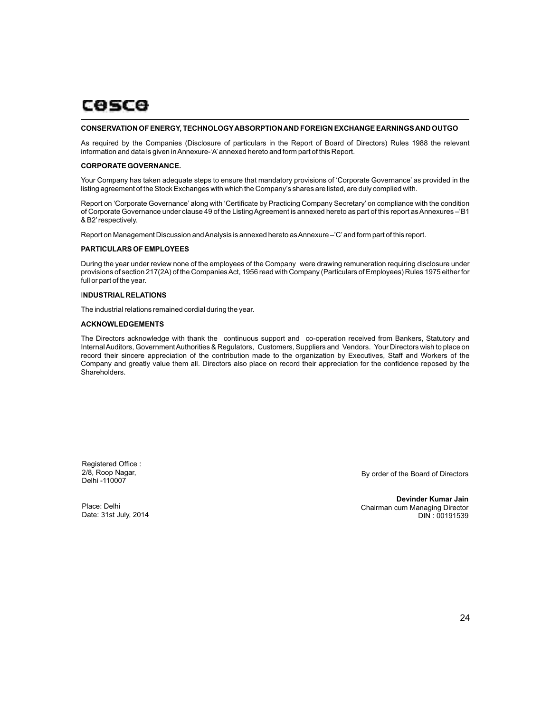#### **CONSERVATION OF ENERGY, TECHNOLOGYABSORPTION AND FOREIGN EXCHANGE EARNINGS AND OUTGO**

As required by the Companies (Disclosure of particulars in the Report of Board of Directors) Rules 1988 the relevant information and data is given in Annexure-'A'annexed hereto and form part of this Report.

#### **CORPORATE GOVERNANCE.**

Your Company has taken adequate steps to ensure that mandatory provisions of 'Corporate Governance' as provided in the listing agreement of the Stock Exchanges with which the Company's shares are listed, are duly complied with.

Report on 'Corporate Governance' along with 'Certificate by Practicing Company Secretary' on compliance with the condition of Corporate Governance under clause 49 of the Listing Agreement is annexed hereto as part of this report as Annexures –'B1 & B2'respectively.

Report on Management Discussion and Analysis is annexed hereto as Annexure –'C'and form part of this report.

#### **PARTICULARS OF EMPLOYEES**

During the year under review none of the employees of the Company were drawing remuneration requiring disclosure under provisions of section 217(2A) of the Companies Act, 1956 read with Company (Particulars of Employees) Rules 1975 either for full or part of the year.

### I**NDUSTRIAL RELATIONS**

The industrial relations remained cordial during the year.

#### **ACKNOWLEDGEMENTS**

The Directors acknowledge with thank the continuous support and co-operation received from Bankers, Statutory and Internal Auditors, Government Authorities & Regulators, Customers, Suppliers and Vendors. Your Directors wish to place on record their sincere appreciation of the contribution made to the organization by Executives, Staff and Workers of the Company and greatly value them all. Directors also place on record their appreciation for the confidence reposed by the Shareholders.

Registered Office : 2/8, Roop Nagar, Delhi -110007

By order of the Board of Directors

Place: Delhi Date: 31st July, 2014

**Devinder Kumar Jain** Chairman cum Managing Director DIN : 00191539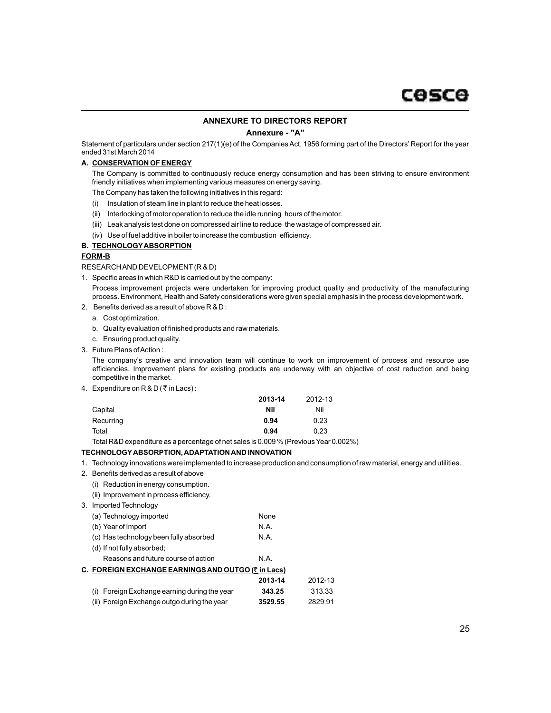### **ANNEXURE TO DIRECTORS REPORT**

#### **Annexure - "A"**

Statement of particulars under section 217(1)(e) of the Companies Act, 1956 forming part of the Directors' Report for the year ended 31st March 2014

# **A. CONSERVATION OF ENERGY**

The Company is committed to continuously reduce energy consumption and has been striving to ensure environment friendly initiatives when implementing various measures on energy saving.

The Company has taken the following initiatives in this regard:

- (i) Insulation of steam line in plant to reduce the heat losses.
- (ii) Interlocking of motor operation to reduce the idle running hours of the motor.
- (iii) Leak analysis test done on compressed air line to reduce the wastage of compressed air.
- (iv) Use of fuel additive in boiler to increase the combustion efficiency.

# **B. TECHNOLOGYABSORPTION**

# **FORM-B**

RESEARCH AND DEVELOPMENT(R & D)

1. Specific areas in which R&D is carried out by the company:

Process improvement projects were undertaken for improving product quality and productivity of the manufacturing process. Environment, Health and Safety considerations were given special emphasis in the process development work.

- 2. Benefits derived as a result of above R & D :
	- a. Cost optimization.
	- b. Quality evaluation of finished products and raw materials.
	- c. Ensuring product quality.
- 3. Future Plans of Action :

The company's creative and innovation team will continue to work on improvement of process and resource use efficiencies. Improvement plans for existing products are underway with an objective of cost reduction and being competitive in the market.

4. Expenditure on  $R & D$  ( $\bar{\tau}$  in Lacs):

|           | 2013-14 | 2012-13 |
|-----------|---------|---------|
| Capital   | Nil     | Nil     |
| Recurring | 0.94    | 0.23    |
| Total     | 0.94    | 0.23    |

Total R&D expenditure as a percentage of net sales is 0.009 % (Previous Year 0.002%)

# **TECHNOLOGYABSORPTION, ADAPTATION AND INNOVATION**

- 1. Technology innovations were implemented to increase production and consumption of raw material, energy and utilities.
- 2. Benefits derived as a result of above
	- (i) Reduction in energy consumption.
	- (ii) Improvement in process efficiency.
- 3. Imported Technology

| (a) Technology imported                            | None    |         |
|----------------------------------------------------|---------|---------|
| (b) Year of Import                                 | N.A.    |         |
| (c) Has technology been fully absorbed             | N.A.    |         |
| (d) If not fully absorbed;                         |         |         |
| Reasons and future course of action                | N.A.    |         |
| C. FOREIGN EXCHANGE EARNINGS AND OUTGO (₹ in Lacs) |         |         |
|                                                    | 2013-14 | 2012-13 |
| (i) Foreign Exchange earning during the year       | 343.25  | 313.33  |
| (ii) Foreign Exchange outgo during the year        | 3529.55 | 2829.91 |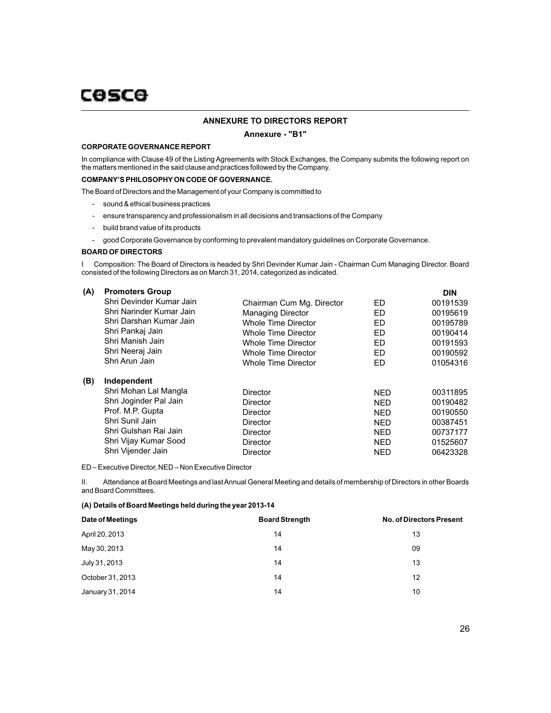# **ANNEXURE TO DIRECTORS REPORT**

### **Annexure - "B1"**

#### **CORPORATE GOVERNANCE REPORT**

In compliance with Clause 49 of the Listing Agreements with Stock Exchanges, the Company submits the following report on the matters mentioned in the said clause and practices followed by the Company.

# **COMPANY'S PHILOSOPHYON CODE OF GOVERNANCE.**

The Board of Directors and the Management of your Company is committed to

- sound & ethical business practices
- ensure transparency and professionalism in all decisions and transactions of the Company
- build brand value of its products
- good Corporate Governance by conforming to prevalent mandatory guidelines on Corporate Governance.

#### **BOARD OF DIRECTORS**

I Composition: The Board of Directors is headed by Shri Devinder Kumar Jain - Chairman Cum Managing Director. Board consisted of the following Directors as on March 31, 2014, categorized as indicated.

| (A) | <b>Promoters Group</b>   |                           |            | <b>DIN</b> |
|-----|--------------------------|---------------------------|------------|------------|
|     | Shri Devinder Kumar Jain | Chairman Cum Mg. Director | ED         | 00191539   |
|     | Shri Narinder Kumar Jain | <b>Managing Director</b>  | ED         | 00195619   |
|     | Shri Darshan Kumar Jain  | Whole Time Director       | ED         | 00195789   |
|     | Shri Pankaj Jain         | Whole Time Director       | ED         | 00190414   |
|     | Shri Manish Jain         | Whole Time Director       | ED         | 00191593   |
|     | Shri Neeraj Jain         | Whole Time Director       | ED         | 00190592   |
|     | Shri Arun Jain           | Whole Time Director       | ED         | 01054316   |
| (B) | Independent              |                           |            |            |
|     | Shri Mohan Lal Mangla    | Director                  | <b>NED</b> | 00311895   |
|     | Shri Joginder Pal Jain   | Director                  | <b>NED</b> | 00190482   |
|     | Prof. M.P. Gupta         | Director                  | NFD.       | 00190550   |
|     | Shri Sunil Jain          | Director                  | <b>NED</b> | 00387451   |
|     | Shri Gulshan Rai Jain    | Director                  | <b>NED</b> | 00737177   |
|     | Shri Vijay Kumar Sood    | Director                  | <b>NED</b> | 01525607   |
|     | Shri Vijender Jain       | Director                  | <b>NED</b> | 06423328   |
|     |                          |                           |            |            |

ED – Executive Director, NED – Non Executive Director

II. Attendance at Board Meetings and last Annual General Meeting and details of membership of Directors in other Boards and Board Committees.

# **(A) Details of Board Meetings held during the year 2013-14**

| Date of Meetings | <b>Board Strength</b> | <b>No. of Directors Present</b> |
|------------------|-----------------------|---------------------------------|
| April 20, 2013   | 14                    | 13                              |
| May 30, 2013     | 14                    | 09                              |
| July 31, 2013    | 14                    | 13                              |
| October 31, 2013 | 14                    | 12                              |
| January 31, 2014 | 14                    | 10                              |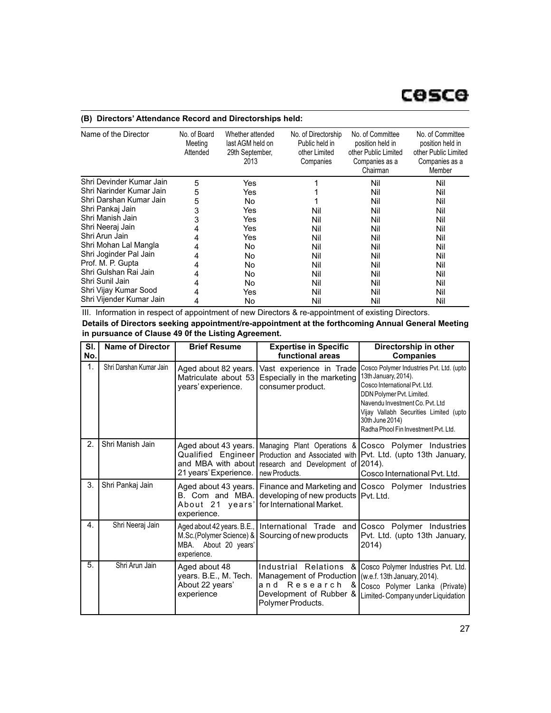# **(B) Directors' Attendance Record and Directorships held:**

| Name of the Director     | No. of Board<br>Meeting<br>Attended | Whether attended<br>last AGM held on<br>29th September,<br>2013 | No. of Directorship<br>Public held in<br>other Limited<br>Companies | No. of Committee<br>position held in<br>other Public Limited<br>Companies as a<br>Chairman | No. of Committee<br>position held in<br>other Public Limited<br>Companies as a<br>Member |
|--------------------------|-------------------------------------|-----------------------------------------------------------------|---------------------------------------------------------------------|--------------------------------------------------------------------------------------------|------------------------------------------------------------------------------------------|
| Shri Devinder Kumar Jain | 5                                   | Yes                                                             |                                                                     | Nil                                                                                        | Nil                                                                                      |
| Shri Narinder Kumar Jain | 5                                   | Yes                                                             |                                                                     | Nil                                                                                        | Nil                                                                                      |
| Shri Darshan Kumar Jain  | 5                                   | No                                                              |                                                                     | Nil                                                                                        | Nil                                                                                      |
| Shri Pankaj Jain         | 3                                   | Yes                                                             | Nil                                                                 | Nil                                                                                        | Nil                                                                                      |
| Shri Manish Jain         | 3                                   | Yes                                                             | Nil                                                                 | Nil                                                                                        | Nil                                                                                      |
| Shri Neeraj Jain         | 4                                   | Yes                                                             | Nil                                                                 | Nil                                                                                        | Nil                                                                                      |
| Shri Arun Jain           | 4                                   | Yes                                                             | Nil                                                                 | Nil                                                                                        | Nil                                                                                      |
| Shri Mohan Lal Mangla    | 4                                   | No                                                              | Nil                                                                 | Nil                                                                                        | Nil                                                                                      |
| Shri Joginder Pal Jain   | 4                                   | No                                                              | Nil                                                                 | Nil                                                                                        | Nil                                                                                      |
| Prof. M. P. Gupta        | 4                                   | No                                                              | Nil                                                                 | Nil                                                                                        | Nil                                                                                      |
| Shri Gulshan Rai Jain    | 4                                   | No                                                              | Nil                                                                 | Nil                                                                                        | Nil                                                                                      |
| Shri Sunil Jain          | 4                                   | No                                                              | Nil                                                                 | Nil                                                                                        | Nil                                                                                      |
| Shri Vijay Kumar Sood    | 4                                   | Yes                                                             | Nil                                                                 | Nil                                                                                        | Nil                                                                                      |
| Shri Vijender Kumar Jain | 4                                   | No                                                              | Nil                                                                 | Nil                                                                                        | Nil                                                                                      |

III. Information in respect of appointment of new Directors & re-appointment of existing Directors.

| Details of Directors seeking appointment/re-appointment at the forthcoming Annual General Meeting |  |
|---------------------------------------------------------------------------------------------------|--|
| in pursuance of Clause 49 0f the Listing Agreement.                                               |  |

| SI.<br>No. | <b>Name of Director</b> | <b>Brief Resume</b>                                                                           | <b>Expertise in Specific</b><br>functional areas                                                                                                          | Directorship in other<br><b>Companies</b>                                                                                                                                                                                                                              |
|------------|-------------------------|-----------------------------------------------------------------------------------------------|-----------------------------------------------------------------------------------------------------------------------------------------------------------|------------------------------------------------------------------------------------------------------------------------------------------------------------------------------------------------------------------------------------------------------------------------|
| 1.         | Shri Darshan Kumar Jain | Aged about 82 years.<br>Matriculate about 53<br>years' experience.                            | Vast experience in Trade<br>Especially in the marketing<br>consumer product.                                                                              | Cosco Polymer Industries Pvt. Ltd. (upto<br>13th January, 2014).<br>Cosco International Pvt. Ltd.<br>DDN Polymer Pvt. Limited.<br>Navendu Investment Co. Pvt. Ltd<br>Vijay Vallabh Securities Limited (upto<br>30th June 2014)<br>Radha Phool Fin Investment Pyt. Ltd. |
| 2.         | Shri Manish Jain        | Aged about 43 years.<br>Qualified Engineer<br>21 years' Experience.                           | and MBA with about research and Development of 2014).<br>new Products.                                                                                    | Managing Plant Operations & Cosco Polymer Industries<br>Production and Associated with   Pvt. Ltd. (upto 13th January,<br>Cosco International Pvt. Ltd.                                                                                                                |
| 3.         | Shri Pankaj Jain        | Aged about 43 years.<br>B. Com and MBA.<br>About 21 years'<br>experience.                     | developing of new products   Pvt. Ltd.<br>for International Market.                                                                                       | Finance and Marketing and Cosco Polymer Industries                                                                                                                                                                                                                     |
| 4.         | Shri Neeraj Jain        | Aged about 42 years. B.E.,<br>M.Sc.(Polymer Science) &<br>MBA. About 20 years'<br>experience. | Sourcing of new products                                                                                                                                  | International Trade and Cosco Polymer Industries<br>Pvt. Ltd. (upto 13th January,<br>2014)                                                                                                                                                                             |
| 5.         | Shri Arun Jain          | Aged about 48<br>years. B.E., M. Tech.<br>About 22 years'<br>experience                       | Industrial Relations<br>&<br>Management of Production   (w.e.f. 13th January, 2014).<br>and Research<br>&<br>Development of Rubber &<br>Polymer Products. | Cosco Polymer Industries Pvt. Ltd.<br>Cosco Polymer Lanka (Private)<br>Limited-Company under Liquidation                                                                                                                                                               |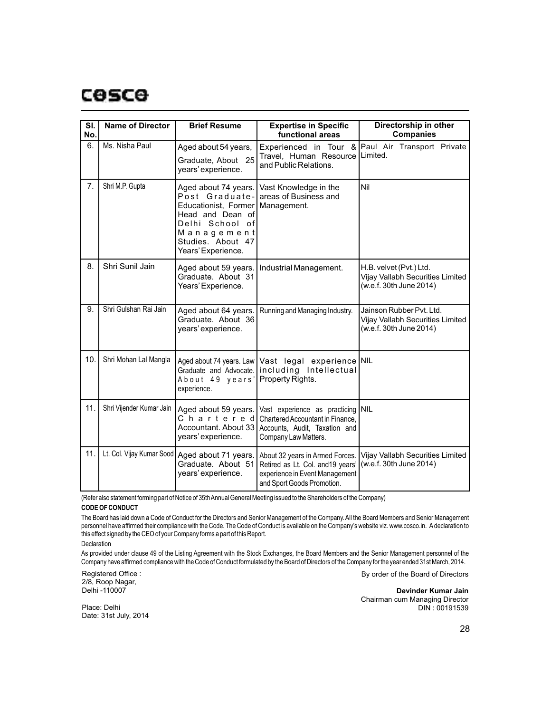| SI.<br>No. | <b>Name of Director</b>   | <b>Brief Resume</b>                                                                                                                                            | <b>Expertise in Specific</b><br>functional areas                                                                                     | Directorship in other<br><b>Companies</b>                                               |
|------------|---------------------------|----------------------------------------------------------------------------------------------------------------------------------------------------------------|--------------------------------------------------------------------------------------------------------------------------------------|-----------------------------------------------------------------------------------------|
| 6.         | Ms. Nisha Paul            | Aged about 54 years,<br>Graduate, About 25<br>years' experience.                                                                                               | Experienced in Tour &<br>Travel, Human Resource<br>and Public Relations.                                                             | Paul Air Transport Private<br>Limited.                                                  |
| 7.         | Shri M.P. Gupta           | Aged about 74 years.<br>Post Graduate-<br>Educationist, Former<br>Head and Dean of<br>Delhi School of<br>Management<br>Studies, About 47<br>Years' Experience. | Vast Knowledge in the<br>areas of Business and<br>Management.                                                                        | Nil                                                                                     |
| 8.         | Shri Sunil Jain           | Aged about 59 years.<br>Graduate. About 31<br>Years' Experience.                                                                                               | Industrial Management.                                                                                                               | H.B. velvet (Pvt.) Ltd.<br>Vijay Vallabh Securities Limited<br>(w.e.f. 30th June 2014)  |
| 9.         | Shri Gulshan Rai Jain     | Aged about 64 years.<br>Graduate. About 36<br>years' experience.                                                                                               | Running and Managing Industry.                                                                                                       | Jainson Rubber Pyt. Ltd.<br>Vijay Vallabh Securities Limited<br>(w.e.f. 30th June 2014) |
| 10.        | Shri Mohan Lal Mangla     | Aged about 74 years. Law<br>Graduate and Advocate.<br>About 49 years'<br>experience.                                                                           | Vast legal experience NIL<br>including Intellectual<br>Property Rights.                                                              |                                                                                         |
| 11.        | Shri Vijender Kumar Jain  | Aged about 59 years.<br>Chartered<br>Accountant. About 33<br>years' experience.                                                                                | Vast experience as practicing NIL<br>Chartered Accountant in Finance.<br>Accounts, Audit, Taxation and<br>Company Law Matters.       |                                                                                         |
| 11.        | Lt. Col. Vijay Kumar Sood | Aged about 71 years.<br>Graduate. About 51<br>years' experience.                                                                                               | About 32 years in Armed Forces.<br>Retired as Lt. Col. and 19 years'<br>experience in Event Management<br>and Sport Goods Promotion. | Vijay Vallabh Securities Limited<br>(w.e.f. 30th June 2014)                             |

(Refer also statement forming part of Notice of 35th Annual General Meeting issued to the Shareholders of the Company)

# **CODE OF CONDUCT**

The Board has laid down a Code of Conduct for the Directors and Senior Management of the Company. All the Board Members and Senior Management personnel have affirmed their compliance with the Code. The Code of Conduct is available on the Company's website viz. www.cosco.in. Adeclaration to this effect signed by the CEO of your Company forms a part of this Report.

Declaration

As provided under clause 49 of the Listing Agreement with the Stock Exchanges, the Board Members and the Senior Management personnel of the Company have affirmed compliance with the Code of Conduct formulated by the Board of Directors of the Company for the year ended 31st March, 2014.

Registered Office : 2/8, Roop Nagar, Delhi -110007

By order of the Board of Directors

**Devinder Kumar Jain** Chairman cum Managing Director

Place: Delhi Date: 31st July, 2014

28

DIN : 00191539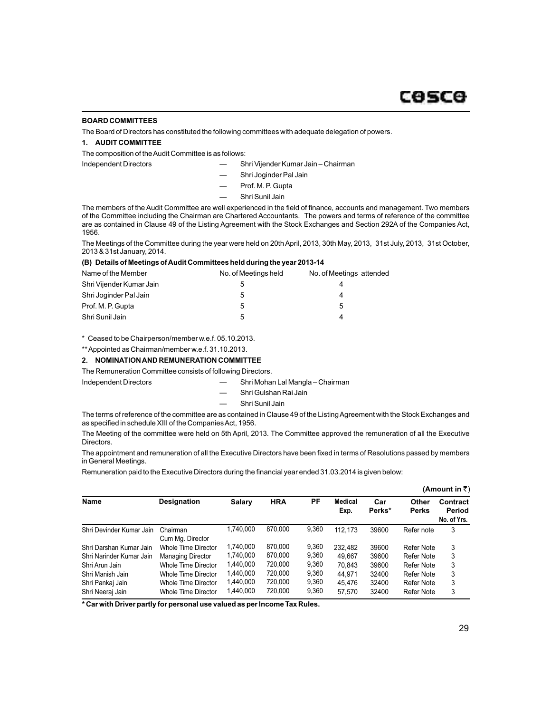#### **BOARD COMMITTEES**

The Board of Directors has constituted the following committees with adequate delegation of powers.

# **1. AUDIT COMMITTEE**

The composition of the Audit Committee is as follows:

- Independent Directors Shri Vijender Kumar Jain Chairman
	- Shri Joginder Pal Jain
	- Prof. M. P. Gupta
	- Shri Sunil Jain

The members of the Audit Committee are well experienced in the field of finance, accounts and management. Two members of the Committee including the Chairman are Chartered Accountants. The powers and terms of reference of the committee are as contained in Clause 49 of the Listing Agreement with the Stock Exchanges and Section 292A of the Companies Act, 1956.

The Meetings of the Committee during the year were held on 20th April, 2013, 30th May, 2013, 31st July, 2013, 31st October, 2013 & 31st January, 2014. **(B) Details of Meetings of Audit Committees held during the year 2013-14**

| (B) Details of Meetings of Audit Committees held during the year 2013-14 |                      |                          |  |  |  |  |  |
|--------------------------------------------------------------------------|----------------------|--------------------------|--|--|--|--|--|
| Name of the Member                                                       | No. of Meetings held | No. of Meetings attended |  |  |  |  |  |
| Shri Vijender Kumar Jain                                                 |                      | 4                        |  |  |  |  |  |
| Shri Joginder Pal Jain                                                   | 5                    | 4                        |  |  |  |  |  |
| Prof. M. P. Gupta                                                        | 5                    | 5                        |  |  |  |  |  |
| Shri Sunil Jain                                                          | 'n.                  | 4                        |  |  |  |  |  |

\* Ceased to be Chairperson/member w.e.f. 05.10.2013.

\*\* Appointed as Chairman/member w.e.f. 31.10.2013.

### **2. NOMINATION AND REMUNERATION COMMITTEE**

The Remuneration Committee consists of following Directors.

Independent Directors — Shri Mohan Lal Mangla – Chairman

- Shri Gulshan Rai Jain
- Shri Sunil Jain

The terms of reference of the committee are as contained in Clause 49 of the Listing Agreement with the Stock Exchanges and as specified in schedule XIII of the Companies Act, 1956.

The Meeting of the committee were held on 5th April, 2013. The Committee approved the remuneration of all the Executive Directors.

The appointment and remuneration of all the Executive Directors have been fixed in terms of Resolutions passed by members in General Meetings.

Remuneration paid to the Executive Directors during the financial year ended 31.03.2014 is given below:

|                          |                              |           |            |       |                 |               |                       | (Amount in ₹)                     |
|--------------------------|------------------------------|-----------|------------|-------|-----------------|---------------|-----------------------|-----------------------------------|
| <b>Name</b>              | <b>Designation</b>           | Salary    | <b>HRA</b> | РF    | Medical<br>Exp. | Car<br>Perks* | Other<br><b>Perks</b> | Contract<br>Period<br>No. of Yrs. |
| Shri Devinder Kumar Jain | Chairman<br>Cum Mg. Director | 1.740.000 | 870.000    | 9,360 | 112.173         | 39600         | Refer note            | 3                                 |
| Shri Darshan Kumar Jain  | Whole Time Director          | 1,740,000 | 870.000    | 9,360 | 232.482         | 39600         | Refer Note            | 3                                 |
| Shri Narinder Kumar Jain | <b>Managing Director</b>     | 1.740.000 | 870.000    | 9,360 | 49.667          | 39600         | Refer Note            | 3                                 |
| Shri Arun Jain           | Whole Time Director          | 1,440,000 | 720,000    | 9,360 | 70.843          | 39600         | Refer Note            | 3                                 |
| Shri Manish Jain         | Whole Time Director          | 1,440,000 | 720,000    | 9,360 | 44.971          | 32400         | Refer Note            | 3                                 |
| Shri Pankaj Jain         | Whole Time Director          | 1,440,000 | 720.000    | 9,360 | 45.476          | 32400         | Refer Note            | 3                                 |
| Shri Neeraj Jain         | Whole Time Director          | 1,440,000 | 720,000    | 9,360 | 57.570          | 32400         | Refer Note            | 3                                 |

**\* Car with Driver partly for personal use valued as per Income Tax Rules.**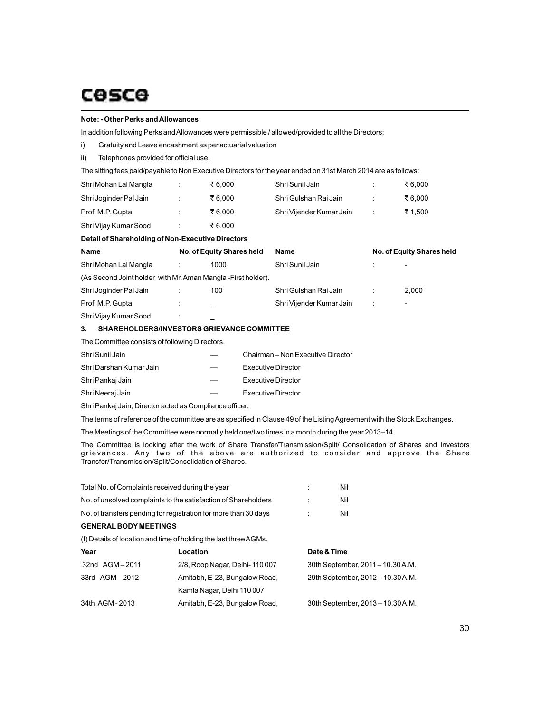# **Note: - Other Perks and Allowances**

In addition following Perks and Allowances were permissible / allowed/provided to all the Directors:

i) Gratuity and Leave encashment as per actuarial valuation

ii) Telephones provided for official use.

The sitting fees paid/payable to Non Executive Directors for the year ended on 31st March 2014 are as follows:

| Name                                              |   | No. of Equity Shares held | Name                     |                    | No. of Equity Shares held |
|---------------------------------------------------|---|---------------------------|--------------------------|--------------------|---------------------------|
| Detail of Shareholding of Non-Executive Directors |   |                           |                          |                    |                           |
| Shri Vijay Kumar Sood                             |   | ₹6.000                    |                          |                    |                           |
| Prof. M.P. Gupta                                  |   | ₹6.000                    | Shri Vijender Kumar Jain | ÷                  | ₹ 1.500                   |
| Shri Joginder Pal Jain                            | ÷ | ₹6.000                    | Shri Gulshan Rai Jain    | ÷                  | ₹6.000                    |
| Shri Mohan Lal Mangla                             |   | ₹6.000                    | Shri Sunil Jain          | $\cdot$<br>$\cdot$ | ₹6.000                    |

| Shri Mohan Lal Mangla                                         |    | 1000 | Shri Sunil Jain          |                | $\overline{\phantom{0}}$ |
|---------------------------------------------------------------|----|------|--------------------------|----------------|--------------------------|
| (As Second Joint holder with Mr. Aman Mangla - First holder). |    |      |                          |                |                          |
| Shri Joginder Pal Jain                                        |    | 100  | Shri Gulshan Rai Jain    |                | 2.000                    |
| Prof. M.P. Gupta                                              | ۰. |      | Shri Vijender Kumar Jain | $\mathbb{R}^n$ | -                        |
| Shri Vijay Kumar Sood                                         | ٠  |      |                          |                |                          |

# **3. SHAREHOLDERS/INVESTORS GRIEVANCE COMMITTEE**

The Committee consists of following Directors.

| Shri Sunil Jain         | Chairman – Non Executive Director |
|-------------------------|-----------------------------------|
| Shri Darshan Kumar Jain | <b>Executive Director</b>         |
| Shri Pankaj Jain        | <b>Executive Director</b>         |
| Shri Neeraj Jain        | <b>Executive Director</b>         |

Shri Pankaj Jain, Director acted as Compliance officer.

The terms of reference of the committee are as specified in Clause 49 of the Listing Agreement with the Stock Exchanges.

The Meetings of the Committee were normally held one/two times in a month during the year 2013–14.

The Committee is looking after the work of Share Transfer/Transmission/Split/ Consolidation of Shares and Investors grievances. Any two of the above are authorized to consider and approve the Share Transfer/Transmission/Split/Consolidation of Shares.

| Total No. of Complaints received during the year                |                                                                  | Nil         |                                   |
|-----------------------------------------------------------------|------------------------------------------------------------------|-------------|-----------------------------------|
| No. of unsolved complaints to the satisfaction of Shareholders  |                                                                  | Nil         |                                   |
| No. of transfers pending for registration for more than 30 days |                                                                  | Nil         |                                   |
| <b>GENERAL BODY MEETINGS</b>                                    |                                                                  |             |                                   |
|                                                                 | (I) Details of location and time of holding the last three AGMs. |             |                                   |
| Year                                                            | Location                                                         | Date & Time |                                   |
| 32nd AGM-2011                                                   | 2/8, Roop Nagar, Delhi-110007                                    |             | 30th September, 2011 - 10.30 A.M. |
| 33rd AGM-2012                                                   | Amitabh, E-23, Bungalow Road,                                    |             | 29th September, 2012 - 10.30 A.M. |
|                                                                 | Kamla Nagar, Delhi 110007                                        |             |                                   |
| 34th AGM-2013                                                   | Amitabh, E-23, Bungalow Road,                                    |             | 30th September, 2013 - 10.30 A.M. |
|                                                                 |                                                                  |             |                                   |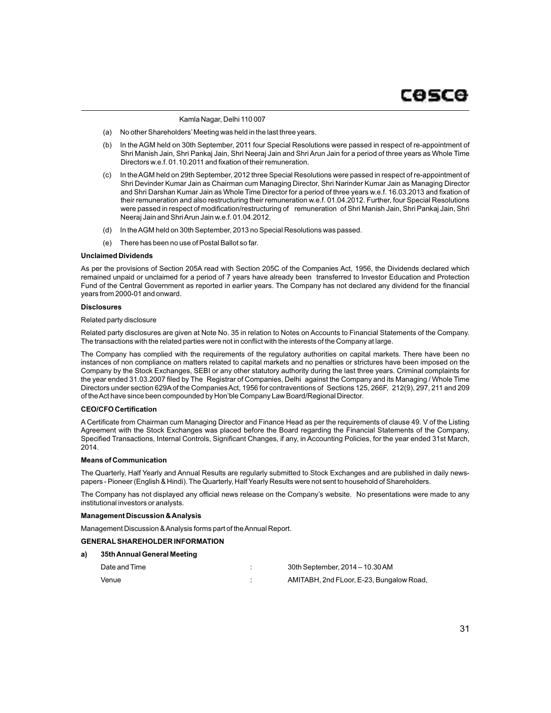Kamla Nagar, Delhi 110 007

- (a) No other Shareholders'Meeting was held in the last three years.
- (b) In the AGM held on 30th September, 2011 four Special Resolutions were passed in respect of re-appointment of Shri Manish Jain, Shri Pankaj Jain, Shri Neeraj Jain and Shri Arun Jain for a period of three years as Whole Time Directors w.e.f. 01.10.2011 and fixation of their remuneration.
- (c) In the AGM held on 29th September, 2012 three Special Resolutions were passed in respect of re-appointment of Shri Devinder Kumar Jain as Chairman cum Managing Director, Shri Narinder Kumar Jain as Managing Director and Shri Darshan Kumar Jain as Whole Time Director for a period of three years w.e.f. 16.03.2013 and fixation of their remuneration and also restructuring their remuneration w.e.f. 01.04.2012. Further, four Special Resolutions were passed in respect of modification/restructuring of remuneration of Shri Manish Jain, Shri Pankaj Jain, Shri Neeraj Jain and Shri Arun Jain w.e.f. 01.04.2012.
- (d) In the AGM held on 30th September, 2013 no Special Resolutions was passed.
- (e) There has been no use of Postal Ballot so far.

#### **Unclaimed Dividends**

As per the provisions of Section 205A read with Section 205C of the Companies Act, 1956, the Dividends declared which remained unpaid or unclaimed for a period of 7 years have already been transferred to Investor Education and Protection Fund of the Central Government as reported in earlier years. The Company has not declared any dividend for the financial years from 2000-01 and onward.

#### **Disclosures**

#### Related party disclosure

Related party disclosures are given at Note No. 35 in relation to Notes on Accounts to Financial Statements of the Company. The transactions with the related parties were not in conflict with the interests of the Company at large.

The Company has complied with the requirements of the regulatory authorities on capital markets. There have been no instances of non compliance on matters related to capital markets and no penalties or strictures have been imposed on the Company by the Stock Exchanges, SEBI or any other statutory authority during the last three years. Criminal complaints for the year ended 31.03.2007 filed by The Registrar of Companies, Delhi against the Company and its Managing / Whole Time Directors under section 629Aof the Companies Act, 1956 for contraventions of Sections 125, 266F, 212(9), 297, 211 and 209 of the Act have since been compounded by Hon'ble Company Law Board/Regional Director.

#### **CEO/CFO Certification**

A Certificate from Chairman cum Managing Director and Finance Head as per the requirements of clause 49. V of the Listing Agreement with the Stock Exchanges was placed before the Board regarding the Financial Statements of the Company, Specified Transactions, Internal Controls, Significant Changes, if any, in Accounting Policies, for the year ended 31st March, 2014.

#### **Means of Communication**

The Quarterly, Half Yearly and Annual Results are regularly submitted to Stock Exchanges and are published in daily newspapers - Pioneer (English & Hindi). The Quarterly, Half Yearly Results were not sent to household of Shareholders.

The Company has not displayed any official news release on the Company's website. No presentations were made to any institutional investors or analysts.

#### **Management Discussion & Analysis**

Management Discussion & Analysis forms part of the Annual Report.

#### **GENERALSHAREHOLDER INFORMATION**

#### **a) 35th Annual General Meeting**

| Date and Time | 30th September, 2014 - 10.30 AM          |
|---------------|------------------------------------------|
| Venue         | AMITABH, 2nd FLoor, E-23, Bungalow Road, |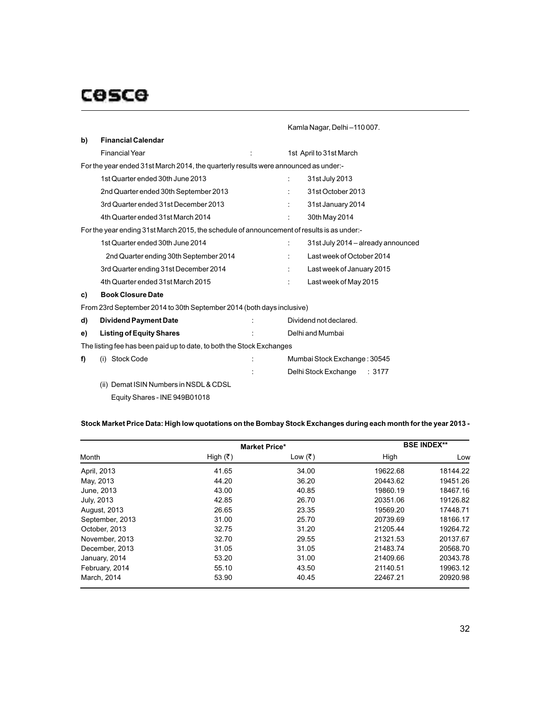Kamla Nagar, Delhi –110 007.

| b)                                                                                  | <b>Financial Calendar</b>                                                                  |  |   |                                    |  |  |
|-------------------------------------------------------------------------------------|--------------------------------------------------------------------------------------------|--|---|------------------------------------|--|--|
|                                                                                     | <b>Financial Year</b>                                                                      |  |   | 1st April to 31st March            |  |  |
| For the year ended 31st March 2014, the quarterly results were announced as under:- |                                                                                            |  |   |                                    |  |  |
|                                                                                     | 1st Quarter ended 30th June 2013                                                           |  |   | 31st July 2013                     |  |  |
|                                                                                     | 2nd Quarter ended 30th September 2013                                                      |  |   | 31st October 2013                  |  |  |
|                                                                                     | 3rd Quarter ended 31st December 2013                                                       |  |   | 31st January 2014                  |  |  |
|                                                                                     | 4th Quarter ended 31st March 2014                                                          |  |   | 30th May 2014                      |  |  |
|                                                                                     | For the year ending 31st March 2015, the schedule of announcement of results is as under:- |  |   |                                    |  |  |
|                                                                                     | 1st Quarter ended 30th June 2014                                                           |  |   | 31st July 2014 - already announced |  |  |
|                                                                                     | 2nd Quarter ending 30th September 2014                                                     |  |   | Last week of October 2014          |  |  |
|                                                                                     | 3rd Quarter ending 31st December 2014                                                      |  |   | Last week of January 2015          |  |  |
|                                                                                     | 4th Quarter ended 31st March 2015                                                          |  | ÷ | Last week of May 2015              |  |  |
| C)                                                                                  | <b>Book Closure Date</b>                                                                   |  |   |                                    |  |  |
|                                                                                     | From 23rd September 2014 to 30th September 2014 (both days inclusive)                      |  |   |                                    |  |  |
| d)                                                                                  | <b>Dividend Payment Date</b>                                                               |  |   | Dividend not declared.             |  |  |
| e)                                                                                  | <b>Listing of Equity Shares</b>                                                            |  |   | Delhi and Mumbai                   |  |  |
|                                                                                     | The listing fee has been paid up to date, to both the Stock Exchanges                      |  |   |                                    |  |  |

| f) | (i) Stock Code | Mumbai Stock Exchange: 30545 |  |
|----|----------------|------------------------------|--|
|    |                | Delhi Stock Exchange : 3177  |  |

(ii) Demat ISIN Numbers in NSDL& CDSL Equity Shares - INE 949B01018

# **Stock Market Price Data: High low quotations on the Bombay Stock Exchanges during each month for the year 2013 -**

|                     |            | <b>Market Price*</b> | <b>BSE INDEX**</b> |          |  |
|---------------------|------------|----------------------|--------------------|----------|--|
| Month               | High $(₹)$ | Low (₹)              | High               | Low      |  |
| April, 2013         | 41.65      | 34.00                | 19622.68           | 18144.22 |  |
| May, 2013           | 44.20      | 36.20                | 20443.62           | 19451.26 |  |
| June, 2013          | 43.00      | 40.85                | 19860.19           | 18467.16 |  |
| July, 2013          | 42.85      | 26.70                | 20351.06           | 19126.82 |  |
| <b>August, 2013</b> | 26.65      | 23.35                | 19569.20           | 17448.71 |  |
| September, 2013     | 31.00      | 25.70                | 20739.69           | 18166.17 |  |
| October, 2013       | 32.75      | 31.20                | 21205.44           | 19264.72 |  |
| November, 2013      | 32.70      | 29.55                | 21321.53           | 20137.67 |  |
| December, 2013      | 31.05      | 31.05                | 21483.74           | 20568.70 |  |
| January, 2014       | 53.20      | 31.00                | 21409.66           | 20343.78 |  |
| February, 2014      | 55.10      | 43.50                | 21140.51           | 19963.12 |  |
| March, 2014         | 53.90      | 40.45                | 22467.21           | 20920.98 |  |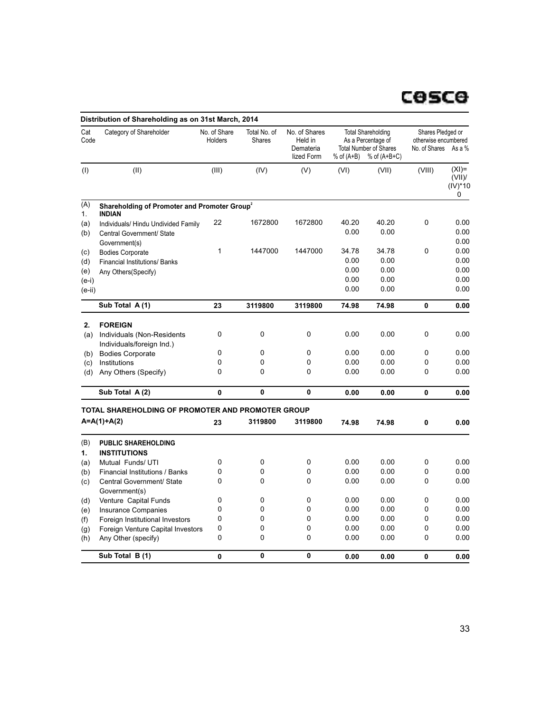|                                          | Distribution of Shareholding as on 31st March, 2014                                     |                         |                        |                                                     |                                       |                                                                                                    |                                                                   |                                      |
|------------------------------------------|-----------------------------------------------------------------------------------------|-------------------------|------------------------|-----------------------------------------------------|---------------------------------------|----------------------------------------------------------------------------------------------------|-------------------------------------------------------------------|--------------------------------------|
| Cat<br>Code                              | Category of Shareholder                                                                 | No. of Share<br>Holders | Total No. of<br>Shares | No. of Shares<br>Held in<br>Demateria<br>lized Form | $%$ of $(A+B)$                        | <b>Total Shareholding</b><br>As a Percentage of<br><b>Total Number of Shares</b><br>$%$ of (A+B+C) | Shares Pledged or<br>otherwise encumbered<br>No. of Shares As a % |                                      |
| (1)                                      | (II)                                                                                    | (III)                   | (IV)                   | (V)                                                 | (VI)                                  | (VII)                                                                                              | (VIII)                                                            | $(XI) =$<br>(VIII)<br>(IV)*10<br>0   |
| (A)<br>1.                                | Shareholding of Promoter and Promoter Group <sup>2</sup><br><b>INDIAN</b>               |                         |                        |                                                     |                                       |                                                                                                    |                                                                   |                                      |
| (a)<br>(b)                               | Individuals/ Hindu Undivided Family<br>Central Government/ State<br>Government(s)       | 22                      | 1672800                | 1672800                                             | 40.20<br>0.00                         | 40.20<br>0.00                                                                                      | 0                                                                 | 0.00<br>0.00<br>0.00                 |
| (c)<br>(d)<br>(e)<br>$(e-i)$<br>$(e-ii)$ | <b>Bodies Corporate</b><br><b>Financial Institutions/ Banks</b><br>Any Others (Specify) | 1                       | 1447000                | 1447000                                             | 34.78<br>0.00<br>0.00<br>0.00<br>0.00 | 34.78<br>0.00<br>0.00<br>0.00<br>0.00                                                              | 0                                                                 | 0.00<br>0.00<br>0.00<br>0.00<br>0.00 |
|                                          | Sub Total A(1)                                                                          | 23                      | 3119800                | 3119800                                             | 74.98                                 | 74.98                                                                                              | 0                                                                 | 0.00                                 |
|                                          |                                                                                         |                         |                        |                                                     |                                       |                                                                                                    |                                                                   |                                      |
| 2.<br>(a)                                | <b>FOREIGN</b><br>Individuals (Non-Residents<br>Individuals/foreign Ind.)               | 0                       | $\mathbf 0$            | 0                                                   | 0.00                                  | 0.00                                                                                               | 0                                                                 | 0.00                                 |
| (b)                                      | <b>Bodies Corporate</b>                                                                 | 0                       | 0                      | 0                                                   | 0.00                                  | 0.00                                                                                               | 0                                                                 | 0.00                                 |
| (c)                                      | Institutions                                                                            | 0                       | 0                      | 0                                                   | 0.00                                  | 0.00                                                                                               | 0                                                                 | 0.00                                 |
| (d)                                      | Any Others (Specify)                                                                    | 0                       | 0                      | 0                                                   | 0.00                                  | 0.00                                                                                               | 0                                                                 | 0.00                                 |
|                                          | Sub Total A(2)                                                                          | 0                       | 0                      | 0                                                   | 0.00                                  | 0.00                                                                                               | 0                                                                 | 0.00                                 |
|                                          | TOTAL SHAREHOLDING OF PROMOTER AND PROMOTER GROUP                                       |                         |                        |                                                     |                                       |                                                                                                    |                                                                   |                                      |
|                                          | $A = A(1) + A(2)$                                                                       | 23                      | 3119800                | 3119800                                             | 74.98                                 | 74.98                                                                                              | 0                                                                 | 0.00                                 |
| (B)<br>1.                                | <b>PUBLIC SHAREHOLDING</b><br><b>INSTITUTIONS</b>                                       |                         |                        |                                                     |                                       |                                                                                                    |                                                                   |                                      |
| (a)                                      | Mutual Funds/ UTI                                                                       | 0                       | 0                      | 0                                                   | 0.00                                  | 0.00                                                                                               | 0                                                                 | 0.00                                 |
| (b)                                      | <b>Financial Institutions / Banks</b>                                                   | 0                       | 0                      | 0                                                   | 0.00                                  | 0.00                                                                                               | 0                                                                 | 0.00                                 |
| (c)                                      | Central Government/ State<br>Government(s)                                              | 0                       | 0                      | 0                                                   | 0.00                                  | 0.00                                                                                               | 0                                                                 | 0.00                                 |
| (d)                                      | Venture Capital Funds                                                                   | 0                       | 0                      | 0                                                   | 0.00                                  | 0.00                                                                                               | 0                                                                 | 0.00                                 |
| (e)                                      | <b>Insurance Companies</b>                                                              | 0                       | 0                      | 0                                                   | 0.00                                  | 0.00                                                                                               | 0                                                                 | 0.00                                 |
| (f)                                      | Foreign Institutional Investors                                                         | 0                       | $\mathbf{0}$           | 0                                                   | 0.00                                  | 0.00                                                                                               | 0                                                                 | 0.00                                 |
| (g)<br>(h)                               | Foreign Venture Capital Investors<br>Any Other (specify)                                | 0<br>0                  | 0<br>0                 | 0<br>0                                              | 0.00<br>0.00                          | 0.00<br>0.00                                                                                       | 0<br>0                                                            | 0.00<br>0.00                         |
|                                          | Sub Total B(1)                                                                          | 0                       | 0                      | 0                                                   | 0.00                                  | 0.00                                                                                               | 0                                                                 | 0.00                                 |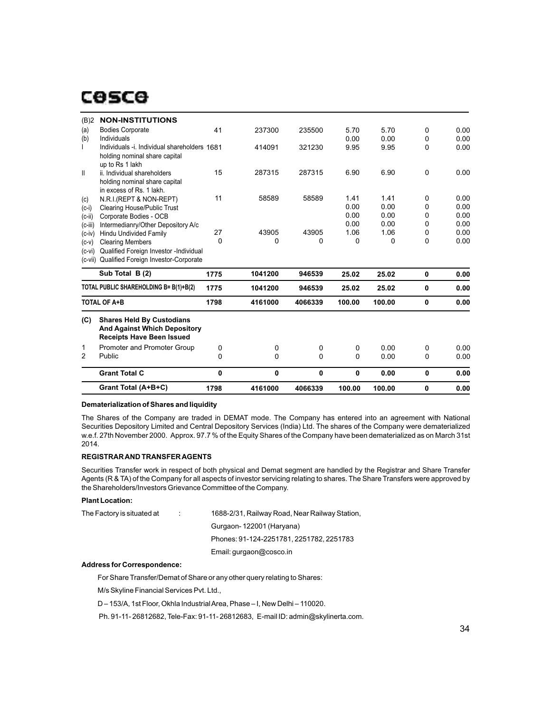|                       | Grant Total (A+B+C)                                                                                         | 1798   | 4161000 | 4066339 | 100.00       | 100.00       | 0        | 0.00         |
|-----------------------|-------------------------------------------------------------------------------------------------------------|--------|---------|---------|--------------|--------------|----------|--------------|
|                       | <b>Grant Total C</b>                                                                                        | 0      | 0       | 0       | 0            | 0.00         | 0        | 0.00         |
| 1<br>2                | Promoter and Promoter Group<br>Public                                                                       | 0<br>0 | 0<br>0  | 0<br>0  | 0<br>0       | 0.00<br>0.00 | 0<br>0   | 0.00<br>0.00 |
| (C)                   | <b>Shares Held By Custodians</b><br><b>And Against Which Depository</b><br><b>Receipts Have Been Issued</b> |        |         |         |              |              |          |              |
|                       | <b>TOTAL OF A+B</b>                                                                                         | 1798   | 4161000 | 4066339 | 100.00       | 100.00       | $\bf{0}$ | 0.00         |
|                       | TOTAL PUBLIC SHAREHOLDING B= B(1)+B(2)                                                                      | 1775   | 1041200 | 946539  | 25.02        | 25.02        | 0        | 0.00         |
|                       | Sub Total B (2)                                                                                             | 1775   | 1041200 | 946539  | 25.02        | 25.02        | $\bf{0}$ | 0.00         |
| $(c-vi)$<br>(c-vii)   | Qualified Foreign Investor - Individual<br>Qualified Foreign Investor-Corporate                             |        |         |         |              |              |          |              |
| $(c-v)$               | <b>Clearing Members</b>                                                                                     | 0      | 0       | 0       | 0            | 0            | 0        | 0.00         |
| $(c-iv)$              | Hindu Undivided Family                                                                                      | 27     | 43905   | 43905   | 1.06         | 1.06         | 0        | 0.00         |
| $(c-ii)$<br>$(c-iii)$ | Corporate Bodies - OCB<br>Intermedianry/Other Depository A/c                                                |        |         |         | 0.00         | 0.00         | 0        | 0.00         |
| $(c-i)$               | Clearing House/Public Trust                                                                                 |        |         |         | 0.00         | 0.00         | 0<br>0   | 0.00<br>0.00 |
| (c)                   | in excess of Rs. 1 lakh.<br>N.R.I.(REPT & NON-REPT)                                                         | 11     | 58589   | 58589   | 1.41<br>0.00 | 1.41<br>0.00 | 0        | 0.00         |
| $\mathbf{I}$          | ii. Individual shareholders<br>holding nominal share capital                                                | 15     | 287315  | 287315  | 6.90         | 6.90         | 0        | 0.00         |
|                       | holding nominal share capital<br>up to Rs 1 lakh                                                            |        |         |         |              |              |          |              |
| (b)                   | Individuals<br>Individuals -i. Individual shareholders 1681                                                 |        | 414091  | 321230  | 0.00<br>9.95 | 0.00<br>9.95 | 0<br>0   | 0.00<br>0.00 |
| (a)                   | <b>Bodies Corporate</b>                                                                                     | 41     | 237300  | 235500  | 5.70         | 5.70         | 0        | 0.00         |
| (B)2                  | <b>NON-INSTITUTIONS</b>                                                                                     |        |         |         |              |              |          |              |

# **Dematerialization of Shares and liquidity**

The Shares of the Company are traded in DEMAT mode. The Company has entered into an agreement with National Securities Depository Limited and Central Depository Services (India) Ltd. The shares of the Company were dematerialized w.e.f. 27th November 2000. Approx. 97.7 % of the Equity Shares of the Company have been dematerialized as on March 31st 2014.

#### **REGISTRAR AND TRANSFER AGENTS**

Securities Transfer work in respect of both physical and Demat segment are handled by the Registrar and Share Transfer Agents (R & TA) of the Company for all aspects of investor servicing relating to shares. The Share Transfers were approved by the Shareholders/Investors Grievance Committee of the Company.

### **Plant Location:**

| The Factory is situated at | 1688-2/31, Railway Road, Near Railway Station, |
|----------------------------|------------------------------------------------|
|                            | Gurgaon-122001 (Haryana)                       |
|                            | Phones: 91-124-2251781, 2251782, 2251783       |
|                            | Email: gurgaon@cosco.in                        |

#### **Address for Correspondence:**

For Share Transfer/Demat of Share or any other query relating to Shares:

M/s Skyline Financial Services Pvt. Ltd.,

D – 153/A, 1st Floor, Okhla Industrial Area, Phase – I, New Delhi – 110020.

Ph. 91-11- 26812682, Tele-Fax: 91-11- 26812683, E-mail ID: admin@skylinerta.com.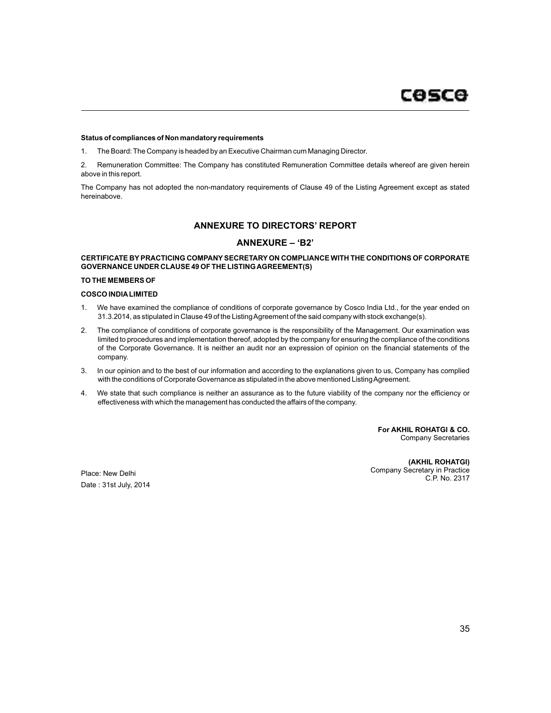#### **Status of compliances of Non mandatory requirements**

1. The Board: The Company is headed by an Executive Chairman cum Managing Director.

2. Remuneration Committee: The Company has constituted Remuneration Committee details whereof are given herein above in this report.

The Company has not adopted the non-mandatory requirements of Clause 49 of the Listing Agreement except as stated hereinabove.

# **ANNEXURE TO DIRECTORS' REPORT**

# **ANNEXURE – 'B2'**

### **CERTIFICATE BY PRACTICING COMPANY SECRETARY ON COMPLIANCE WITH THE CONDITIONS OF CORPORATE GOVERNANCE UNDER CLAUSE 49 OF THE LISTING AGREEMENT(S)**

#### **TO THE MEMBERS OF**

#### **COSCO INDIALIMITED**

- 1. We have examined the compliance of conditions of corporate governance by Cosco India Ltd., for the year ended on 31.3.2014, as stipulated in Clause 49 of the Listing Agreement of the said company with stock exchange(s).
- 2. The compliance of conditions of corporate governance is the responsibility of the Management. Our examination was limited to procedures and implementation thereof, adopted by the company for ensuring the compliance of the conditions of the Corporate Governance. It is neither an audit nor an expression of opinion on the financial statements of the company.
- 3. In our opinion and to the best of our information and according to the explanations given to us, Company has complied with the conditions of Corporate Governance as stipulated in the above mentioned Listing Agreement.
- 4. We state that such compliance is neither an assurance as to the future viability of the company nor the efficiency or effectiveness with which the management has conducted the affairs of the company.

**For AKHIL ROHATGI & CO.** Company Secretaries

Date : 31st July, 2014

**(AKHIL ROHATGI)** Company Secretary in Practice<br>C.P. No. 2317 Place: New Delhi<br>C.P. No. 2317<br>C.P. No. 2317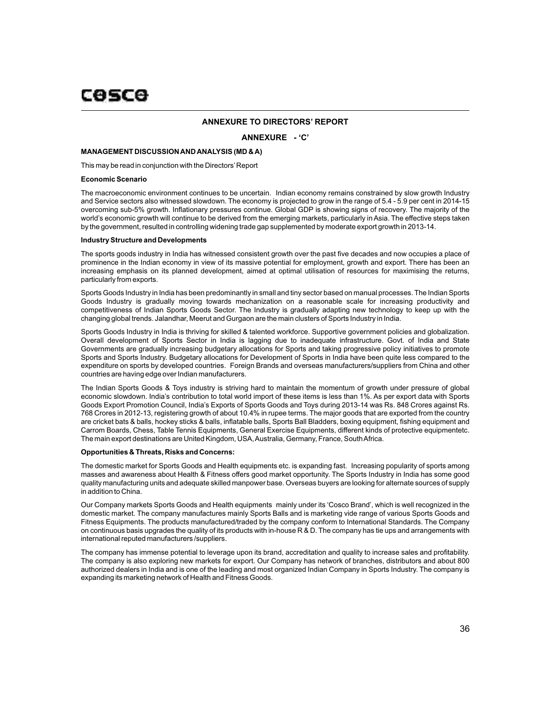# COSCO

#### **ANNEXURE TO DIRECTORS' REPORT**

### **ANNEXURE - 'C'**

#### **MANAGEMENT DISCUSSION AND ANALYSIS (MD & A)**

This may be read in conjunction with the Directors'Report

#### **Economic Scenario**

The macroeconomic environment continues to be uncertain. Indian economy remains constrained by slow growth Industry and Service sectors also witnessed slowdown. The economy is projected to grow in the range of 5.4 - 5.9 per cent in 2014-15 overcoming sub-5% growth. Inflationary pressures continue. Global GDP is showing signs of recovery. The majority of the world's economic growth will continue to be derived from the emerging markets, particularly in Asia. The effective steps taken by the government, resulted in controlling widening trade gap supplemented by moderate export growth in 2013-14.

#### **Industry Structure and Developments**

The sports goods industry in India has witnessed consistent growth over the past five decades and now occupies a place of prominence in the Indian economy in view of its massive potential for employment, growth and export. There has been an increasing emphasis on its planned development, aimed at optimal utilisation of resources for maximising the returns, particularly from exports.

Sports Goods Industry in India has been predominantly in small and tiny sector based on manual processes. The Indian Sports Goods Industry is gradually moving towards mechanization on a reasonable scale for increasing productivity and competitiveness of Indian Sports Goods Sector. The Industry is gradually adapting new technology to keep up with the changing global trends. Jalandhar, Meerut and Gurgaon are the main clusters of Sports Industry in India.

Sports Goods Industry in India is thriving for skilled & talented workforce. Supportive government policies and globalization. Overall development of Sports Sector in India is lagging due to inadequate infrastructure. Govt. of India and State Governments are gradually increasing budgetary allocations for Sports and taking progressive policy initiatives to promote Sports and Sports Industry. Budgetary allocations for Development of Sports in India have been quite less compared to the expenditure on sports by developed countries. Foreign Brands and overseas manufacturers/suppliers from China and other countries are having edge over Indian manufacturers.

The Indian Sports Goods & Toys industry is striving hard to maintain the momentum of growth under pressure of global economic slowdown. India's contribution to total world import of these items is less than 1%. As per export data with Sports Goods Export Promotion Council, India's Exports of Sports Goods and Toys during 2013-14 was Rs. 848 Crores against Rs. 768 Crores in 2012-13, registering growth of about 10.4% in rupee terms. The major goods that are exported from the country are cricket bats & balls, hockey sticks & balls, inflatable balls, Sports Ball Bladders, boxing equipment, fishing equipment and Carrom Boards, Chess, Table Tennis Equipments, General Exercise Equipments, different kinds of protective equipmentetc. The main export destinations are United Kingdom, USA, Australia, Germany, France, South Africa.

#### **Opportunities & Threats, Risks and Concerns:**

The domestic market for Sports Goods and Health equipments etc. is expanding fast. Increasing popularity of sports among masses and awareness about Health & Fitness offers good market opportunity. The Sports Industry in India has some good quality manufacturing units and adequate skilled manpower base. Overseas buyers are looking for alternate sources of supply in addition to China.

Our Company markets Sports Goods and Health equipments mainly under its 'Cosco Brand', which is well recognized in the domestic market. The company manufactures mainly Sports Balls and is marketing vide range of various Sports Goods and Fitness Equipments. The products manufactured/traded by the company conform to International Standards. The Company on continuous basis upgrades the quality of its products with in-house R & D. The company has tie ups and arrangements with international reputed manufacturers /suppliers.

The company has immense potential to leverage upon its brand, accreditation and quality to increase sales and profitability. The company is also exploring new markets for export. Our Company has network of branches, distributors and about 800 authorized dealers in India and is one of the leading and most organized Indian Company in Sports Industry. The company is expanding its marketing network of Health and Fitness Goods.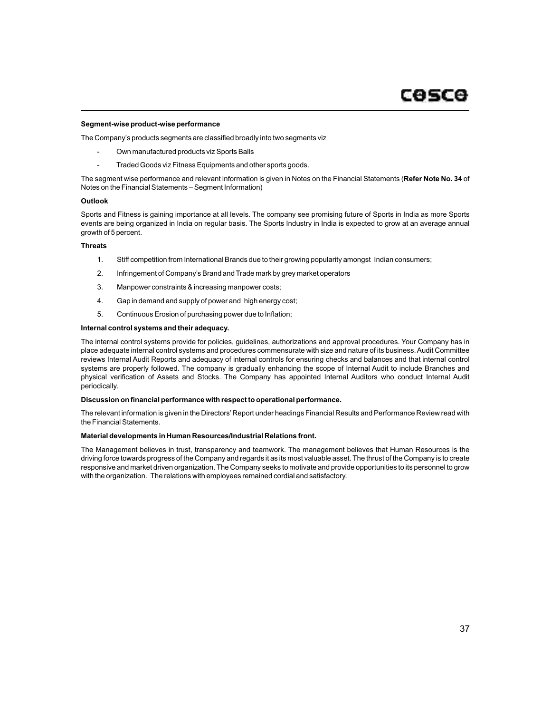#### **Segment-wise product-wise performance**

The Company's products segments are classified broadly into two segments viz

- Own manufactured products viz Sports Balls
- Traded Goods viz Fitness Equipments and other sports goods.

The segment wise performance and relevant information is given in Notes on the Financial Statements (**Refer Note No. 34** of Notes on the Financial Statements – Segment Information)

#### **Outlook**

Sports and Fitness is gaining importance at all levels. The company see promising future of Sports in India as more Sports events are being organized in India on regular basis. The Sports Industry in India is expected to grow at an average annual growth of 5 percent.

#### **Threats**

- 1. Stiff competition from International Brands due to their growing popularity amongst Indian consumers;
- 2. Infringement of Company's Brand and Trade mark by grey market operators
- 3. Manpower constraints & increasing manpower costs;
- 4. Gap in demand and supply of power and high energy cost;
- 5. Continuous Erosion of purchasing power due to Inflation;

#### **Internal control systems and their adequacy.**

The internal control systems provide for policies, guidelines, authorizations and approval procedures. Your Company has in place adequate internal control systems and procedures commensurate with size and nature of its business. Audit Committee reviews Internal Audit Reports and adequacy of internal controls for ensuring checks and balances and that internal control systems are properly followed. The company is gradually enhancing the scope of Internal Audit to include Branches and physical verification of Assets and Stocks. The Company has appointed Internal Auditors who conduct Internal Audit periodically.

#### **Discussion on financial performance with respect to operational performance.**

The relevant information is given in the Directors'Report under headings Financial Results and Performance Review read with the Financial Statements.

#### **Material developments in Human Resources/Industrial Relations front.**

The Management believes in trust, transparency and teamwork. The management believes that Human Resources is the driving force towards progress of the Company and regards it as its most valuable asset. The thrust of the Company is to create responsive and market driven organization. The Company seeks to motivate and provide opportunities to its personnel to grow with the organization. The relations with employees remained cordial and satisfactory.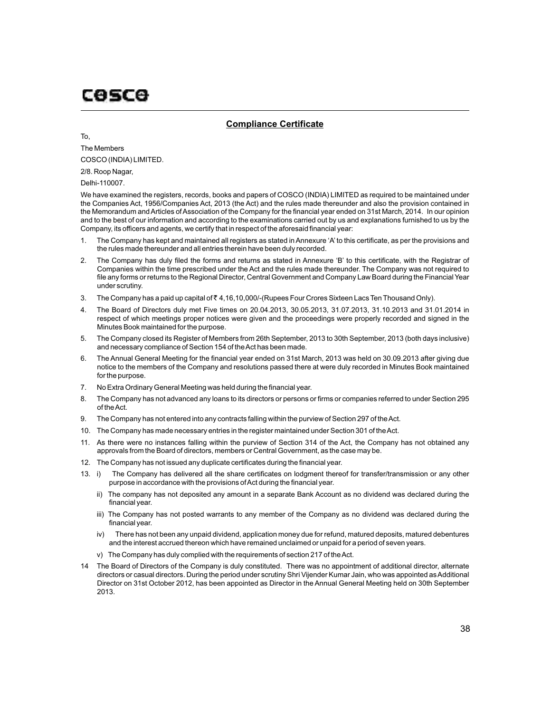# **Compliance Certificate**

To,

The Members COSCO (INDIA) LIMITED.

2/8. Roop Nagar,

Delhi-110007.

We have examined the registers, records, books and papers of COSCO (INDIA) LIMITED as required to be maintained under the Companies Act, 1956/Companies Act, 2013 (the Act) and the rules made thereunder and also the provision contained in the Memorandum and Articles of Association of the Company for the financial year ended on 31st March, 2014. In our opinion and to the best of our information and according to the examinations carried out by us and explanations furnished to us by the Company, its officers and agents, we certify that in respect of the aforesaid financial year:

- 1. The Company has kept and maintained all registers as stated in Annexure 'A' to this certificate, as per the provisions and the rules made thereunder and all entries therein have been duly recorded.
- 2. The Company has duly filed the forms and returns as stated in Annexure 'B' to this certificate, with the Registrar of Companies within the time prescribed under the Act and the rules made thereunder. The Company was not required to file any forms or returns to the Regional Director, Central Government and Company Law Board during the Financial Year under scrutiny.
- 3. The Company has a paid up capital of  $\bar{z}$  4,16,10,000/-(Rupees Four Crores Sixteen Lacs Ten Thousand Only).
- 4. The Board of Directors duly met Five times on 20.04.2013, 30.05.2013, 31.07.2013, 31.10.2013 and 31.01.2014 in respect of which meetings proper notices were given and the proceedings were properly recorded and signed in the Minutes Book maintained for the purpose.
- 5. The Company closed its Register of Members from 26th September, 2013 to 30th September, 2013 (both days inclusive) and necessary compliance of Section 154 of the Act has been made.
- 6. The Annual General Meeting for the financial year ended on 31st March, 2013 was held on 30.09.2013 after giving due notice to the members of the Company and resolutions passed there at were duly recorded in Minutes Book maintained for the purpose.
- 7. No Extra Ordinary General Meeting was held during the financial year.
- 8. The Company has not advanced any loans to its directors or persons or firms or companies referred to under Section 295 of the Act.
- 9. The Company has not entered into any contracts falling within the purview of Section 297 of the Act.
- 10. The Company has made necessary entries in the register maintained under Section 301 of the Act.
- 11. As there were no instances falling within the purview of Section 314 of the Act, the Company has not obtained any approvals from the Board of directors, members or Central Government, as the case may be.
- 12. The Company has not issued any duplicate certificates during the financial year.
- 13. i) The Company has delivered all the share certificates on lodgment thereof for transfer/transmission or any other purpose in accordance with the provisions of Act during the financial year.
	- ii) The company has not deposited any amount in a separate Bank Account as no dividend was declared during the financial year.
	- iii) The Company has not posted warrants to any member of the Company as no dividend was declared during the financial year.
	- iv) There has not been any unpaid dividend, application money due for refund, matured deposits, matured debentures and the interest accrued thereon which have remained unclaimed or unpaid for a period of seven years.
	- v) The Company has duly complied with the requirements of section 217 of the Act.
- 14 The Board of Directors of the Company is duly constituted. There was no appointment of additional director, alternate directors or casual directors. During the period under scrutiny Shri Vijender Kumar Jain, who was appointed as Additional Director on 31st October 2012, has been appointed as Director in the Annual General Meeting held on 30th September 2013.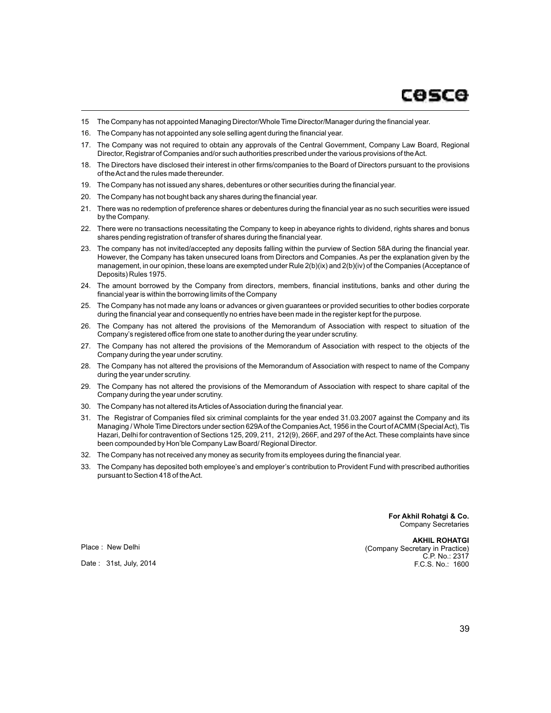- 15 The Company has not appointed Managing Director/Whole Time Director/Manager during the financial year.
- 16. The Company has not appointed any sole selling agent during the financial year.
- 17. The Company was not required to obtain any approvals of the Central Government, Company Law Board, Regional Director, Registrar of Companies and/or such authorities prescribed under the various provisions of the Act.
- 18. The Directors have disclosed their interest in other firms/companies to the Board of Directors pursuant to the provisions of the Act and the rules made thereunder.
- 19. The Company has not issued any shares, debentures or other securities during the financial year.
- 20. The Company has not bought back any shares during the financial year.
- 21. There was no redemption of preference shares or debentures during the financial year as no such securities were issued by the Company.
- 22. There were no transactions necessitating the Company to keep in abeyance rights to dividend, rights shares and bonus shares pending registration of transfer of shares during the financial year.
- 23. The company has not invited/accepted any deposits falling within the purview of Section 58A during the financial year. However, the Company has taken unsecured loans from Directors and Companies. As per the explanation given by the management, in our opinion, these loans are exempted under Rule 2(b)(ix) and 2(b)(iv) of the Companies (Acceptance of Deposits) Rules 1975.
- 24. The amount borrowed by the Company from directors, members, financial institutions, banks and other during the financial year is within the borrowing limits of the Company
- 25. The Company has not made any loans or advances or given guarantees or provided securities to other bodies corporate during the financial year and consequently no entries have been made in the register kept for the purpose.
- 26. The Company has not altered the provisions of the Memorandum of Association with respect to situation of the Company's registered office from one state to another during the year under scrutiny.
- 27. The Company has not altered the provisions of the Memorandum of Association with respect to the objects of the Company during the year under scrutiny.
- 28. The Company has not altered the provisions of the Memorandum of Association with respect to name of the Company during the year under scrutiny.
- 29. The Company has not altered the provisions of the Memorandum of Association with respect to share capital of the Company during the year under scrutiny.
- 30. The Company has not altered its Articles of Association during the financial year.
- 31. The Registrar of Companies filed six criminal complaints for the year ended 31.03.2007 against the Company and its Managing / Whole Time Directors under section 629Aof the Companies Act, 1956 in the Court of ACMM (Special Act), Tis Hazari, Delhi for contravention of Sections 125, 209, 211, 212(9), 266F, and 297 of the Act. These complaints have since been compounded by Hon'ble Company Law Board/ Regional Director.
- 32. The Company has not received any money as security from its employees during the financial year.
- 33. The Company has deposited both employee's and employer's contribution to Provident Fund with prescribed authorities pursuant to Section 418 of the Act.

**For Akhil Rohatgi & Co.** Company Secretaries

**AKHIL ROHATGI** (Company Secretary in Practice) C.P. No.: 2317 F.C.S. No.: 1600

Place : New Delhi

Date : 31st, July, 2014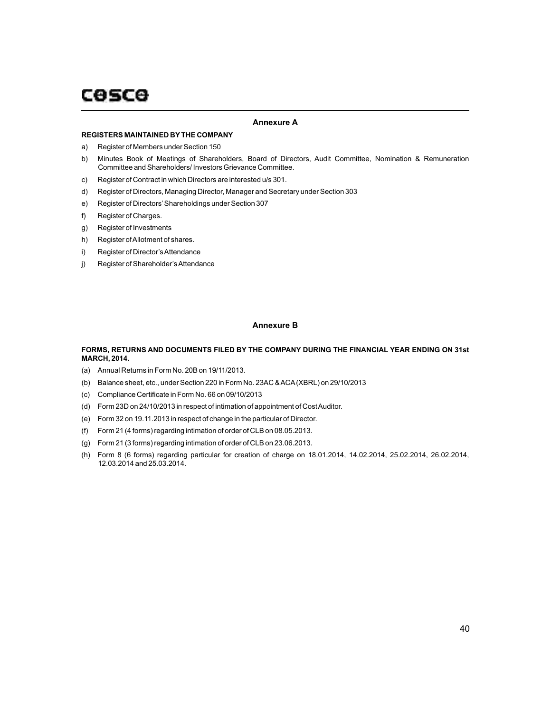### **Annexure A**

#### **REGISTERS MAINTAINED BYTHE COMPANY**

- a) Register of Members under Section 150
- b) Minutes Book of Meetings of Shareholders, Board of Directors, Audit Committee, Nomination & Remuneration Committee and Shareholders/ Investors Grievance Committee.
- c) Register of Contract in which Directors are interested u/s 301.
- d) Register of Directors, Managing Director, Manager and Secretary under Section 303
- e) Register of Directors'Shareholdings under Section 307
- f) Register of Charges.
- g) Register of Investments
- h) Register of Allotment of shares.
- i) Register of Director's Attendance
- j) Register of Shareholder's Attendance

### **Annexure B**

### **FORMS, RETURNS AND DOCUMENTS FILED BY THE COMPANY DURING THE FINANCIAL YEAR ENDING ON 31st MARCH, 2014.**

- (a) Annual Returns in Form No. 20B on 19/11/2013.
- (b) Balance sheet, etc., under Section 220 in Form No. 23AC & ACA(XBRL) on 29/10/2013
- (c) Compliance Certificate in Form No. 66 on 09/10/2013
- (d) Form 23D on 24/10/2013 in respect of intimation of appointment of Cost Auditor.
- (e) Form 32 on 19.11.2013 in respect of change in the particular of Director.
- (f) Form 21 (4 forms) regarding intimation of order of CLB on 08.05.2013.
- (g) Form 21 (3 forms) regarding intimation of order of CLB on 23.06.2013.
- (h) Form 8 (6 forms) regarding particular for creation of charge on 18.01.2014, 14.02.2014, 25.02.2014, 26.02.2014, 12.03.2014 and 25.03.2014.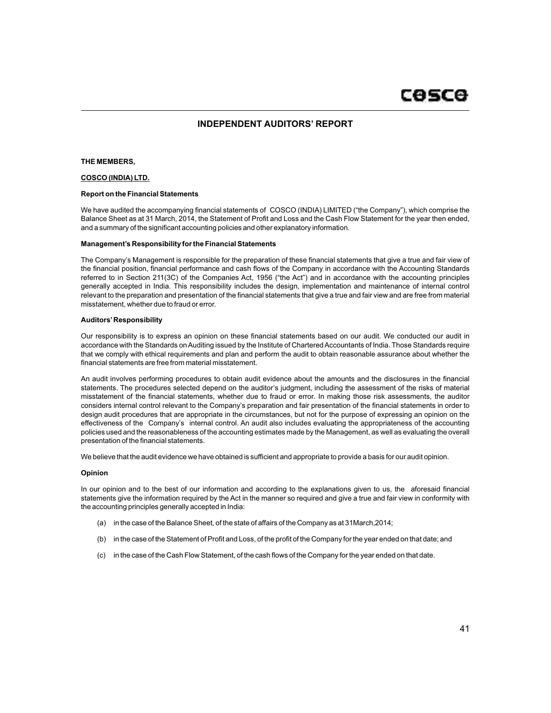# **INDEPENDENT AUDITORS' REPORT**

#### **THE MEMBERS,**

#### **COSCO (INDIA) LTD.**

#### **Report on the Financial Statements**

We have audited the accompanying financial statements of COSCO (INDIA) LIMITED ("the Company"), which comprise the Balance Sheet as at 31 March, 2014, the Statement of Profit and Loss and the Cash Flow Statement for the year then ended, and a summary of the significant accounting policies and other explanatory information.

#### **Management's Responsibility for the Financial Statements**

The Company's Management is responsible for the preparation of these financial statements that give a true and fair view of the financial position, financial performance and cash flows of the Company in accordance with the Accounting Standards referred to in Section 211(3C) of the Companies Act, 1956 ("the Act") and in accordance with the accounting principles generally accepted in India. This responsibility includes the design, implementation and maintenance of internal control relevant to the preparation and presentation of the financial statements that give a true and fair view and are free from material misstatement, whether due to fraud or error.

#### **Auditors'Responsibility**

Our responsibility is to express an opinion on these financial statements based on our audit. We conducted our audit in accordance with the Standards on Auditing issued by the Institute of Chartered Accountants of India. Those Standards require that we comply with ethical requirements and plan and perform the audit to obtain reasonable assurance about whether the financial statements are free from material misstatement.

An audit involves performing procedures to obtain audit evidence about the amounts and the disclosures in the financial statements. The procedures selected depend on the auditor's judgment, including the assessment of the risks of material misstatement of the financial statements, whether due to fraud or error. In making those risk assessments, the auditor considers internal control relevant to the Company's preparation and fair presentation of the financial statements in order to design audit procedures that are appropriate in the circumstances, but not for the purpose of expressing an opinion on the effectiveness of the Company's internal control. An audit also includes evaluating the appropriateness of the accounting policies used and the reasonableness of the accounting estimates made by the Management, as well as evaluating the overall presentation of the financial statements.

We believe that the audit evidence we have obtained is sufficient and appropriate to provide a basis for our audit opinion.

#### **Opinion**

In our opinion and to the best of our information and according to the explanations given to us, the aforesaid financial statements give the information required by the Act in the manner so required and give a true and fair view in conformity with the accounting principles generally accepted in India:

- (a) in the case of the Balance Sheet, of the state of affairs of the Company as at 31March,2014;
- (b) in the case of the Statement of Profit and Loss, of the profit of the Company for the year ended on that date; and
- (c) in the case of the Cash Flow Statement, of the cash flows of the Company for the year ended on that date.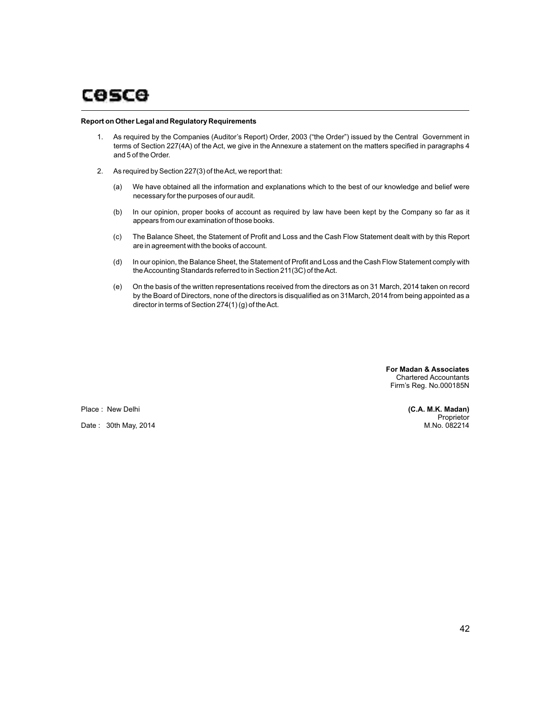#### **Report on Other Legal and Regulatory Requirements**

- 1. As required by the Companies (Auditor's Report) Order, 2003 ("the Order") issued by the Central Government in terms of Section 227(4A) of the Act, we give in the Annexure a statement on the matters specified in paragraphs 4 and 5 of the Order.
- 2. As required by Section 227(3) of the Act, we report that:
	- (a) We have obtained all the information and explanations which to the best of our knowledge and belief were necessary for the purposes of our audit.
	- (b) In our opinion, proper books of account as required by law have been kept by the Company so far as it appears from our examination of those books.
	- (c) The Balance Sheet, the Statement of Profit and Loss and the Cash Flow Statement dealt with by this Report are in agreement with the books of account.
	- (d) In our opinion, the Balance Sheet, the Statement of Profit and Loss and the Cash Flow Statement comply with the Accounting Standards referred to in Section 211(3C) of the Act.
	- (e) On the basis of the written representations received from the directors as on 31 March, 2014 taken on record by the Board of Directors, none of the directors is disqualified as on 31March, 2014 from being appointed as a director in terms of Section 274(1) (g) of the Act.

 **For Madan & Associates** Chartered Accountants Firm's Reg. No.000185N

Place : New Delhi

Date : 30th May, 2014

**(C.A. M.K. Madan) Proprietor** M.No. 082214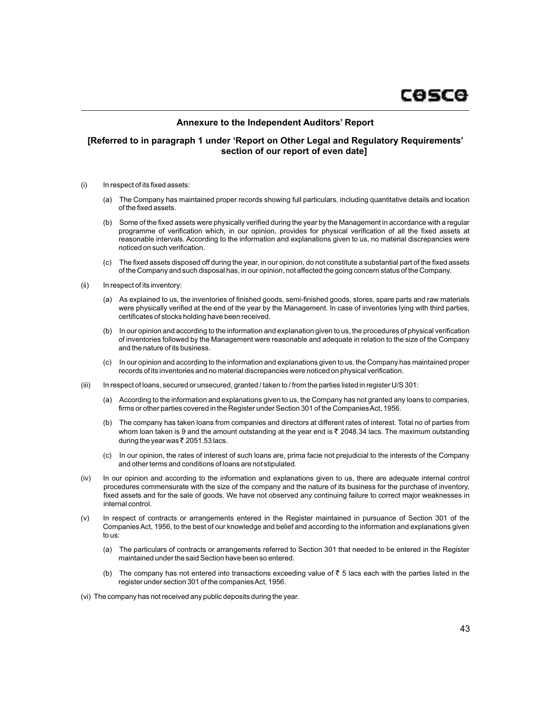# **Annexure to the Independent Auditors' Report**

# **[Referred to in paragraph 1 under 'Report on Other Legal and Regulatory Requirements' section of our report of even date]**

- (i) In respect of its fixed assets:
	- (a) The Company has maintained proper records showing full particulars, including quantitative details and location of the fixed assets.
	- (b) Some of the fixed assets were physically verified during the year by the Management in accordance with a regular programme of verification which, in our opinion, provides for physical verification of all the fixed assets at reasonable intervals. According to the information and explanations given to us, no material discrepancies were noticed on such verification.
	- (c) The fixed assets disposed off during the year, in our opinion, do not constitute a substantial part of the fixed assets of the Company and such disposal has, in our opinion, not affected the going concern status of the Company.
- (ii) In respect of its inventory:
	- (a) As explained to us, the inventories of finished goods, semi-finished goods, stores, spare parts and raw materials were physically verified at the end of the year by the Management. In case of inventories lying with third parties, certificates of stocks holding have been received.
	- (b) In our opinion and according to the information and explanation given to us, the procedures of physical verification of inventories followed by the Management were reasonable and adequate in relation to the size of the Company and the nature of its business.
	- (c) In our opinion and according to the information and explanations given to us, the Company has maintained proper records of its inventories and no material discrepancies were noticed on physical verification.
- (iii) In respect of loans, secured or unsecured, granted / taken to / from the parties listed in register U/S 301:
	- (a) According to the information and explanations given to us, the Company has not granted any loans to companies, firms or other parties covered in the Register under Section 301 of the Companies Act, 1956.
	- (b) The company has taken loans from companies and directors at different rates of interest. Total no of parties from whom loan taken is 9 and the amount outstanding at the year end is  $\bar{\tau}$  2048.34 lacs. The maximum outstanding during the year was  $\bar{\tau}$  2051.53 lacs.
	- (c) In our opinion, the rates of interest of such loans are, prima facie not prejudicial to the interests of the Company and other terms and conditions of loans are not stipulated.
- (iv) In our opinion and according to the information and explanations given to us, there are adequate internal control procedures commensurate with the size of the company and the nature of its business for the purchase of inventory, fixed assets and for the sale of goods. We have not observed any continuing failure to correct major weaknesses in internal control.
- (v) In respect of contracts or arrangements entered in the Register maintained in pursuance of Section 301 of the Companies Act, 1956, to the best of our knowledge and belief and according to the information and explanations given to us:
	- (a) The particulars of contracts or arrangements referred to Section 301 that needed to be entered in the Register maintained under the said Section have been so entered.
	- (b) The company has not entered into transactions exceeding value of  $\bar{\tau}$  5 lacs each with the parties listed in the register under section 301 of the companies Act, 1956.
- (vi) The company has not received any public deposits during the year.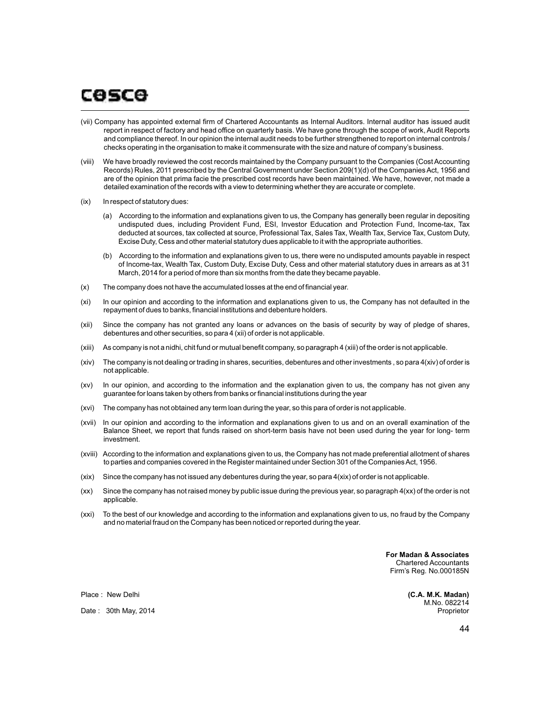# cosce

- (vii) Company has appointed external firm of Chartered Accountants as Internal Auditors. Internal auditor has issued audit report in respect of factory and head office on quarterly basis. We have gone through the scope of work, Audit Reports and compliance thereof. In our opinion the internal audit needs to be further strengthened to report on internal controls / checks operating in the organisation to make it commensurate with the size and nature of company's business.
- (viii) We have broadly reviewed the cost records maintained by the Company pursuant to the Companies (Cost Accounting Records) Rules, 2011 prescribed by the Central Government under Section 209(1)(d) of the Companies Act, 1956 and are of the opinion that prima facie the prescribed cost records have been maintained. We have, however, not made a detailed examination of the records with a view to determining whether they are accurate or complete.
- (ix) In respect of statutory dues:
	- (a) According to the information and explanations given to us, the Company has generally been regular in depositing undisputed dues, including Provident Fund, ESI, Investor Education and Protection Fund, Income-tax, Tax deducted at sources, tax collected at source, Professional Tax, Sales Tax, Wealth Tax, Service Tax, Custom Duty, Excise Duty, Cess and other material statutory dues applicable to it with the appropriate authorities.
	- (b) According to the information and explanations given to us, there were no undisputed amounts payable in respect of Income-tax, Wealth Tax, Custom Duty, Excise Duty, Cess and other material statutory dues in arrears as at 31 March, 2014 for a period of more than six months from the date they became payable.
- (x) The company does not have the accumulated losses at the end of financial year.
- (xi) In our opinion and according to the information and explanations given to us, the Company has not defaulted in the repayment of dues to banks, financial institutions and debenture holders.
- (xii) Since the company has not granted any loans or advances on the basis of security by way of pledge of shares, debentures and other securities, so para 4 (xii) of order is not applicable.
- (xiii) As company is not a nidhi, chit fund or mutual benefit company, so paragraph 4 (xiii) of the order is not applicable.
- (xiv) The company is not dealing or trading in shares, securities, debentures and other investments , so para 4(xiv) of order is not applicable.
- (xv) In our opinion, and according to the information and the explanation given to us, the company has not given any guarantee for loans taken by others from banks or financial institutions during the year
- (xvi) The company has not obtained any term loan during the year, so this para of order is not applicable.
- (xvii) In our opinion and according to the information and explanations given to us and on an overall examination of the Balance Sheet, we report that funds raised on short-term basis have not been used during the year for long- term investment.
- (xviii) According to the information and explanations given to us, the Company has not made preferential allotment of shares to parties and companies covered in the Register maintained under Section 301 of the Companies Act, 1956.
- (xix) Since the company has not issued any debentures during the year, so para 4(xix) of order is not applicable.
- (xx) Since the company has not raised money by public issue during the previous year, so paragraph 4(xx) of the order is not applicable.
- (xxi) To the best of our knowledge and according to the information and explanations given to us, no fraud by the Company and no material fraud on the Company has been noticed or reported during the year.

 **For Madan & Associates** Chartered Accountants Firm's Reg. No.000185N

> **(C.A. M.K. Madan)** M.No. 082214 Proprietor

Place : New Delhi

Date : 30th May, 2014

44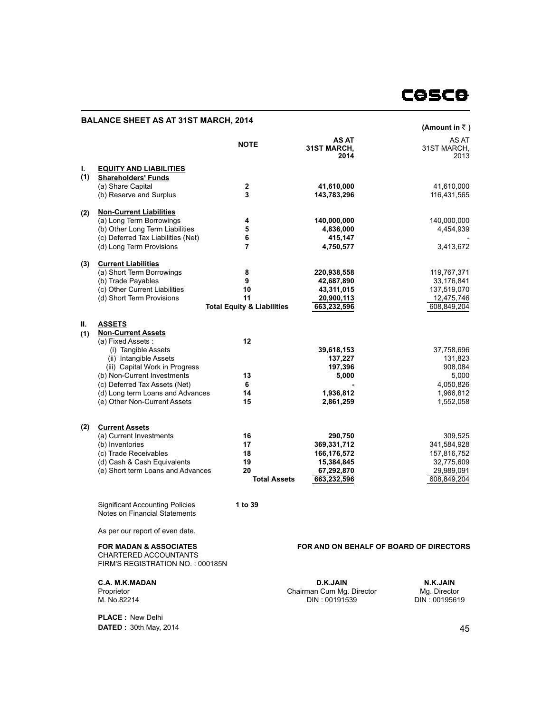# **COSCO**

# **BALANCE SHEET AS AT 31ST MARCH, 2014**

|     |                                                                  |                                       |                                            | (Amount in ₹)                |
|-----|------------------------------------------------------------------|---------------------------------------|--------------------------------------------|------------------------------|
|     |                                                                  | <b>NOTE</b>                           | <b>AS AT</b><br><b>31ST MARCH,</b><br>2014 | AS AT<br>31ST MARCH,<br>2013 |
| L.  | <b>EQUITY AND LIABILITIES</b>                                    |                                       |                                            |                              |
| (1) | <b>Shareholders' Funds</b>                                       |                                       |                                            |                              |
|     | (a) Share Capital                                                | $\mathbf{2}$                          | 41,610,000                                 | 41,610,000                   |
|     | (b) Reserve and Surplus                                          | 3                                     | 143,783,296                                | 116,431,565                  |
| (2) | <b>Non-Current Liabilities</b>                                   |                                       |                                            |                              |
|     | (a) Long Term Borrowings                                         | 4                                     | 140,000,000                                | 140,000,000                  |
|     | (b) Other Long Term Liabilities                                  | 5                                     | 4,836,000                                  | 4,454,939                    |
|     | (c) Deferred Tax Liabilities (Net)                               | 6                                     | 415,147                                    |                              |
|     | (d) Long Term Provisions                                         | $\overline{7}$                        | 4,750,577                                  | 3,413,672                    |
| (3) | <b>Current Liabilities</b>                                       |                                       |                                            |                              |
|     | (a) Short Term Borrowings                                        | 8                                     | 220,938,558                                | 119,767,371                  |
|     | (b) Trade Payables                                               | 9                                     | 42,687,890                                 | 33,176,841                   |
|     | (c) Other Current Liabilities                                    | 10                                    | 43,311,015                                 | 137,519,070                  |
|     | (d) Short Term Provisions                                        | 11                                    | 20,900,113                                 | 12,475,746                   |
|     |                                                                  | <b>Total Equity &amp; Liabilities</b> | 663,232,596                                | 608,849,204                  |
| Ш.  | <b>ASSETS</b>                                                    |                                       |                                            |                              |
| (1) | <b>Non-Current Assets</b>                                        |                                       |                                            |                              |
|     | (a) Fixed Assets:                                                | 12                                    |                                            |                              |
|     | (i) Tangible Assets                                              |                                       | 39,618,153                                 | 37,758,696                   |
|     | (ii) Intangible Assets                                           |                                       | 137,227                                    | 131,823                      |
|     | (iii) Capital Work in Progress                                   |                                       | 197,396                                    | 908,084                      |
|     | (b) Non-Current Investments                                      | 13<br>6                               | 5,000                                      | 5,000                        |
|     | (c) Deferred Tax Assets (Net)                                    | 14                                    | 1,936,812                                  | 4,050,826                    |
|     | (d) Long term Loans and Advances<br>(e) Other Non-Current Assets | 15                                    | 2,861,259                                  | 1,966,812<br>1,552,058       |
|     |                                                                  |                                       |                                            |                              |
| (2) | <b>Current Assets</b>                                            |                                       |                                            |                              |
|     | (a) Current Investments                                          | 16                                    | 290,750                                    | 309,525                      |
|     | (b) Inventories                                                  | 17                                    | 369,331,712                                | 341,584,928                  |
|     | (c) Trade Receivables                                            | 18                                    | 166,176,572                                | 157,816,752                  |
|     | (d) Cash & Cash Equivalents                                      | 19                                    | 15,384,845                                 | 32,775,609                   |
|     | (e) Short term Loans and Advances                                | 20                                    | 67,292,870                                 | 29,989,091                   |
|     |                                                                  | <b>Total Assets</b>                   | 663,232,596                                | 608,849,204                  |
|     |                                                                  |                                       |                                            |                              |

**1 to 39** 

Notes on Financial Statements As per our report of even date.

Significant Accounting Policies

**FOR MADAN & ASSOCIATES**

CHARTERED ACCOUNTANTS FIRM'S REGISTRATION NO. : 000185N

**C.A. M.K.MADAN** Proprietor M. No.82214

**PLACE :** New Delhi **DATED :** 30th May, 2014 **FOR AND ON BEHALF OF BOARD OF DIRECTORS**

**D.K.JAIN** Chairman Cum Mg. Director DIN : 00191539

**N.K.JAIN** Mg. Director DIN : 00195619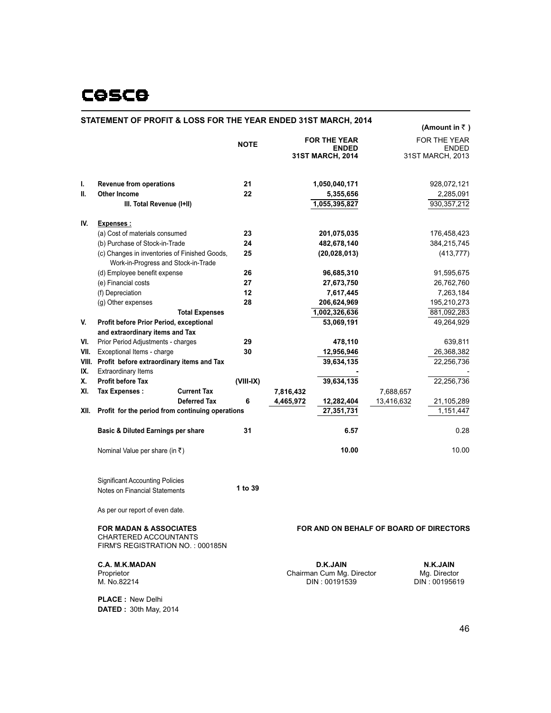# **COSCO**

# **STATEMENT OF PROFIT & LOSS FOR THE YEAR ENDED 31ST MARCH, 2014**

|      |                                                 |                                                                                      |             |           |                                         |            | (Amount in $\bar{z}$ )       |
|------|-------------------------------------------------|--------------------------------------------------------------------------------------|-------------|-----------|-----------------------------------------|------------|------------------------------|
|      |                                                 |                                                                                      | <b>NOTE</b> |           | <b>FOR THE YEAR</b><br><b>ENDED</b>     |            | FOR THE YEAR<br><b>ENDED</b> |
|      |                                                 |                                                                                      |             |           | 31ST MARCH, 2014                        |            | 31ST MARCH, 2013             |
| ı.   | <b>Revenue from operations</b>                  |                                                                                      | 21          |           | 1,050,040,171                           |            | 928,072,121                  |
| Ш.   | <b>Other Income</b>                             |                                                                                      | 22          |           | 5,355,656                               |            | 2,285,091                    |
|      | III. Total Revenue (I+II)                       |                                                                                      |             |           | 1,055,395,827                           |            | 930, 357, 212                |
| IV.  | <b>Expenses:</b>                                |                                                                                      |             |           |                                         |            |                              |
|      | (a) Cost of materials consumed                  |                                                                                      | 23          |           | 201,075,035                             |            | 176,458,423                  |
|      | (b) Purchase of Stock-in-Trade                  |                                                                                      | 24          |           | 482,678,140                             |            | 384,215,745                  |
|      |                                                 | (c) Changes in inventories of Finished Goods,<br>Work-in-Progress and Stock-in-Trade | 25          |           | (20, 028, 013)                          |            | (413, 777)                   |
|      | (d) Employee benefit expense                    |                                                                                      | 26          |           | 96,685,310                              |            | 91,595,675                   |
|      | (e) Financial costs                             |                                                                                      | 27          |           | 27,673,750                              |            | 26,762,760                   |
|      | (f) Depreciation                                |                                                                                      | 12          |           | 7,617,445                               |            | 7,263,184                    |
|      | (g) Other expenses                              |                                                                                      | 28          |           | 206,624,969                             |            | 195,210,273                  |
|      |                                                 | <b>Total Expenses</b>                                                                |             |           | 1,002,326,636                           |            | 881,092,283                  |
| V.   | Profit before Prior Period, exceptional         |                                                                                      |             |           | 53,069,191                              |            | 49,264,929                   |
|      | and extraordinary items and Tax                 |                                                                                      |             |           |                                         |            |                              |
| VI.  | Prior Period Adjustments - charges              |                                                                                      | 29          |           | 478,110                                 |            | 639,811                      |
| VII. | Exceptional Items - charge                      |                                                                                      | 30          |           | 12,956,946                              |            | 26,368,382                   |
|      | VIII. Profit before extraordinary items and Tax |                                                                                      |             |           | 39,634,135                              |            | 22,256,736                   |
| IX.  | <b>Extraordinary Items</b>                      |                                                                                      |             |           |                                         |            |                              |
| Χ.   | <b>Profit before Tax</b>                        |                                                                                      | $(VIII-IX)$ |           | 39,634,135                              |            | 22,256,736                   |
| XI.  | <b>Tax Expenses:</b>                            | <b>Current Tax</b>                                                                   |             | 7,816,432 |                                         | 7,688,657  |                              |
|      |                                                 | <b>Deferred Tax</b>                                                                  | 6           | 4,465,972 | 12,282,404                              | 13,416,632 | 21,105,289                   |
| XII. |                                                 | Profit for the period from continuing operations                                     |             |           | 27,351,731                              |            | 1,151,447                    |
|      | <b>Basic &amp; Diluted Earnings per share</b>   |                                                                                      | 31          |           | 6.57                                    |            | 0.28                         |
|      | Nominal Value per share (in $\bar{z}$ )         |                                                                                      |             |           | 10.00                                   |            | 10.00                        |
|      | <b>Significant Accounting Policies</b>          |                                                                                      |             |           |                                         |            |                              |
|      | Notes on Financial Statements                   |                                                                                      | 1 to 39     |           |                                         |            |                              |
|      | As per our report of even date.                 |                                                                                      |             |           |                                         |            |                              |
|      | <b>FOR MADAN &amp; ASSOCIATES</b>               |                                                                                      |             |           | FOR AND ON BEHALF OF BOARD OF DIRECTORS |            |                              |

**FOR MADAN & ASSOCIATES** CHARTERED ACCOUNTANTS FIRM'S REGISTRATION NO. : 000185N

**C.A. M.K.MADAN** Proprietor M. No.82214

**D.K.JAIN** Chairman Cum Mg. Director DIN : 00191539

**N.K.JAIN** Mg. Director DIN : 00195619

**PLACE :** New Delhi **DATED :** 30th May, 2014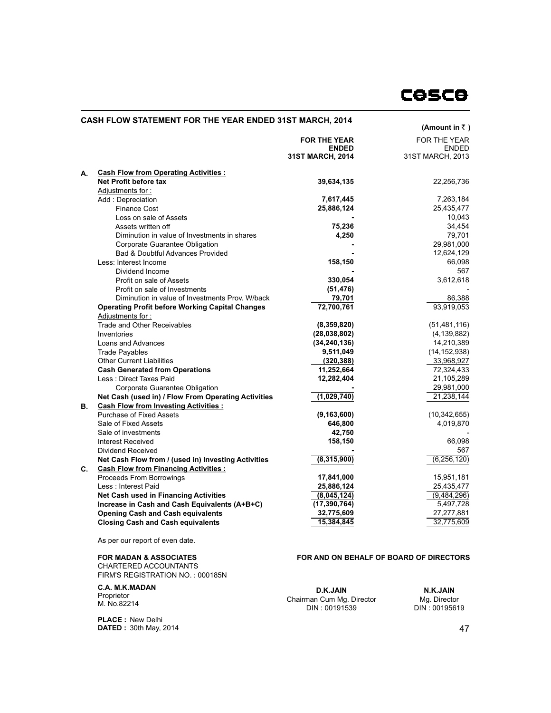# **CASH FLOW STATEMENT FOR THE YEAR ENDED 31ST MARCH, 2014**

|    |                                                                                  | (Amount in $\bar{z}$ )              |                                     |
|----|----------------------------------------------------------------------------------|-------------------------------------|-------------------------------------|
|    |                                                                                  | <b>FOR THE YEAR</b><br><b>ENDED</b> | <b>FOR THE YEAR</b><br><b>ENDED</b> |
|    |                                                                                  | 31ST MARCH, 2014                    | 31ST MARCH, 2013                    |
| А. | <b>Cash Flow from Operating Activities:</b>                                      |                                     |                                     |
|    | Net Profit before tax                                                            | 39,634,135                          | 22,256,736                          |
|    | Adjustments for:                                                                 |                                     |                                     |
|    | Add: Depreciation                                                                | 7,617,445                           | 7,263,184                           |
|    | <b>Finance Cost</b>                                                              | 25,886,124                          | 25,435,477                          |
|    | Loss on sale of Assets                                                           |                                     | 10,043                              |
|    | Assets written off                                                               | 75,236                              | 34,454                              |
|    | Diminution in value of Investments in shares                                     | 4,250                               | 79,701                              |
|    | Corporate Guarantee Obligation                                                   |                                     | 29,981,000                          |
|    | <b>Bad &amp; Doubtful Advances Provided</b>                                      |                                     | 12,624,129                          |
|    | Less: Interest Income                                                            | 158,150                             | 66.098                              |
|    | Dividend Income                                                                  |                                     | 567                                 |
|    | Profit on sale of Assets                                                         | 330,054                             | 3,612,618                           |
|    |                                                                                  | (51, 476)                           |                                     |
|    | Profit on sale of Investments<br>Diminution in value of Investments Prov. W/back |                                     |                                     |
|    |                                                                                  | 79,701                              | 86,388                              |
|    | <b>Operating Profit before Working Capital Changes</b>                           | 72,700,761                          | 93,919,053                          |
|    | Adjustments for:                                                                 |                                     |                                     |
|    | <b>Trade and Other Receivables</b>                                               | (8,359,820)                         | (51, 481, 116)                      |
|    | Inventories                                                                      | (28,038,802)                        | (4, 139, 882)                       |
|    | Loans and Advances                                                               | (34, 240, 136)                      | 14,210,389                          |
|    | <b>Trade Payables</b>                                                            | 9,511,049                           | (14, 152, 938)                      |
|    | <b>Other Current Liabilities</b>                                                 | (320, 388)                          | 33,968,927                          |
|    | <b>Cash Generated from Operations</b>                                            | 11,252,664                          | 72,324,433                          |
|    | Less: Direct Taxes Paid                                                          | 12,282,404                          | 21,105,289                          |
|    | Corporate Guarantee Obligation                                                   |                                     | 29,981,000                          |
|    | Net Cash (used in) / Flow From Operating Activities                              | (1,029,740)                         | 21,238,144                          |
| В. | <b>Cash Flow from Investing Activities:</b>                                      |                                     |                                     |
|    | <b>Purchase of Fixed Assets</b>                                                  | (9, 163, 600)                       | (10, 342, 655)                      |
|    | Sale of Fixed Assets                                                             | 646,800                             | 4,019,870                           |
|    | Sale of investments                                                              | 42,750                              |                                     |
|    | <b>Interest Received</b>                                                         | 158,150                             | 66,098                              |
|    | Dividend Received                                                                |                                     | 567                                 |
|    | Net Cash Flow from / (used in) Investing Activities                              | (8,315,900)                         | (6, 256, 120)                       |
| C. | <b>Cash Flow from Financing Activities:</b>                                      |                                     |                                     |
|    | <b>Proceeds From Borrowings</b>                                                  | 17,841,000                          | 15,951,181                          |
|    | Less: Interest Paid                                                              | 25,886,124                          | 25,435,477                          |
|    | <b>Net Cash used in Financing Activities</b>                                     | (8,045,124)                         | (9,484,296)                         |
|    | Increase in Cash and Cash Equivalents (A+B+C)                                    | (17, 390, 764)                      | 5,497,728                           |
|    | <b>Opening Cash and Cash equivalents</b>                                         | 32,775,609                          | 27,277,881                          |
|    | <b>Closing Cash and Cash equivalents</b>                                         | 15,384,845                          | 32,775,609                          |
|    |                                                                                  |                                     |                                     |

As per our report of even date.

#### **FOR MADAN & ASSOCIATES**

CHARTERED ACCOUNTANTS FIRM'S REGISTRATION NO. : 000185N

**C.A. M.K.MADAN** Proprietor M. No.82214

**D.K.JAIN** Chairman Cum Mg. Director DIN : 00191539

**FOR AND ON BEHALF OF BOARD OF DIRECTORS**

**N.K.JAIN** Mg. Director DIN : 00195619

**PLACE : DATED :** New Delhi 30th May, 2014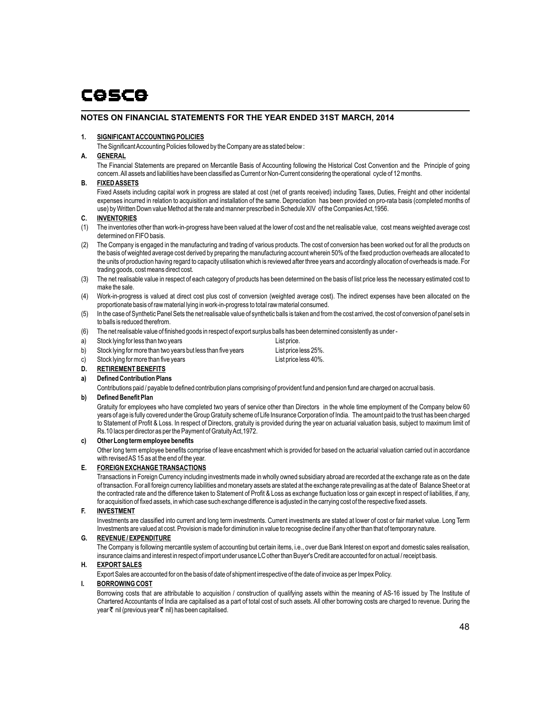# **NOTES ON FINANCIAL STATEMENTS FOR THE YEAR ENDED 31ST MARCH, 2014**

### **1. SIGNIFICANT ACCOUNTING POLICIES**

The Significant Accounting Policies followed by the Company are as stated below :

# **A. GENERAL**

The Financial Statements are prepared on Mercantile Basis of Accounting following the Historical Cost Convention and the Principle of going concern. All assets and liabilities have been classified as Current or Non-Current considering the operational cycle of 12 months.

### **B. FIXED ASSETS**

Fixed Assets including capital work in progress are stated at cost (net of grants received) including Taxes, Duties, Freight and other incidental expenses incurred in relation to acquisition and installation of the same. Depreciation has been provided on pro-rata basis (completed months of use) by Written Down value Method at the rate and manner prescribed in Schedule XIV of the Companies Act,1956.

# **C. INVENTORIES**

- (1) The inventories other than work-in-progress have been valued at the lower of cost and the net realisable value, cost means weighted average cost determined on FIFO basis.
- (2) The Company is engaged in the manufacturing and trading of various products. The cost of conversion has been worked out for all the products on the basis of weighted average cost derived by preparing the manufacturing account wherein 50% of the fixed production overheads are allocated to the units of production having regard to capacity utilisation which is reviewed after three years and accordingly allocation of overheads is made. For trading goods, cost means direct cost.
- (3) The net realisable value in respect of each category of products has been determined on the basis of list price less the necessary estimated cost to make the sale.
- (4) Work-in-progress is valued at direct cost plus cost of conversion (weighted average cost). The indirect expenses have been allocated on the proportionate basis of raw material lying in work-in-progress to total raw material consumed.
- (5) In the case of Synthetic Panel Sets the net realisable value of synthetic balls is taken and from the cost arrived, the cost of conversion of panel sets in to balls is reduced therefrom.
- (6) The net realisable value of finished goods in respect of export surplus balls has been determined consistently as under -
- a) Stock lying for less than two years Stock 1 and Stock lying for less than two years
- b) Stock lying for more than two years but less than five years List price less 25%.
- c) Stock Iving for more than five years List price less 40%.
- **D. RETIREMENT BENEFITS**
- **a) Defined Contribution Plans**

Contributions paid / payable to defined contribution plans comprising of provident fund and pension fund are charged on accrual basis.

# **b) Defined Benefit Plan**

Gratuity for employees who have completed two years of service other than Directors in the whole time employment of the Company below 60 years of age is fully covered under the Group Gratuity scheme of Life Insurance Corporation of India. The amount paid to the trust has been charged to Statement of Profit & Loss. In respect of Directors, gratuity is provided during the year on actuarial valuation basis, subject to maximum limit of Rs.10 lacs per director as per the Payment of Gratuity Act,1972.

# **c) Other Long term employee benefits**

Other long term employee benefits comprise of leave encashment which is provided for based on the actuarial valuation carried out in accordance with revised AS 15 as at the end of the year.

### **E. FOREIGN EXCHANGE TRANSACTIONS**

Transactions in Foreign Currency including investments made in wholly owned subsidiary abroad are recorded at the exchange rate as on the date of transaction. For all foreign currency liabilities and monetary assets are stated at the exchange rate prevailing as at the date of Balance Sheet or at the contracted rate and the difference taken to Statement of Profit & Loss as exchange fluctuation loss or gain except in respect of liabilities, if any, for acquisition of fixed assets, in which case such exchange difference is adjusted in the carrying cost of the respective fixed assets.

### **F. INVESTMENT**

Investments are classified into current and long term investments. Current investments are stated at lower of cost or fair market value. Long Term Investments are valued at cost. Provision is made for diminution in value to recognise decline if any other than that of temporary nature.

### **G. REVENUE / EXPENDITURE**

The Company is following mercantile system of accounting but certain items, i.e., over due Bank Interest on export and domestic sales realisation, insurance claims and interest in respect of import under usance LC other than Buyer's Credit are accounted for on actual / receipt basis.

### **H. EXPORT SALES**

Export Sales are accounted for on the basis of date of shipment irrespective of the date of invoice as per Impex Policy.

# **I. BORROWING COST**

Borrowing costs that are attributable to acquisition / construction of qualifying assets within the meaning of AS-16 issued by The Institute of Chartered Accountants of India are capitalised as a part of total cost of such assets. All other borrowing costs are charged to revenue. During the year  $\bar{\tau}$  nil (previous year  $\bar{\tau}$  nil) has been capitalised.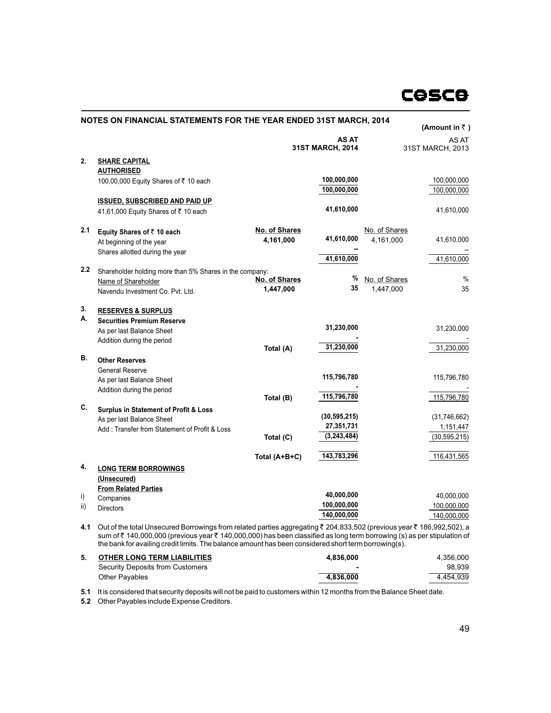|     | NOTES ON FINANCIAL STATEMENTS FOR THE YEAR ENDED 31ST MARCH, 2014                                                                                                                                                             |               |                                  |               | (Amount in $\bar{z}$ )    |
|-----|-------------------------------------------------------------------------------------------------------------------------------------------------------------------------------------------------------------------------------|---------------|----------------------------------|---------------|---------------------------|
|     |                                                                                                                                                                                                                               |               | <b>AS AT</b><br>31ST MARCH, 2014 |               | AS AT<br>31ST MARCH, 2013 |
| 2.  | <b>SHARE CAPITAL</b>                                                                                                                                                                                                          |               |                                  |               |                           |
|     | <b>AUTHORISED</b>                                                                                                                                                                                                             |               |                                  |               |                           |
|     | 100,00,000 Equity Shares of ₹ 10 each                                                                                                                                                                                         |               | 100,000,000                      |               | 100,000,000               |
|     |                                                                                                                                                                                                                               |               | 100,000,000                      |               | 100,000,000               |
|     | <b>ISSUED, SUBSCRIBED AND PAID UP</b>                                                                                                                                                                                         |               |                                  |               |                           |
|     | 41,61,000 Equity Shares of ₹ 10 each                                                                                                                                                                                          |               | 41,610,000                       |               | 41,610,000                |
| 2.1 | Equity Shares of ₹10 each                                                                                                                                                                                                     | No. of Shares |                                  | No. of Shares |                           |
|     | At beginning of the year                                                                                                                                                                                                      | 4,161,000     | 41,610,000                       | 4.161.000     | 41,610,000                |
|     | Shares allotted during the year                                                                                                                                                                                               |               |                                  |               |                           |
|     |                                                                                                                                                                                                                               |               | 41,610,000                       |               | 41,610,000                |
| 2.2 | Shareholder holding more than 5% Shares in the company:                                                                                                                                                                       |               |                                  |               |                           |
|     | Name of Shareholder                                                                                                                                                                                                           | No. of Shares | %                                | No. of Shares | %                         |
|     | Navendu Investment Co. Pvt. Ltd.                                                                                                                                                                                              | 1,447,000     | 35                               | 1,447,000     | 35                        |
| 3.  | <b>RESERVES &amp; SURPLUS</b>                                                                                                                                                                                                 |               |                                  |               |                           |
| А.  | <b>Securities Premium Reserve</b>                                                                                                                                                                                             |               |                                  |               |                           |
|     | As per last Balance Sheet                                                                                                                                                                                                     |               | 31,230,000                       |               | 31,230,000                |
|     | Addition during the period                                                                                                                                                                                                    |               |                                  |               |                           |
|     |                                                                                                                                                                                                                               | Total (A)     | 31,230,000                       |               | 31,230,000                |
| В.  | <b>Other Reserves</b>                                                                                                                                                                                                         |               |                                  |               |                           |
|     | <b>General Reserve</b>                                                                                                                                                                                                        |               | 115,796,780                      |               |                           |
|     | As per last Balance Sheet                                                                                                                                                                                                     |               |                                  |               | 115,796,780               |
|     | Addition during the period                                                                                                                                                                                                    |               | 115,796,780                      |               | 115,796,780               |
| C.  |                                                                                                                                                                                                                               | Total (B)     |                                  |               |                           |
|     | <b>Surplus in Statement of Profit &amp; Loss</b>                                                                                                                                                                              |               | (30, 595, 215)                   |               | (31,746,662)              |
|     | As per last Balance Sheet                                                                                                                                                                                                     |               | 27,351,731                       |               | 1,151,447                 |
|     | Add: Transfer from Statement of Profit & Loss                                                                                                                                                                                 | Total (C)     | (3,243,484)                      |               | (30, 595, 215)            |
|     |                                                                                                                                                                                                                               |               |                                  |               |                           |
|     |                                                                                                                                                                                                                               | Total (A+B+C) | 143,783,296                      |               | 116,431,565               |
| 4.  | <b>LONG TERM BORROWINGS</b>                                                                                                                                                                                                   |               |                                  |               |                           |
|     | (Unsecured)                                                                                                                                                                                                                   |               |                                  |               |                           |
|     | <b>From Related Parties</b>                                                                                                                                                                                                   |               | 40,000,000                       |               | 40,000,000                |
| i)  | Companies                                                                                                                                                                                                                     |               | 100,000,000                      |               | 100,000,000               |
| ii) | <b>Directors</b>                                                                                                                                                                                                              |               | 140,000,000                      |               | 140,000,000               |
| 4.1 | Out of the total Unsecured Borrowings from related parties aggregating ₹ 204,833,502 (previous year ₹ 186,992,502), a                                                                                                         |               |                                  |               |                           |
|     | sum of ₹140,000,000 (previous year ₹140,000,000) has been classified as long term borrowing (s) as per stipulation of<br>the bank for availing credit limits. The balance amount has been considered short term borrowing(s). |               |                                  |               |                           |

| <b>OTHER LONG TERM LIABILITIES</b> | 4.836.000 | 4.356.000 |
|------------------------------------|-----------|-----------|
| Security Deposits from Customers   |           | 98.939    |
| Other Pavables                     | 4.836.000 | 4.454.939 |

**5.1** It is considered that security deposits will not be paid to customers within 12 months from the Balance Sheet date.

**5.2** Other Payables include Expense Creditors.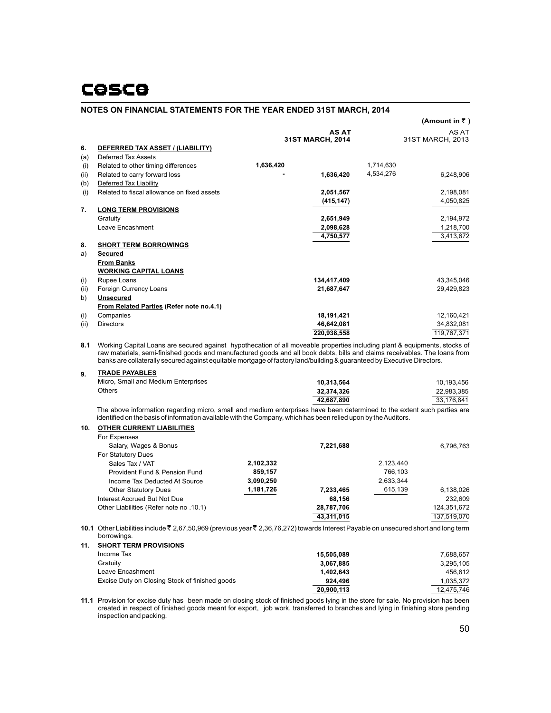|      |                                                 |           |                  |           | (Amount in $\bar{z}$ ) |
|------|-------------------------------------------------|-----------|------------------|-----------|------------------------|
|      |                                                 |           | <b>AS AT</b>     |           | AS AT                  |
|      |                                                 |           | 31ST MARCH, 2014 |           | 31ST MARCH, 2013       |
| 6.   | DEFERRED TAX ASSET / (LIABILITY)                |           |                  |           |                        |
| (a)  | <b>Deferred Tax Assets</b>                      |           |                  |           |                        |
| (i)  | Related to other timing differences             | 1,636,420 |                  | 1,714,630 |                        |
| (ii) | Related to carry forward loss                   |           | 1,636,420        | 4,534,276 | 6,248,906              |
| (b)  | Deferred Tax Liability                          |           |                  |           |                        |
| (i)  | Related to fiscal allowance on fixed assets     |           | 2,051,567        |           | 2,198,081              |
|      |                                                 |           | (415, 147)       |           | 4,050,825              |
| 7.   | <b>LONG TERM PROVISIONS</b>                     |           |                  |           |                        |
|      | Gratuity                                        |           | 2,651,949        |           | 2,194,972              |
|      | Leave Encashment                                |           | 2,098,628        |           | 1,218,700              |
|      |                                                 |           | 4,750,577        |           | 3,413,672              |
| 8.   | <b>SHORT TERM BORROWINGS</b>                    |           |                  |           |                        |
| a)   | <b>Secured</b>                                  |           |                  |           |                        |
|      | <b>From Banks</b>                               |           |                  |           |                        |
|      | <b>WORKING CAPITAL LOANS</b>                    |           |                  |           |                        |
| (i)  | Rupee Loans                                     |           | 134,417,409      |           | 43,345,046             |
| (ii) | Foreign Currency Loans                          |           | 21,687,647       |           | 29,429,823             |
| b)   | <b>Unsecured</b>                                |           |                  |           |                        |
|      | <b>From Related Parties (Refer note no.4.1)</b> |           |                  |           |                        |
| (i)  | Companies                                       |           | 18,191,421       |           | 12,160,421             |
| (ii) | <b>Directors</b>                                |           | 46,642,081       |           | 34,832,081             |
|      |                                                 |           | 220,938,558      |           | 119,767,371            |

**8.1** Working Capital Loans are secured against hypothecation of all moveable properties including plant & equipments, stocks of raw materials, semi-finished goods and manufactured goods and all book debts, bills and claims receivables. The loans from banks are collaterally secured against equitable mortgage of factory land/building & guaranteed by Executive Directors.

| <b>TRADE PAYABLES</b><br>9.         |            |            |
|-------------------------------------|------------|------------|
| Micro, Small and Medium Enterprises | 10.313.564 | 10.193.456 |
| Others                              | 32.374.326 | 22.983.385 |
|                                     | 42.687.890 | 33.176.841 |

The above information regarding micro, small and medium enterprises have been determined to the extent such parties are identified on the basis of information available with the Company, which has been relied upon by the Auditors.

#### **OTHER CURRENT LIABILITIES 10.**

| For Expenses                            |           |            |           |             |
|-----------------------------------------|-----------|------------|-----------|-------------|
| Salary, Wages & Bonus                   |           | 7,221,688  |           | 6,796,763   |
| For Statutory Dues                      |           |            |           |             |
| Sales Tax / VAT                         | 2.102.332 |            | 2.123.440 |             |
| Provident Fund & Pension Fund           | 859.157   |            | 766.103   |             |
| Income Tax Deducted At Source           | 3.090.250 |            | 2.633.344 |             |
| <b>Other Statutory Dues</b>             | 1,181,726 | 7,233,465  | 615,139   | 6,138,026   |
| Interest Accrued But Not Due            |           | 68.156     |           | 232.609     |
| Other Liabilities (Refer note no .10.1) |           | 28,787,706 |           | 124,351,672 |
|                                         |           | 43.311.015 |           | 137.519.070 |

**10.1** Other Liabilities include ₹ 2,67,50,969 (previous year ₹ 2,36,76,272) towards Interest Payable on unsecured short and long term borrowings. **11.**

| <b>SHORT TERM PROVISIONS</b>                   |            |            |
|------------------------------------------------|------------|------------|
| Income Tax                                     | 15.505.089 | 7.688.657  |
| Gratuity                                       | 3.067.885  | 3.295.105  |
| Leave Encashment                               | 1.402.643  | 456.612    |
| Excise Duty on Closing Stock of finished goods | 924.496    | 1,035,372  |
|                                                | 20.900.113 | 12.475.746 |

**11.1** Provision for excise duty has been made on closing stock of finished goods lying in the store for sale. No provision has been created in respect of finished goods meant for export, job work, transferred to branches and lying in finishing store pending inspection and packing.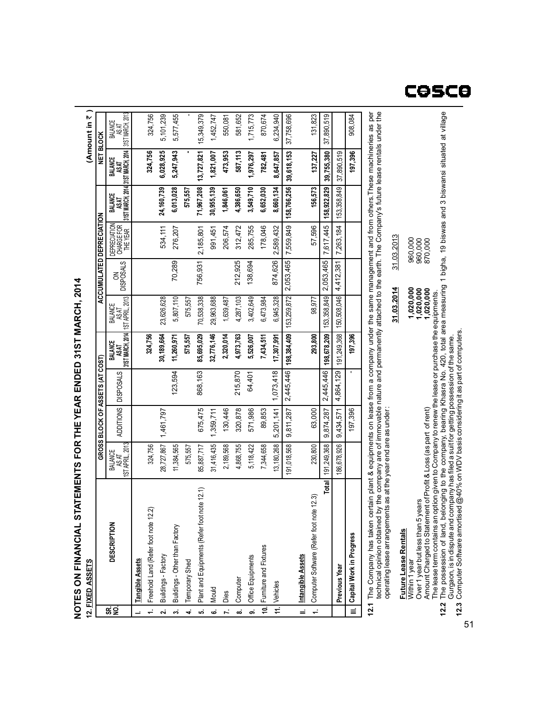#### $\frac{(\text{Amount in } 7)}{(\text{Amount in } 7)}$ 12.1 The Company has taken certain plant & equipments on lease from a company under the same management and from others.These machineries as per<br>technical opinion obtained by the company are of immovable nature and permane 324,756 581,652 870,674 131,823 **12.1** The Company has taken certain plant & equipments on lease from a company under the same management and from others.These machineries as per 31ST MARCH, 2013 5,101,239 550,081 908,084 movable nature and permanently attached to the earth. The Company's future lease rentals under the 5,577,455 15,349,379 1,452,747 1,715,773 6,234,940 37,890,519 37,758,696 BALANCE<br>AS AT<br>AS AT **NET BLOCK GROSS BLOCK OF ASSETS (AT COST) ACCUMULATED DEPRECIATION NET BLOCK 324,756 587,113 197,396 6,028,925 1,821,007 473,953 1,976,297 137,227 5,247,943 13,727,821 782,481 8,647,857** 37,890,519 **31ST MARCH, 2014 39,618,153 39,755,380 BALANCE AS AT 156,573** 153,358,849 **6,013,028 71,967,208 1,846,061 4,386,650 3,549,710 24,160,739 575,557 30,955,139 8,660,134 31ST MARCH, 2014 6,652,030 158,766,256 158,922,829 BALANCE AS AT** ACCUMULATED DEPRECIATION 285,755 178,046 534,111 312,472 2,589,432 57,596 7,263,184DEPRECIATION CHARGE FOR THE YEAR 276,207 991,451 206,574 2,185,801 7,559,849 7,617,445 212,925 70,289 756,931 138,694 874,626 4,412,381 DISPOSALS 2,053,465 2,053,465 šξ **014** 150,508,046 **MARCH, 2** 6,945,328 5,807,110 70,538,338 1,639,487 3,402,649 6,473,984 98,977 23,626,628 575,557 29,963,688 4,287,103 1ST APRIL, 2013 153,259,872 153,358,849 BALANCE<br>AS AT<br>MORT **2,320,014 4,973,763 293,800** 191,249,368 **197,396 324,756 198,678,209 30,189,664 11,260,971 575,557 85,695,029 32,776,146 5,526,007 7,434,511 17,307,991 31ST MARCH, 2014 198,384,409 31S TBALANCE AS AT** GROSS BLOCK OF ASSETS (AT COST) **ENDED**215,870 2,445,446 ADDITIONS DISPOSALS 123,594 868,163 64,401 4,864,129 ADDITIONS DISPOSALS 1,073,418 2,445,446 **FORTHEY EAR**675,475 63,000 320,878 9,874,287 197,396 1,359,711 130,446 571,986 89,853 9,434,571 1,461,797 9,811,287 5,201,141 28,727,867 230,800 191,249,368 186,678,926 11,384,565 7,344,658 13,180,268 324,756 85,887,717 31,416,435 5,118,422 1ST APRIL, 2013 575,557 2,189,568 4,868,755 191,018,568 **DESCRIPTION** BALANCE AS AT **STAT EMENTSTotal** Plant and Equipments (Refer foot note 12.1) Plant and Equipments (Refer foot note 12.1) Computer Software (Refer foot note 12.3) Computer Software (Refer foot note 12.3) Freehold Land (Refer foot note 12.2) Freehold Land (Refer foot note 12.2) **DESCRIPTION FIN ANCIA L**Buildings - Other than Factory Buildings - Other than Factory Capital Work in Progress **Capital Work in Progress** Furniture and Fixtures Furniture and Fixtures Office Equipments Intangible Assets Buildings - Factory Buildings - Factory Office Equipments **Intangible Assets** Temporary Shed **Tangible Assets Tangible Assets 12. FIXED ASSETS** Temporary Shed **Previous Year ON**Computer Vehicles ś Mould Dies 요 g **NOTES**5<br>C **10. III. 11. 9.**  $\equiv$ **1. SR. NO. 1. 2. 3. 4. 5. 6. 7. 8. I.**

| echnical opinion obtained by the company are of immovable nature and permanently attached to the earth. The Company's future lease rentals under the      |            |            |
|-----------------------------------------------------------------------------------------------------------------------------------------------------------|------------|------------|
| pperating lease arrangements as at the year end are as under:                                                                                             |            |            |
|                                                                                                                                                           | 31.03.2014 | 31.03.2013 |
| <b>Future Lease Rentals</b>                                                                                                                               |            |            |
| Vithin 1 year                                                                                                                                             | 1,020,000  | 960,000    |
| Over 1 year but less than 5 years                                                                                                                         | 1,020,000  | 960,000    |
| Amount Charged to Statement of Profit & Loss (as part of rent)                                                                                            | 1,020,000  | 870,000    |
| The lease term contains an option given to Company to renew the lease or purchase the equipments.                                                         |            |            |
| 12.2 The possession of land, belonging to the company, bearing Khasra No. 420, total area measuring 1 bigha, 19 biswas and 3 biswansi situated at village |            |            |
| Gurgaon, is in dispute and company has filed a suit for getting possession of the same.                                                                   |            |            |
| 12.3 Computer Software amortised $@40\%$ on WDV basis considering it as part of computers.                                                                |            |            |
|                                                                                                                                                           |            |            |

51

# cosce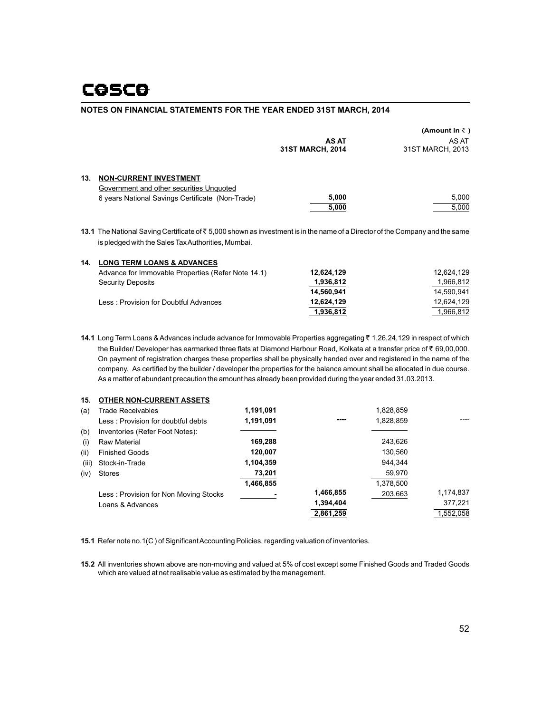|                                                  |                                  | (Amount in ₹)             |
|--------------------------------------------------|----------------------------------|---------------------------|
|                                                  | <b>AS AT</b><br>31ST MARCH, 2014 | AS AT<br>31ST MARCH, 2013 |
| 13.<br><b>NON-CURRENT INVESTMENT</b>             |                                  |                           |
| Government and other securities Unquoted         |                                  |                           |
| 6 years National Savings Certificate (Non-Trade) | 5,000                            | 5.000                     |
|                                                  | 5.000                            | 5.000                     |

**13.1** The National Saving Certificate of ₹5,000 shown as investment is in the name of a Director of the Company and the same is pledged with the Sales Tax Authorities, Mumbai.

| 14. | <b>LONG TERM LOANS &amp; ADVANCES</b>              |            |            |
|-----|----------------------------------------------------|------------|------------|
|     | Advance for Immovable Properties (Refer Note 14.1) | 12,624,129 | 12.624.129 |
|     | <b>Security Deposits</b>                           | 1,936,812  | 1,966,812  |
|     |                                                    | 14.560.941 | 14.590.941 |
|     | Less: Provision for Doubtful Advances              | 12.624.129 | 12.624.129 |
|     |                                                    | 1,936,812  | 1,966,812  |

14.1 Long Term Loans & Advances include advance for Immovable Properties aggregating ₹ 1,26,24,129 in respect of which the Builder/ Developer has earmarked three flats at Diamond Harbour Road, Kolkata at a transfer price of  $\bar{\tau}$  69,00,000. On payment of registration charges these properties shall be physically handed over and registered in the name of the company. As certified by the builder / developer the properties for the balance amount shall be allocated in due course. As a matter of abundant precaution the amount has already been provided during the year ended 31.03.2013.

| <b>Trade Receivables</b>              | 1,191,091                       |           | 1,828,859 |           |
|---------------------------------------|---------------------------------|-----------|-----------|-----------|
| Less: Provision for doubtful debts    | 1,191,091                       | ----      | 1,828,859 |           |
| Inventories (Refer Foot Notes):       |                                 |           |           |           |
| Raw Material                          | 169.288                         |           | 243.626   |           |
| <b>Finished Goods</b>                 | 120.007                         |           | 130,560   |           |
| Stock-in-Trade                        | 1,104,359                       |           | 944.344   |           |
| <b>Stores</b>                         | 73,201                          |           | 59.970    |           |
|                                       | 1,466,855                       |           | 1,378,500 |           |
| Less: Provision for Non Moving Stocks |                                 | 1,466,855 | 203,663   | 1,174,837 |
| Loans & Advances                      |                                 | 1,394,404 |           | 377,221   |
|                                       |                                 | 2,861,259 |           | 1,552,058 |
|                                       | <b>OTHER NON-CURRENT ASSETS</b> |           |           |           |

**15.1** Refer note no.1(C ) of Significant Accounting Policies, regarding valuation of inventories.

**15.2** All inventories shown above are non-moving and valued at 5% of cost except some Finished Goods and Traded Goods which are valued at net realisable value as estimated by the management.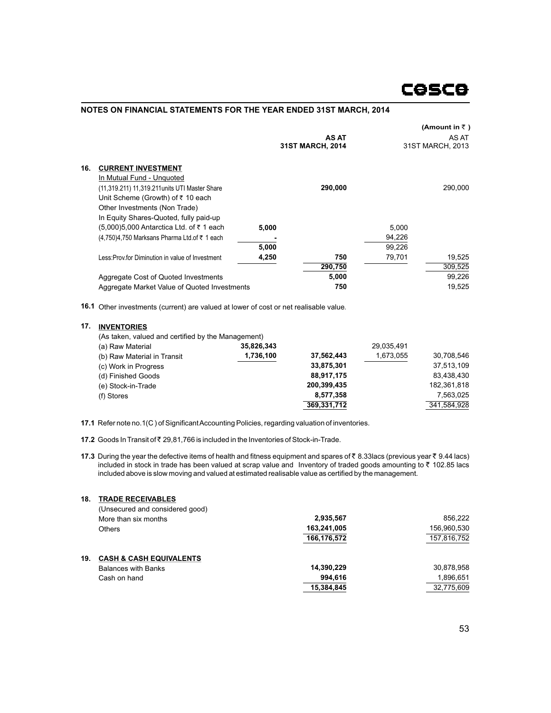|     |                                                 |       |                                         |        | (Amount in $\bar{z}$ )    |
|-----|-------------------------------------------------|-------|-----------------------------------------|--------|---------------------------|
|     |                                                 |       | <b>AS AT</b><br><b>31ST MARCH, 2014</b> |        | AS AT<br>31ST MARCH, 2013 |
| 16. | <b>CURRENT INVESTMENT</b>                       |       |                                         |        |                           |
|     | In Mutual Fund - Unquoted                       |       |                                         |        |                           |
|     | (11,319.211) 11,319.211 units UTI Master Share  |       | 290.000                                 |        | 290,000                   |
|     | Unit Scheme (Growth) of ₹ 10 each               |       |                                         |        |                           |
|     | Other Investments (Non Trade)                   |       |                                         |        |                           |
|     | In Equity Shares-Quoted, fully paid-up          |       |                                         |        |                           |
|     | (5,000)5,000 Antarctica Ltd. of ₹ 1 each        | 5.000 |                                         | 5.000  |                           |
|     | (4,750)4,750 Marksans Pharma Ltd.of ₹ 1 each    |       |                                         | 94,226 |                           |
|     |                                                 | 5,000 |                                         | 99.226 |                           |
|     | Less:Prov.for Diminution in value of Investment | 4,250 | 750                                     | 79,701 | 19,525                    |
|     |                                                 |       | 290,750                                 |        | 309,525                   |
|     | Aggregate Cost of Quoted Investments            |       | 5,000                                   |        | 99,226                    |
|     | Aggregate Market Value of Quoted Investments    |       | 750                                     |        | 19.525                    |

16.1 Other investments (current) are valued at lower of cost or net realisable value.

#### **INVENTORIES 17.**

| (As taken, valued and certified by the Management) |             |            |             |
|----------------------------------------------------|-------------|------------|-------------|
| 35,826,343                                         |             | 29.035.491 |             |
| 1,736,100                                          | 37,562,443  | 1,673,055  | 30,708,546  |
|                                                    | 33,875,301  |            | 37.513.109  |
|                                                    | 88,917,175  |            | 83,438,430  |
|                                                    | 200,399,435 |            | 182,361,818 |
|                                                    | 8,577,358   |            | 7.563.025   |
|                                                    | 369,331,712 |            | 341,584,928 |
|                                                    |             |            |             |

**17.1** Refer note no.1(C ) of Significant Accounting Policies, regarding valuation of inventories.

17.2 Goods In Transit of ₹ 29,81,766 is included in the Inventories of Stock-in-Trade.

**17.3** During the year the defective items of health and fitness equipment and spares of ₹8.33lacs (previous year ₹9.44 lacs) included in stock in trade has been valued at scrap value and Inventory of traded goods amounting to ₹ 102.85 lacs included above is slow moving and valued at estimated realisable value as certified by the management.

| <b>TRADE RECEIVABLES</b><br>18.           |             |             |
|-------------------------------------------|-------------|-------------|
| (Unsecured and considered good)           |             |             |
| More than six months                      | 2,935,567   | 856.222     |
| Others                                    | 163,241,005 | 156,960,530 |
|                                           | 166,176,572 | 157,816,752 |
| 19.<br><b>CASH &amp; CASH EQUIVALENTS</b> |             |             |
| <b>Balances with Banks</b>                | 14,390,229  | 30,878,958  |
| Cash on hand                              | 994.616     | 1,896,651   |
|                                           | 15,384,845  | 32,775,609  |
|                                           |             |             |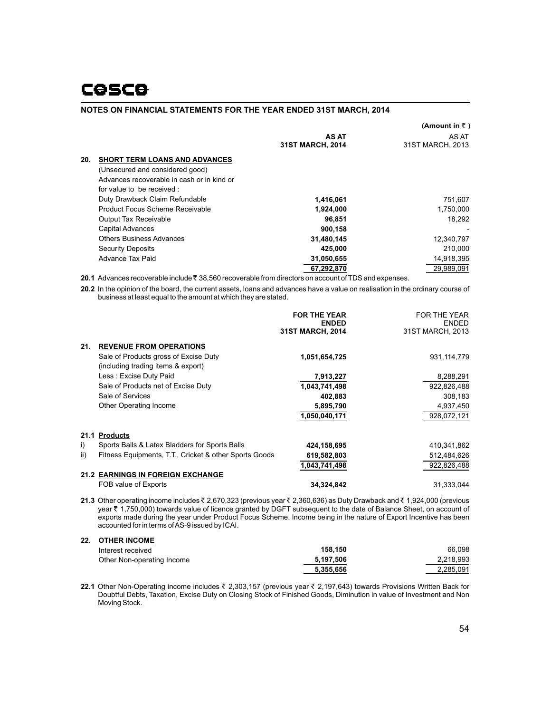|                          |                                            |                                         | (Amount in ₹)             |
|--------------------------|--------------------------------------------|-----------------------------------------|---------------------------|
|                          |                                            | <b>AS AT</b><br><b>31ST MARCH, 2014</b> | AS AT<br>31ST MARCH, 2013 |
| 20.                      | <b>SHORT TERM LOANS AND ADVANCES</b>       |                                         |                           |
|                          | (Unsecured and considered good)            |                                         |                           |
|                          | Advances recoverable in cash or in kind or |                                         |                           |
|                          | for value to be received:                  |                                         |                           |
|                          | Duty Drawback Claim Refundable             | 1,416,061                               | 751,607                   |
|                          | Product Focus Scheme Receivable            | 1,924,000                               | 1,750,000                 |
|                          | <b>Output Tax Receivable</b>               | 96.851                                  | 18,292                    |
| <b>Capital Advances</b>  |                                            | 900,158                                 |                           |
|                          | <b>Others Business Advances</b>            | 31,480,145                              | 12,340,797                |
| <b>Security Deposits</b> |                                            | 425.000                                 | 210.000                   |
| Advance Tax Paid         |                                            | 31,050,655                              | 14,918,395                |
|                          |                                            | 67.292.870                              | 29.989.091                |

**20.1** Advances recoverable include ₹ 38,560 recoverable from directors on account of TDS and expenses.

**20.2** In the opinion of the board, the current assets, loans and advances have a value on realisation in the ordinary course of business at least equal to the amount at which they are stated.

|      |                                                                             | <b>FOR THE YEAR</b><br><b>ENDED</b><br><b>31ST MARCH, 2014</b> | <b>FOR THE YEAR</b><br><b>ENDED</b><br>31ST MARCH, 2013 |
|------|-----------------------------------------------------------------------------|----------------------------------------------------------------|---------------------------------------------------------|
| 21.  | <b>REVENUE FROM OPERATIONS</b>                                              |                                                                |                                                         |
|      | Sale of Products gross of Excise Duty<br>(including trading items & export) | 1,051,654,725                                                  | 931,114,779                                             |
|      | Less : Excise Duty Paid                                                     | 7,913,227                                                      | 8,288,291                                               |
|      | Sale of Products net of Excise Duty                                         | 1,043,741,498                                                  | 922,826,488                                             |
|      | Sale of Services                                                            | 402,883                                                        | 308,183                                                 |
|      | Other Operating Income                                                      | 5,895,790                                                      | 4,937,450                                               |
|      |                                                                             | 1.050.040.171                                                  | 928,072,121                                             |
| 21.1 | <b>Products</b>                                                             |                                                                |                                                         |
| i)   | Sports Balls & Latex Bladders for Sports Balls                              | 424,158,695                                                    | 410,341,862                                             |
| ii)  | Fitness Equipments, T.T., Cricket & other Sports Goods                      | 619,582,803                                                    | 512,484,626                                             |
|      |                                                                             | 1,043,741,498                                                  | 922,826,488                                             |
|      | 21.2 EARNINGS IN FOREIGN EXCHANGE                                           |                                                                |                                                         |
|      | FOB value of Exports                                                        | 34,324,842                                                     | 31,333,044                                              |

**21.3** Other operating income includes ₹ 2,670,323 (previous year ₹ 2,360,636) as Duty Drawback and ₹ 1,924,000 (previous year ₹ 1,750,000) towards value of licence granted by DGFT subsequent to the date of Balance Sheet, on account of exports made during the year under Product Focus Scheme. Income being in the nature of Export Incentive has been accounted for in terms of AS-9 issued by ICAI.

#### **OTHER INCOME 22.**

| Interest received          | 158.150   | 66.098    |
|----------------------------|-----------|-----------|
| Other Non-operating Income | 5.197.506 | 2.218.993 |
|                            | 5,355,656 | 2.285.091 |

**22.1** Other Non-Operating income includes ₹ 2,303,157 (previous year ₹ 2,197,643) towards Provisions Written Back for Doubtful Debts, Taxation, Excise Duty on Closing Stock of Finished Goods, Diminution in value of Investment and Non Moving Stock.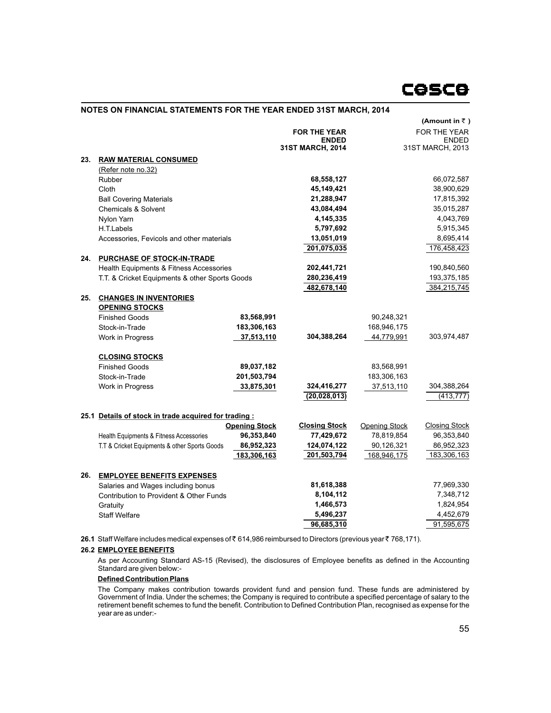

|     |                                                       |                      |                      |                      | (Amount in $\bar{z}$ ) |
|-----|-------------------------------------------------------|----------------------|----------------------|----------------------|------------------------|
|     |                                                       |                      | <b>FOR THE YEAR</b>  |                      | <b>FOR THE YEAR</b>    |
|     |                                                       |                      | <b>ENDED</b>         |                      | <b>ENDED</b>           |
|     |                                                       |                      | 31ST MARCH, 2014     |                      | 31ST MARCH, 2013       |
| 23. | <b>RAW MATERIAL CONSUMED</b>                          |                      |                      |                      |                        |
|     | (Refer note no.32)                                    |                      |                      |                      |                        |
|     | Rubber                                                |                      | 68,558,127           |                      | 66,072,587             |
|     | Cloth                                                 |                      | 45,149,421           |                      | 38,900,629             |
|     | <b>Ball Covering Materials</b>                        |                      | 21,288,947           |                      | 17,815,392             |
|     | <b>Chemicals &amp; Solvent</b>                        |                      | 43,084,494           |                      | 35,015,287             |
|     | Nylon Yarn                                            |                      | 4,145,335            |                      | 4,043,769              |
|     | H.T.Labels                                            |                      | 5,797,692            |                      | 5,915,345              |
|     | Accessories, Fevicols and other materials             |                      | 13,051,019           |                      | 8,695,414              |
|     |                                                       |                      | 201,075,035          |                      | 176,458,423            |
| 24. | PURCHASE OF STOCK-IN-TRADE                            |                      |                      |                      |                        |
|     | Health Equipments & Fitness Accessories               |                      | 202,441,721          |                      | 190,840,560            |
|     | T.T. & Cricket Equipments & other Sports Goods        |                      | 280,236,419          |                      | 193,375,185            |
|     |                                                       |                      | 482,678,140          |                      | 384,215,745            |
| 25. | <b>CHANGES IN INVENTORIES</b>                         |                      |                      |                      |                        |
|     | <b>OPENING STOCKS</b>                                 |                      |                      |                      |                        |
|     | <b>Finished Goods</b>                                 | 83,568,991           |                      | 90,248,321           |                        |
|     | Stock-in-Trade                                        | 183,306,163          |                      | 168,946,175          |                        |
|     | Work in Progress                                      | 37,513,110           | 304,388,264          | 44,779,991           | 303,974,487            |
|     | <b>CLOSING STOCKS</b>                                 |                      |                      |                      |                        |
|     | <b>Finished Goods</b>                                 | 89,037,182           |                      | 83,568,991           |                        |
|     | Stock-in-Trade                                        | 201,503,794          |                      | 183,306,163          |                        |
|     | Work in Progress                                      | 33,875,301           | 324,416,277          | 37,513,110           | 304,388,264            |
|     |                                                       |                      | (20, 028, 013)       |                      | (413, 777)             |
|     | 25.1 Details of stock in trade acquired for trading : |                      |                      |                      |                        |
|     |                                                       | <b>Opening Stock</b> | <b>Closing Stock</b> | <b>Opening Stock</b> | <b>Closing Stock</b>   |
|     | Health Equipments & Fitness Accessories               | 96,353,840           | 77,429,672           | 78,819,854           | 96,353,840             |
|     | T.T & Cricket Equipments & other Sports Goods         | 86,952,323           | 124,074,122          | 90,126,321           | 86,952,323             |
|     |                                                       | 183,306,163          | 201,503,794          | 168,946,175          | 183,306,163            |
| 26. | <b>EMPLOYEE BENEFITS EXPENSES</b>                     |                      |                      |                      |                        |
|     | Salaries and Wages including bonus                    |                      | 81,618,388           |                      | 77,969,330             |
|     | Contribution to Provident & Other Funds               |                      | 8,104,112            |                      | 7,348,712              |
|     | Gratuity                                              |                      | 1,466,573            |                      | 1,824,954              |
|     | <b>Staff Welfare</b>                                  |                      | 5,496,237            |                      | 4,452,679              |
|     |                                                       |                      | 96,685,310           |                      | 91,595,675             |
|     |                                                       |                      |                      |                      |                        |

**26.1** Staff Welfare includes medical expenses of ₹614,986 reimbursed to Directors (previous year ₹768,171).

# **26.2 EMPLOYEE BENEFITS**

As per Accounting Standard AS-15 (Revised), the disclosures of Employee benefits as defined in the Accounting Standard are given below:-

# **Defined Contribution Plans**

The Company makes contribution towards provident fund and pension fund. These funds are administered by Government of India. Under the schemes; the Company is required to contribute a specified percentage of salary to the retirement benefit schemes to fund the benefit. Contribution to Defined Contribution Plan, recognised as expense for the year are as under:-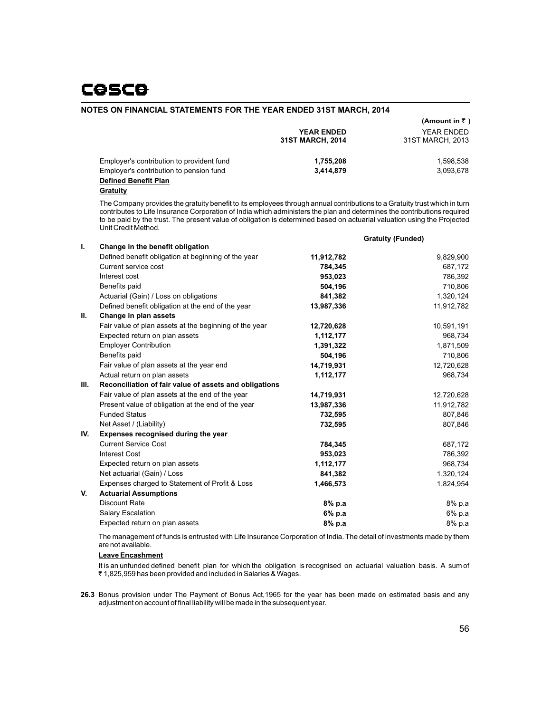|                                           | <b>YEAR ENDED</b><br>31ST MARCH, 2014 | (Amount in $\bar{z}$ )<br>YEAR ENDED<br>31ST MARCH, 2013 |
|-------------------------------------------|---------------------------------------|----------------------------------------------------------|
| Employer's contribution to provident fund | 1,755,208                             | 1.598.538                                                |
| Employer's contribution to pension fund   | 3.414.879                             | 3.093.678                                                |
| <b>Defined Benefit Plan</b>               |                                       |                                                          |

**Gratuity**

The Company provides the gratuity benefit to its employees through annual contributions to a Gratuity trust which in turn contributes to Life Insurance Corporation of India which administers the plan and determines the contributions required to be paid by the trust. The present value of obligation is determined based on actuarial valuation using the Projected Unit Credit Method.

|      |                                                        |            | <b>Gratuity (Funded)</b> |
|------|--------------------------------------------------------|------------|--------------------------|
| ı.   | Change in the benefit obligation                       |            |                          |
|      | Defined benefit obligation at beginning of the year    | 11,912,782 | 9,829,900                |
|      | Current service cost                                   | 784,345    | 687,172                  |
|      | Interest cost                                          | 953,023    | 786,392                  |
|      | Benefits paid                                          | 504,196    | 710,806                  |
|      | Actuarial (Gain) / Loss on obligations                 | 841,382    | 1,320,124                |
|      | Defined benefit obligation at the end of the year      | 13,987,336 | 11,912,782               |
| Ш.   | Change in plan assets                                  |            |                          |
|      | Fair value of plan assets at the beginning of the year | 12,720,628 | 10,591,191               |
|      | Expected return on plan assets                         | 1,112,177  | 968,734                  |
|      | <b>Employer Contribution</b>                           | 1,391,322  | 1,871,509                |
|      | Benefits paid                                          | 504,196    | 710,806                  |
|      | Fair value of plan assets at the year end              | 14,719,931 | 12,720,628               |
|      | Actual return on plan assets                           | 1,112,177  | 968,734                  |
| III. | Reconciliation of fair value of assets and obligations |            |                          |
|      | Fair value of plan assets at the end of the year       | 14,719,931 | 12,720,628               |
|      | Present value of obligation at the end of the year     | 13,987,336 | 11,912,782               |
|      | <b>Funded Status</b>                                   | 732,595    | 807,846                  |
|      | Net Asset / (Liability)                                | 732,595    | 807,846                  |
| IV.  | Expenses recognised during the year                    |            |                          |
|      | <b>Current Service Cost</b>                            | 784,345    | 687,172                  |
|      | <b>Interest Cost</b>                                   | 953,023    | 786,392                  |
|      | Expected return on plan assets                         | 1,112,177  | 968,734                  |
|      | Net actuarial (Gain) / Loss                            | 841,382    | 1,320,124                |
|      | Expenses charged to Statement of Profit & Loss         | 1,466,573  | 1,824,954                |
| V.   | <b>Actuarial Assumptions</b>                           |            |                          |
|      | <b>Discount Rate</b>                                   | 8% p.a     | 8% p.a                   |
|      | Salary Escalation                                      | 6% p.a     | 6% p.a                   |
|      | Expected return on plan assets                         | 8% p.a     | 8% p.a                   |
|      |                                                        |            |                          |

The management of funds is entrusted with Life Insurance Corporation of India. The detail of investments made by them are not available.

#### **Leave Encashment**

It is an unfunded defined benefit plan for which the obligation is recognised on actuarial valuation basis. A sum of ₹ 1,825,959 has been provided and included in Salaries & Wages.

**26.3** Bonus provision under The Payment of Bonus Act,1965 for the year has been made on estimated basis and any adjustment on account of final liability will be made in the subsequent year.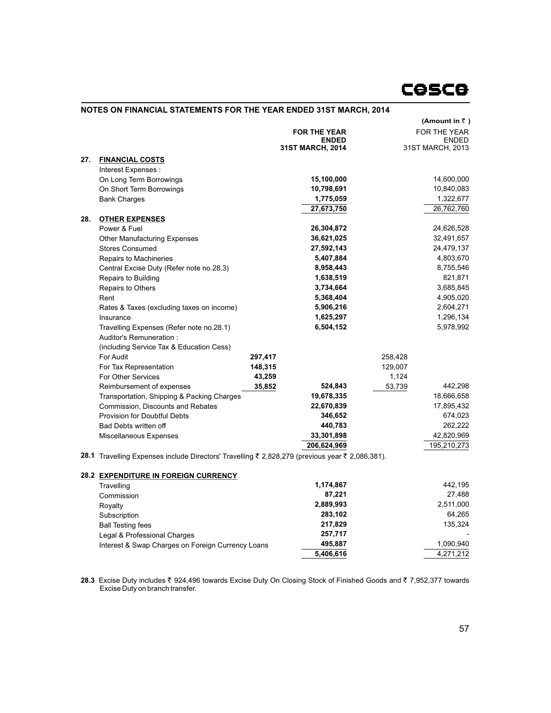|     |                                                                                                 |         |                     |         | (Amount in ₹)    |
|-----|-------------------------------------------------------------------------------------------------|---------|---------------------|---------|------------------|
|     |                                                                                                 |         | <b>FOR THE YEAR</b> |         | FOR THE YEAR     |
|     |                                                                                                 |         | <b>ENDED</b>        |         | <b>ENDED</b>     |
|     |                                                                                                 |         | 31ST MARCH, 2014    |         | 31ST MARCH, 2013 |
| 27. | <b>FINANCIAL COSTS</b>                                                                          |         |                     |         |                  |
|     | Interest Expenses :                                                                             |         |                     |         |                  |
|     | On Long Term Borrowings                                                                         |         | 15,100,000          |         | 14,600,000       |
|     | On Short Term Borrowings                                                                        |         | 10,798,691          |         | 10,840,083       |
|     | <b>Bank Charges</b>                                                                             |         | 1,775,059           |         | 1,322,677        |
|     |                                                                                                 |         | 27,673,750          |         | 26,762,760       |
| 28. | <b>OTHER EXPENSES</b>                                                                           |         |                     |         |                  |
|     | Power & Fuel                                                                                    |         | 26,304,872          |         | 24,626,528       |
|     | <b>Other Manufacturing Expenses</b>                                                             |         | 36,621,025          |         | 32,491,657       |
|     | <b>Stores Consumed</b>                                                                          |         | 27,592,143          |         | 24,479,137       |
|     | Repairs to Machineries                                                                          |         | 5,407,884           |         | 4,803,670        |
|     | Central Excise Duty (Refer note no.28.3)                                                        |         | 8,958,443           |         | 8,755,546        |
|     | Repairs to Building                                                                             |         | 1,638,519           |         | 821,871          |
|     | Repairs to Others                                                                               |         | 3,734,664           |         | 3,685,845        |
|     | Rent                                                                                            |         | 5,368,404           |         | 4,905,020        |
|     | Rates & Taxes (excluding taxes on income)                                                       |         | 5,906,216           |         | 2,604,271        |
|     | Insurance                                                                                       |         | 1,625,297           |         | 1,296,134        |
|     | Travelling Expenses (Refer note no.28.1)                                                        |         | 6,504,152           |         | 5,978,992        |
|     | Auditor's Remuneration:                                                                         |         |                     |         |                  |
|     | (including Service Tax & Education Cess)                                                        |         |                     |         |                  |
|     | For Audit                                                                                       | 297,417 |                     | 258,428 |                  |
|     | For Tax Representation                                                                          | 148,315 |                     | 129,007 |                  |
|     | For Other Services                                                                              | 43,259  |                     | 1,124   |                  |
|     | Reimbursement of expenses                                                                       | 35,852  | 524,843             | 53,739  | 442,298          |
|     | Transportation, Shipping & Packing Charges                                                      |         | 19,678,335          |         | 18,666,658       |
|     | Commission, Discounts and Rebates                                                               |         | 22,670,839          |         | 17,895,432       |
|     | <b>Provision for Doubtful Debts</b>                                                             |         | 346,652             |         | 674,023          |
|     | Bad Debts written off                                                                           |         | 440,783             |         | 262,222          |
|     | Miscellaneous Expenses                                                                          |         | 33,301,898          |         | 42,820,969       |
|     |                                                                                                 |         | 206,624,969         |         | 195,210,273      |
|     | 28.1 Travelling Expenses include Directors' Travelling ₹ 2,828,279 (previous year ₹ 2,086,381). |         |                     |         |                  |
|     | <b>28.2 EXPENDITURE IN FOREIGN CURRENCY</b>                                                     |         |                     |         |                  |
|     | Travelling                                                                                      |         | 1,174,867           |         | 442,195          |
|     | Commission                                                                                      |         | 87,221              |         | 27,488           |
|     | Royalty                                                                                         |         | 2,889,993           |         | 2,511,000        |
|     | Subscription                                                                                    |         | 283,102             |         | 64,265           |
|     |                                                                                                 |         | 217,829             |         | 135,324          |
|     | <b>Ball Testing fees</b><br>Legal & Professional Charges                                        |         | 257,717             |         |                  |
|     | Interest & Swap Charges on Foreign Currency Loans                                               |         | 495,887             |         | 1,090,940        |
|     |                                                                                                 |         | 5,406,616           |         | 4,271,212        |
|     |                                                                                                 |         |                     |         |                  |

 $28.3$  Excise Duty includes ₹ 924,496 towards Excise Duty On Closing Stock of Finished Goods and ₹ 7,952,377 towards Excise Duty on branch transfer.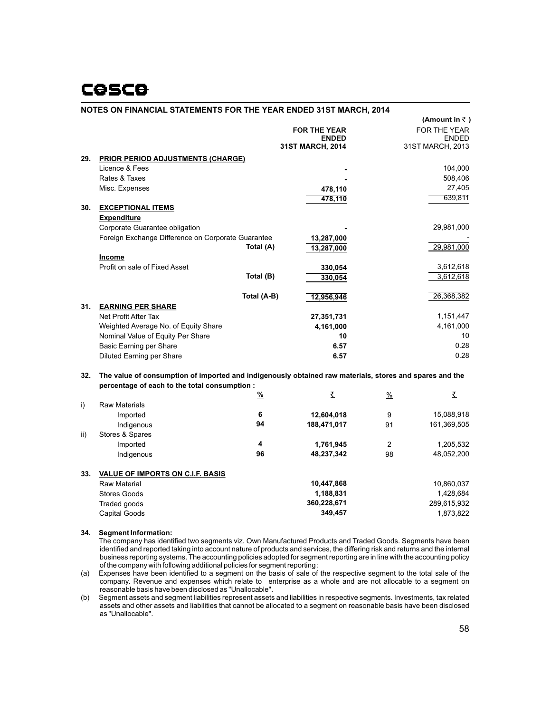# **COSCO**

# **NOTES ON FINANCIAL STATEMENTS FOR THE YEAR ENDED 31ST MARCH, 2014**

|     |                                                                                                         |             |                     |                | $($ Allioulit III $\tau$ ) |
|-----|---------------------------------------------------------------------------------------------------------|-------------|---------------------|----------------|----------------------------|
|     |                                                                                                         |             | <b>FOR THE YEAR</b> |                | FOR THE YEAR               |
|     |                                                                                                         |             | <b>ENDED</b>        |                | <b>ENDED</b>               |
|     |                                                                                                         |             | 31ST MARCH, 2014    |                | 31ST MARCH, 2013           |
| 29. | <b>PRIOR PERIOD ADJUSTMENTS (CHARGE)</b>                                                                |             |                     |                |                            |
|     | Licence & Fees                                                                                          |             |                     |                | 104,000                    |
|     | Rates & Taxes                                                                                           |             |                     |                | 508,406                    |
|     | Misc. Expenses                                                                                          |             | 478,110             |                | 27,405                     |
|     |                                                                                                         |             | 478,110             |                | 639,811                    |
| 30. | <b>EXCEPTIONAL ITEMS</b>                                                                                |             |                     |                |                            |
|     | <b>Expenditure</b>                                                                                      |             |                     |                |                            |
|     | Corporate Guarantee obligation                                                                          |             |                     |                | 29,981,000                 |
|     | Foreign Exchange Difference on Corporate Guarantee                                                      |             | 13,287,000          |                |                            |
|     |                                                                                                         | Total (A)   | 13,287,000          |                | 29,981,000                 |
|     | Income                                                                                                  |             |                     |                |                            |
|     | Profit on sale of Fixed Asset                                                                           |             | 330,054             |                | 3,612,618                  |
|     |                                                                                                         | Total (B)   | 330,054             |                | 3,612,618                  |
|     |                                                                                                         |             |                     |                |                            |
|     |                                                                                                         | Total (A-B) | 12,956,946          |                | 26,368,382                 |
| 31. | <b>EARNING PER SHARE</b>                                                                                |             |                     |                |                            |
|     | Net Profit After Tax                                                                                    |             | 27,351,731          |                | 1,151,447                  |
|     | Weighted Average No. of Equity Share                                                                    |             | 4,161,000           |                | 4,161,000                  |
|     | Nominal Value of Equity Per Share                                                                       |             | 10                  |                | 10                         |
|     | Basic Earning per Share                                                                                 |             | 6.57                |                | 0.28                       |
|     | Diluted Earning per Share                                                                               |             | 6.57                |                | 0.28                       |
|     |                                                                                                         |             |                     |                |                            |
| 32. | The value of consumption of imported and indigenously obtained raw materials, stores and spares and the |             |                     |                |                            |
|     | percentage of each to the total consumption :                                                           |             |                     |                |                            |
|     |                                                                                                         | %           | ₹                   | $\frac{0}{0}$  | ₹                          |
| i)  | <b>Raw Materials</b>                                                                                    |             |                     |                |                            |
|     | Imported                                                                                                | 6           | 12,604,018          | 9              | 15,088,918                 |
|     | Indigenous                                                                                              | 94          | 188,471,017         | 91             | 161,369,505                |
| ii) | Stores & Spares                                                                                         |             |                     |                |                            |
|     | Imported                                                                                                | 4           | 1,761,945           | $\overline{2}$ | 1,205,532                  |
|     | Indigenous                                                                                              | 96          | 48,237,342          | 98             | 48,052,200                 |
|     |                                                                                                         |             |                     |                |                            |
| 33. | <b>VALUE OF IMPORTS ON C.I.F. BASIS</b>                                                                 |             |                     |                |                            |
|     | <b>Raw Material</b>                                                                                     |             | 10,447,868          |                | 10,860,037                 |
|     | <b>Stores Goods</b>                                                                                     |             | 1,188,831           |                | 1,428,684                  |
|     |                                                                                                         |             | 360,228,671         |                | 289,615,932                |
|     | Traded goods                                                                                            |             | 349,457             |                | 1,873,822                  |
|     | Capital Goods                                                                                           |             |                     |                |                            |
|     |                                                                                                         |             |                     |                |                            |

# **34. Segment Information:**

The company has identified two segments viz. Own Manufactured Products and Traded Goods. Segments have been identified and reported taking into account nature of products and services, the differing risk and returns and the internal business reporting systems. The accounting policies adopted for segment reporting are in line with the accounting policy of the company with following additional policies for segment reporting :

(a) Expenses have been identified to a segment on the basis of sale of the respective segment to the total sale of the company. Revenue and expenses which relate to enterprise as a whole and are not allocable to a segment on reasonable basis have been disclosed as "Unallocable".

(b) Segment assets and segment liabilities represent assets and liabilities in respective segments. Investments, tax related assets and other assets and liabilities that cannot be allocated to a segment on reasonable basis have been disclosed as "Unallocable".

 $($ Amount  $\in$   $\mathbb{F}$  **)**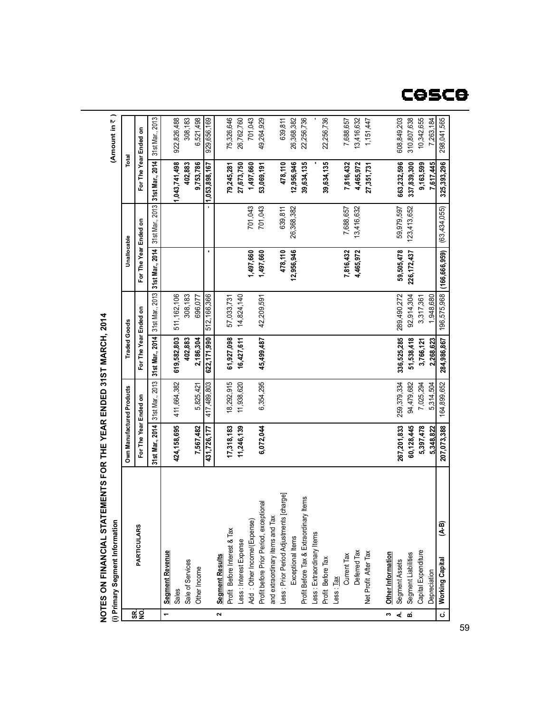#### 6,521,498 49,264,929 308,183 701,043 639,811 922,826,488 929,656,169 75,326,646 26,762,760 26,368,382 22,256,736 22,256,736 **1,043,741,498 402,883 9,753,786 1,053,898,167 79,245,281 27,673,750 53,069,191 478,110 12,956,946 39,634,135 39,634,135 1,497,660** 701,043 701,043 639,811 26,368,382 **1,497,660 1,497,660 478,110 12,956,946** 308,183 696,077 511,162,106 14,824,140 512,166,366 57,033,731 42,209,591 **619,582,803 402,883 2,186,304 622,171,990 61,927,098 45,499,487 16,427,611** 411,664,382 18,292,915 5,825,421 417,489,803 11,938,620 6,354,295 **424,158,695 7,567,482 431,726,177 17,318,183 11,246,139 6,072,044** Less : Prior Period Adjustments [charge] Less : Prior Period Adjustments [charge] Profit Before Tax & Extraordinary Items Profit Before Tax & Extraordinary Items Profit before Prior Period, exceptional Profit before Prior Period, exceptional and extraordinary items and Tax and extraordinary items and Tax Add: Other Income/(Expense)

# **NOTES** $\frac{1}{2}$ **ON FIN A NCIAL S TAT EMENTS FO RTHEY EA RENDED 31S TMA RCH, 2014**

**(A** mount in  $\bar{z}$  )

**(i) Primary Segment Information**

**SR. NO.**

**1**

**Segment Revenue** Sales<br>Sale of Services Sale of Services Other Income

**Segment Revenue** 

**2**

**Segment Results** Profit Before Interest & Tax Less : Interest Expense Add : Other Income/(Expense)

**Segment Results** 

Profit Before Interest & Tax

Less : Interest Expense

Exceptional Items

Exceptional Items

Less : Extraordinary Items Profit Before Tax Less : Tax

Profit Before Tax

Less : Extraordinary Items

Current Tax Deferred Tax<br>Net Profit After Tax Net Profit After Tax

**7,816,432 4,465,972**

7,688,657 13,416,632

**7,816,432 4,465,972 27,351,731**

7,688,657 13,416,632 1,151,447

**PARTICULARS**

PARTICULARS

**For The Year Ended on**

Own Manufactured Products For The Year Ended on 31st Mar., 2014 31st Mar., 2013

**Own Manufactured Products Traded Goods Unallocable Total**

**For The Year Ended on For The Year Ended on For The Year Ended on**

For The Year Ended on Unallocable

**31st Mar., 2014** 31st Mar., 2013 **31st Mar., 2014** 31st Mar., 2013 **31st Mar., 2014** 31st Mar., 2013 **31st Mar., 2014** 31st Mar., 2013

31st Mar., 2014 31st Mar., 2013 For The Year Ended on **Traded Goods** 

31st Mar., 2014 31st Mar., 2013

31 st Mar., 2014 31 st Mar., 2013 For The Year Ended on Total

# cesce

**(166,666,959)**

(63,434,055)

 $(63, 434, 055)$ 

**C.**

**Working Capital (A-B)**

Capital Expenditure

Segment Liabilities

 $(A-B)$ 

**3 A. B.**

**Other Information** Segment Assets Segment Liabilities Capital Expenditure Depreciation<br>Working Capital

Segment Assets

Other Information

**267,201,833 60,128,445 5,397,478 5,348,822 207,073,388**

259,379,334 94,479,682 7,025,294 5,314,504 164,899,652

**336,525,285 51,538,418 3,766,121 2,268,623 284,986,867**

289,490,272 92,914,304 3,317,361 1,948,680 196,575,968

**59,505,478 226,172,437**

59,979,597 123,413,652

**663,232,596 337,839,300 9,163,599 7,617,445 325,393,296**

608,849,203 310,807,638 10,342,655 7,263,184 298,041,565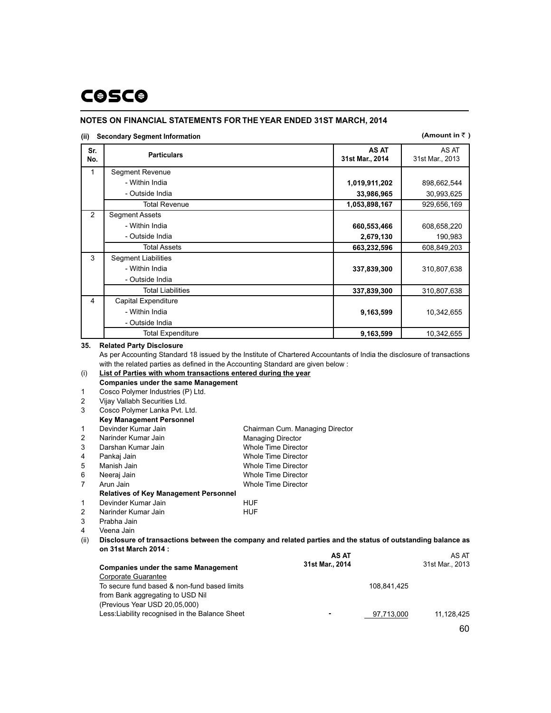# **COSCO**

# **NOTES ON FINANCIAL STATEMENTS FOR THEYEAR ENDED 31ST MARCH, 2014**

# **(ii) Secondary Segment Information**

### **(Amount in**  $\bar{\tau}$ )

| Sr.<br>No. | <b>Particulars</b>              | <b>AS AT</b><br>31st Mar., 2014 | AS AT<br>31st Mar., 2013 |
|------------|---------------------------------|---------------------------------|--------------------------|
| 1          | Segment Revenue                 |                                 |                          |
|            | - Within India                  | 1,019,911,202                   | 898,662,544              |
|            | - Outside India                 | 33,986,965                      | 30,993,625               |
|            | <b>Total Revenue</b>            | 1,053,898,167                   | 929,656,169              |
| 2          | <b>Segment Assets</b>           |                                 |                          |
|            | - Within India                  | 660,553,466                     | 608,658,220              |
|            | - Outside India                 | 2,679,130                       | 190,983                  |
|            | <b>Total Assets</b>             | 663,232,596                     | 608,849,203              |
| 3          | <b>Segment Liabilities</b>      |                                 |                          |
|            | - Within India                  | 337,839,300                     | 310,807,638              |
|            | - Outside India                 |                                 |                          |
|            | <b>Total Liabilities</b>        | 337,839,300                     | 310,807,638              |
| 4          | Capital Expenditure             |                                 |                          |
|            | - Within India                  | 9,163,599                       | 10,342,655               |
|            | - Outside India                 |                                 |                          |
|            | <b>Total Expenditure</b>        | 9,163,599                       | 10,342,655               |
| 35.        | <b>Related Party Disclosure</b> |                                 |                          |

As per Accounting Standard 18 issued by the Institute of Chartered Accountants of India the disclosure of transactions with the related parties as defined in the Accounting Standard are given below :

### **List of Parties with whom transactions entered during the year** (i) **Companies under the same Management**

Cosco Polymer Industries (P) Ltd. 1

Vijay Vallabh Securities Ltd. Cosco Polymer Lanka Pvt. Ltd. 2 3

# **Key Management Personnel**

| $\mathbf{1}$ | Devinder Kumar Jain                          | Chairman Cum. Managing Director |
|--------------|----------------------------------------------|---------------------------------|
| 2            | Narinder Kumar Jain                          | <b>Managing Director</b>        |
| 3            | Darshan Kumar Jain                           | <b>Whole Time Director</b>      |
| 4            | Pankaj Jain                                  | <b>Whole Time Director</b>      |
| 5            | Manish Jain                                  | <b>Whole Time Director</b>      |
| 6            | Neeraj Jain                                  | Whole Time Director             |
| 7            | Arun Jain                                    | <b>Whole Time Director</b>      |
|              | <b>Relatives of Key Management Personnel</b> |                                 |
| 1            | Devinder Kumar Jain                          | HUF                             |
|              |                                              |                                 |

Narinder Kumar Jain **HUF** 2

Prabha Jain 3

Veena Jain 4

**Disclosure of transactions between the company and related parties and the status of outstanding balance as** (ii) **on 31st March 2014 : AS AT** AS AT

|                                                 | AJ AI           | AJ AI                    |
|-------------------------------------------------|-----------------|--------------------------|
| <b>Companies under the same Management</b>      | 31st Mar., 2014 | 31st Mar., 2013          |
| Corporate Guarantee                             |                 |                          |
| To secure fund based & non-fund based limits    | 108.841.425     |                          |
| from Bank aggregating to USD Nil                |                 |                          |
| (Previous Year USD 20,05,000)                   |                 |                          |
| Less: Liability recognised in the Balance Sheet | $\sim$          | 11.128.425<br>97,713,000 |
|                                                 |                 |                          |

60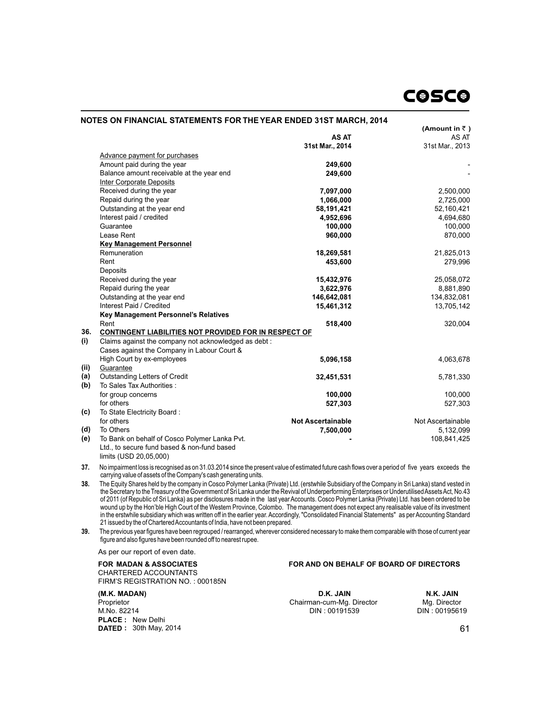|      |                                                       |                          | (Amount in $\bar{z}$ ) |
|------|-------------------------------------------------------|--------------------------|------------------------|
|      |                                                       | <b>AS AT</b>             | AS AT                  |
|      |                                                       | 31st Mar., 2014          | 31st Mar., 2013        |
|      | Advance payment for purchases                         |                          |                        |
|      | Amount paid during the year                           | 249,600                  |                        |
|      | Balance amount receivable at the year end             | 249,600                  |                        |
|      | <b>Inter Corporate Deposits</b>                       |                          |                        |
|      | Received during the year                              | 7,097,000                | 2,500,000              |
|      | Repaid during the year                                | 1,066,000                | 2,725,000              |
|      | Outstanding at the year end                           | 58,191,421               | 52,160,421             |
|      | Interest paid / credited                              | 4,952,696                | 4,694,680              |
|      | Guarantee                                             | 100,000                  | 100,000                |
|      | Lease Rent                                            | 960,000                  | 870,000                |
|      | <b>Key Management Personnel</b>                       |                          |                        |
|      | Remuneration                                          | 18,269,581               | 21,825,013             |
|      | Rent                                                  | 453,600                  | 279,996                |
|      | Deposits                                              |                          |                        |
|      | Received during the year                              | 15,432,976               | 25,058,072             |
|      | Repaid during the year                                | 3,622,976                | 8,881,890              |
|      | Outstanding at the year end                           | 146,642,081              | 134,832,081            |
|      | Interest Paid / Credited                              | 15,461,312               | 13,705,142             |
|      | Key Management Personnel's Relatives                  |                          |                        |
|      | Rent                                                  | 518,400                  | 320,004                |
| 36.  | CONTINGENT LIABILITIES NOT PROVIDED FOR IN RESPECT OF |                          |                        |
| (i)  | Claims against the company not acknowledged as debt:  |                          |                        |
|      | Cases against the Company in Labour Court &           |                          |                        |
|      | High Court by ex-employees                            | 5,096,158                | 4,063,678              |
| (ii) | Guarantee                                             |                          |                        |
| (a)  | <b>Outstanding Letters of Credit</b>                  | 32,451,531               | 5,781,330              |
| (b)  | To Sales Tax Authorities :                            |                          |                        |
|      | for group concerns                                    | 100,000                  | 100,000                |
|      | for others                                            | 527,303                  | 527,303                |
| (c)  | To State Electricity Board:                           |                          |                        |
|      | for others                                            | <b>Not Ascertainable</b> | Not Ascertainable      |
| (d)  | To Others                                             | 7,500,000                | 5,132,099              |
| (e)  | To Bank on behalf of Cosco Polymer Lanka Pvt.         |                          | 108,841,425            |
|      | Ltd., to secure fund based & non-fund based           |                          |                        |
|      | limits (USD 20,05,000)                                |                          |                        |

**37.** No impairment loss is recognised as on 31.03.2014 since the present value of estimated future cash flows over a period of five years exceeds the carrying value of assets of the Company's cash generating units.

**38.** The Equity Shares held by the company in Cosco Polymer Lanka (Private) Ltd. (erstwhile Subsidiary of the Company in Sri Lanka) stand vested in the Secretary to the Treasury of the Government of Sri Lanka under the Revival of Underperforming Enterprises or Underutilised Assets Act, No.43 of 2011 (of Republic of Sri Lanka) as per disclosures made in the last year Accounts. Cosco Polymer Lanka (Private) Ltd. has been ordered to be wound up by the Hon'ble High Court of the Western Province, Colombo. The management does not expect any realisable value of its investment in the erstwhile subsidiary which was written off in the earlier year. Accordingly, "Consolidated Financial Statements" as per Accounting Standard 21 issued by the of Chartered Accountants of India, have not been prepared.

**39.** The previous year figures have been regrouped / rearranged, wherever considered necessary to make them comparable with those of current year figure and also figures have been rounded off to nearest rupee.

As per our report of even date.

CHARTERED ACCOUNTANTS FIRM'S REGISTRATION NO. : 000185N

#### **(M.K. MADAN)** Proprietor M.No. 82214 **PLACE :** New Delhi **DATED :** 30th May, 2014

# **FOR MADAN & ASSOCIATES FOR AND ON BEHALF OF BOARD OF DIRECTORS**

**D.K. JAIN N.K. JAIN**<br> **n-cum-Mg. Director Mg. Director** Chairman-cum-Mg. Director Mg. Director<br>DIN: 00191539 DIN: 00195619 DIN : 00191539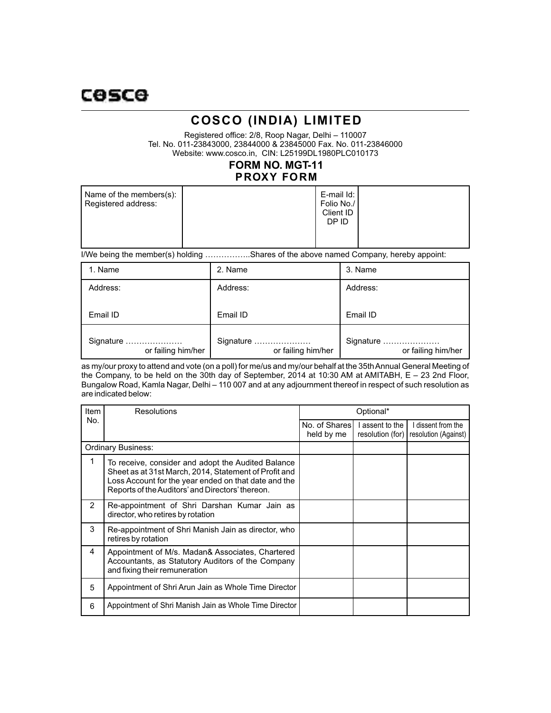# **COSCO (INDIA) LIMITED**

Registered office: 2/8, Roop Nagar, Delhi – 110007 Tel. No. 011-23843000, 23844000 & 23845000 Fax. No. 011-23846000 Website: www.cosco.in, CIN: L25199DL1980PLC010173

# **PROXY FORM FORM NO. MGT-11**

| Name of the members(s):<br>Registered address: |  | E-mail Id: I<br>Folio No./<br>Client ID<br>DP ID |  |
|------------------------------------------------|--|--------------------------------------------------|--|
|------------------------------------------------|--|--------------------------------------------------|--|

I/We being the member(s) holding ……………..Shares of the above named Company, hereby appoint:

| 1. Name                         | 2. Name                         | 3. Name                         |
|---------------------------------|---------------------------------|---------------------------------|
| Address:                        | Address:                        | Address:                        |
| Email ID                        | Email ID                        | Email ID                        |
| Signature<br>or failing him/her | Signature<br>or failing him/her | Signature<br>or failing him/her |

as my/our proxy to attend and vote (on a poll) for me/us and my/our behalf at the 35th Annual General Meeting of the Company, to be held on the 30th day of September, 2014 at 10:30 AM at AMITABH, E – 23 2nd Floor, Bungalow Road, Kamla Nagar, Delhi – 110 007 and at any adjournment thereof in respect of such resolution as are indicated below:

| Item                      | <b>Resolutions</b>                                                                                                                                                                                                      | Optional*                   |                                   |                                            |
|---------------------------|-------------------------------------------------------------------------------------------------------------------------------------------------------------------------------------------------------------------------|-----------------------------|-----------------------------------|--------------------------------------------|
| No.                       |                                                                                                                                                                                                                         | No. of Shares<br>held by me | assent to the<br>resolution (for) | I dissent from the<br>resolution (Against) |
| <b>Ordinary Business:</b> |                                                                                                                                                                                                                         |                             |                                   |                                            |
| 1                         | To receive, consider and adopt the Audited Balance<br>Sheet as at 31st March, 2014, Statement of Profit and<br>Loss Account for the year ended on that date and the<br>Reports of the Auditors' and Directors' thereon. |                             |                                   |                                            |
| $\mathcal{P}$             | Re-appointment of Shri Darshan Kumar Jain as<br>director, who retires by rotation                                                                                                                                       |                             |                                   |                                            |
| 3                         | Re-appointment of Shri Manish Jain as director, who<br>retires by rotation                                                                                                                                              |                             |                                   |                                            |
| 4                         | Appointment of M/s. Madan& Associates, Chartered<br>Accountants, as Statutory Auditors of the Company<br>and fixing their remuneration                                                                                  |                             |                                   |                                            |
| 5                         | Appointment of Shri Arun Jain as Whole Time Director                                                                                                                                                                    |                             |                                   |                                            |
| 6                         | Appointment of Shri Manish Jain as Whole Time Director                                                                                                                                                                  |                             |                                   |                                            |